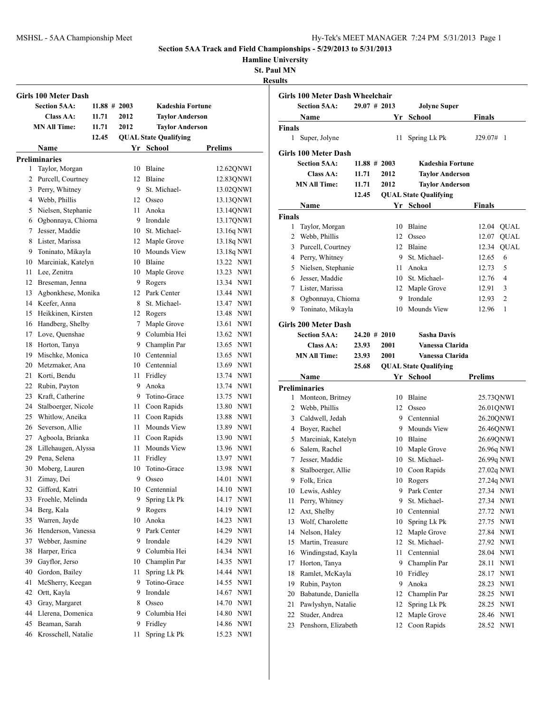**Hamline University**

**St. Paul MN**

J.

|    | <b>Girls 100 Meter Dash</b> |                 |      |                              |                     |
|----|-----------------------------|-----------------|------|------------------------------|---------------------|
|    | <b>Section 5AA:</b>         | $11.88 \# 2003$ |      | Kadeshia Fortune             |                     |
|    | Class AA:                   | 11.71           | 2012 | <b>Taylor Anderson</b>       |                     |
|    | <b>MN All Time:</b>         | 11.71           | 2012 | <b>Taylor Anderson</b>       |                     |
|    |                             | 12.45           |      | <b>QUAL State Qualifying</b> |                     |
|    | Name                        |                 |      | Yr School                    | Prelims             |
|    | <b>Preliminaries</b>        |                 |      |                              |                     |
| 1  | Taylor, Morgan              |                 | 10   | Blaine                       | 12.62QNWI           |
| 2  | Purcell, Courtney           |                 |      | 12 Blaine                    | 12.83QNWI           |
| 3  | Perry, Whitney              |                 | 9.   | St. Michael-                 | 13.02QNWI           |
| 4  | Webb, Phillis               |                 |      | 12 Osseo                     | 13.13QNWI           |
| 5  | Nielsen, Stephanie          |                 | 11   | Anoka                        | 13.14QNWI           |
| 6  | Ogbonnaya, Chioma           |                 | 9    | Irondale                     | 13.17QNWI           |
| 7  | Jesser, Maddie              |                 |      | 10 St. Michael-              | 13.16q NWI          |
| 8  | Lister, Marissa             |                 | 12   | Maple Grove                  | 13.18q NWI          |
| 9  | Toninato, Mikayla           |                 |      | 10 Mounds View               | 13.18q NWI          |
| 10 | Marciniak, Katelyn          |                 |      | 10 Blaine                    | 13.22 NWI           |
| 11 | Lee, Zenitra                |                 |      | 10 Maple Grove               | 13.23 NWI           |
| 12 | Breseman, Jenna             |                 |      | 9 Rogers                     | 13.34 NWI           |
| 13 | Agbonkhese, Monika          |                 |      | 12 Park Center               | 13.44 NWI           |
|    | 14 Keefer, Anna             |                 | 8    | St. Michael-                 | 13.47 NWI           |
| 15 | Heikkinen, Kirsten          |                 |      | 12 Rogers                    | 13.48 NWI           |
| 16 | Handberg, Shelby            |                 | 7    | Maple Grove                  | 13.61 NWI           |
| 17 | Love, Quenshae              |                 | 9    | Columbia Hei                 | 13.62 NWI           |
| 18 | Horton, Tanya               |                 |      | 9 Champlin Par               | 13.65 NWI           |
| 19 | Mischke, Monica             |                 |      | 10 Centennial                | 13.65 NWI           |
| 20 | Metzmaker, Ana              |                 |      | 10 Centennial                | 13.69 NWI           |
| 21 | Korti, Bendu                |                 | 11   | Fridley                      | 13.74 NWI           |
| 22 | Rubin, Payton               |                 | 9    | Anoka                        | 13.74 NWI           |
| 23 | Kraft, Catherine            |                 | 9    | Totino-Grace                 | 13.75 NWI           |
| 24 | Stalboerger, Nicole         |                 | 11   | Coon Rapids                  | 13.80 NWI           |
| 25 | Whitlow, Aneika             |                 | 11.  | Coon Rapids                  | 13.88 NWI           |
| 26 | Severson, Allie             |                 | 11   | Mounds View                  | 13.89 NWI           |
| 27 | Agboola, Brianka            |                 |      | 11 Coon Rapids               | 13.90 NWI           |
| 28 | Lillehaugen, Alyssa         |                 | 11   | Mounds View                  | 13.96 NWI           |
| 29 | Pena, Selena                |                 | 11   | Fridley                      | 13.97 NWI           |
| 30 | Moberg, Lauren              |                 | 10   | Totino-Grace                 | <b>NWI</b><br>13.98 |
| 31 | Zimay, Dei                  |                 | 9    | Osseo                        | <b>NWI</b><br>14.01 |
| 32 | Gifford, Katri              |                 | 10   | Centennial                   | 14.10 NWI           |
| 33 | Froehle, Melinda            |                 | 9.   | Spring Lk Pk                 | 14.17<br>NWI        |
| 34 | Berg, Kala                  |                 | 9.   | Rogers                       | 14.19<br><b>NWI</b> |
| 35 | Warren, Jayde               |                 | 10   | Anoka                        | 14.23<br><b>NWI</b> |
| 36 | Henderson, Vanessa          |                 | 9.   | Park Center                  | <b>NWI</b><br>14.29 |
| 37 | Webber, Jasmine             |                 | 9    | Irondale                     | 14.29<br><b>NWI</b> |
| 38 | Harper, Erica               |                 | 9    | Columbia Hei                 | 14.34<br><b>NWI</b> |
| 39 | Gayflor, Jerso              |                 | 10   | Champlin Par                 | <b>NWI</b><br>14.35 |
| 40 | Gordon, Bailey              |                 | 11   | Spring Lk Pk                 | 14.44<br>NWI        |
| 41 | McSherry, Keegan            |                 | 9    | Totino-Grace                 | 14.55<br><b>NWI</b> |
| 42 | Ortt, Kayla                 |                 | 9    | Irondale                     | 14.67<br>NWI        |
| 43 | Gray, Margaret              |                 | 8    | Osseo                        | 14.70 NWI           |
| 44 | Llerena, Domenica           |                 | 9.   | Columbia Hei                 | 14.80<br><b>NWI</b> |
| 45 | Beaman, Sarah               |                 | 9    | Fridley                      | 14.86<br><b>NWI</b> |
| 46 | Krosschell, Natalie         |                 | 11   | Spring Lk Pk                 | 15.23<br><b>NWI</b> |
|    |                             |                 |      |                              |                     |

|          | <b>Girls 100 Meter Dash Wheelchair</b> |                 |                  |                              |                          |
|----------|----------------------------------------|-----------------|------------------|------------------------------|--------------------------|
|          | <b>Section 5AA:</b>                    | $29.07$ # 2013  |                  | <b>Jolyne Super</b>          |                          |
|          | Name                                   |                 | Yr               | <b>School</b>                | Finals                   |
| Finals   |                                        |                 |                  |                              |                          |
| 1        | Super, Jolyne                          |                 | 11               | Spring Lk Pk                 | J29.07#<br>-1            |
|          | <b>Girls 100 Meter Dash</b>            |                 |                  |                              |                          |
|          | <b>Section 5AA:</b>                    |                 | $11.88 \pm 2003$ | Kadeshia Fortune             |                          |
|          | Class AA:                              | 11.71           | 2012             | <b>Taylor Anderson</b>       |                          |
|          | <b>MN All Time:</b>                    | 11.71           | 2012             | <b>Taylor Anderson</b>       |                          |
|          |                                        | 12.45           |                  | <b>QUAL State Qualifying</b> |                          |
|          | Name                                   |                 |                  | Yr School                    | <b>Finals</b>            |
| Finals   |                                        |                 |                  |                              |                          |
| 1        | Taylor, Morgan                         |                 | 10               | Blaine                       | <b>QUAL</b><br>12.04     |
| 2        | Webb, Phillis                          |                 |                  | 12 Osseo                     | <b>QUAL</b><br>12.07     |
| 3        | Purcell, Courtney                      |                 |                  | 12 Blaine                    | <b>QUAL</b><br>12.34     |
| 4        | Perry, Whitney                         |                 | 9                | St. Michael-                 | 12.65<br>6               |
| 5        | Nielsen, Stephanie                     |                 | 11               | Anoka                        | 5<br>12.73               |
| 6        | Jesser, Maddie                         |                 |                  | 10 St. Michael-              | 12.76<br>4               |
| 7        | Lister, Marissa                        |                 | 12               | Maple Grove                  | 3<br>12.91               |
| 8        | Ogbonnaya, Chioma                      |                 | 9                | Irondale                     | $\overline{c}$<br>12.93  |
| 9        | Toninato, Mikayla                      |                 | 10               | Mounds View                  | 12.96<br>1               |
|          |                                        |                 |                  |                              |                          |
|          | <b>Girls 200 Meter Dash</b>            |                 |                  |                              |                          |
|          | <b>Section 5AA:</b>                    | $24.20 \# 2010$ |                  | <b>Sasha Davis</b>           |                          |
|          | Class AA:                              | 23.93           | 2001             | Vanessa Clarida              |                          |
|          | <b>MN All Time:</b>                    | 23.93           | 2001             | Vanessa Clarida              |                          |
|          |                                        | 25.68           |                  | <b>QUAL State Qualifying</b> |                          |
|          | Name                                   |                 |                  | Yr School                    | <b>Prelims</b>           |
|          | Preliminaries                          |                 |                  |                              |                          |
| 1        | Monteon, Britney                       |                 | 10               | Blaine                       | 25.73QNWI                |
| 2        | Webb, Phillis                          |                 | 12               | Osseo                        | 26.01QNWI                |
| 3        | Caldwell, Jedah                        |                 |                  | 9 Centennial                 | 26.20QNWI                |
| 4        | Boyer, Rachel                          |                 | 9                | Mounds View                  | 26.46QNWI                |
| 5<br>6   | Marciniak, Katelyn                     |                 |                  | 10 Blaine<br>Maple Grove     | 26.69QNWI                |
| 7        | Salem, Rachel                          |                 | 10               | 10 St. Michael-              | 26.96q NWI               |
|          | Jesser, Maddie                         |                 |                  |                              | 26.99q NWI               |
| 8<br>9   | Stalboerger, Allie<br>Folk, Erica      |                 | 10               | 10 Coon Rapids<br>Rogers     | 27.02q NWI<br>27.24q NWI |
| 10       | Lewis, Ashley                          |                 | 9                | Park Center                  | 27.34 NWI                |
|          |                                        |                 |                  | St. Michael-                 | <b>NWI</b>               |
| 11<br>12 | Perry, Whitney<br>Axt, Shelby          |                 | 9<br>10          | Centennial                   | 27.34<br>NWI<br>27.72    |
| 13       | Wolf, Charolette                       |                 | 10               | Spring Lk Pk                 | 27.75<br>NWI             |
| 14       | Nelson, Haley                          |                 | 12               | Maple Grove                  | 27.84<br><b>NWI</b>      |
| 15       | Martin, Treasure                       |                 | 12               | St. Michael-                 | 27.92<br>NWI             |
| 16       | Windingstad, Kayla                     |                 | 11               | Centennial                   | 28.04<br>NWI             |
| 17       | Horton, Tanya                          |                 | 9                | Champlin Par                 | NWI<br>28.11             |
| 18       | Ramlet, McKayla                        |                 | 10               | Fridley                      | 28.17<br>NWI             |
| 19       | Rubin, Payton                          |                 | 9                | Anoka                        | 28.23<br><b>NWI</b>      |
| 20       | Babatunde, Daniella                    |                 | 12               | Champlin Par                 | 28.25<br><b>NWI</b>      |
| 21       | Pawlyshyn, Natalie                     |                 | 12               | Spring Lk Pk                 | 28.25<br>NWI             |
| 22       | Studer, Andrea                         |                 | 12               | Maple Grove                  | NWI<br>28.46             |
| 23       | Penshorn, Elizabeth                    |                 | 12               | Coon Rapids                  | <b>NWI</b>               |
|          |                                        |                 |                  |                              | 28.52                    |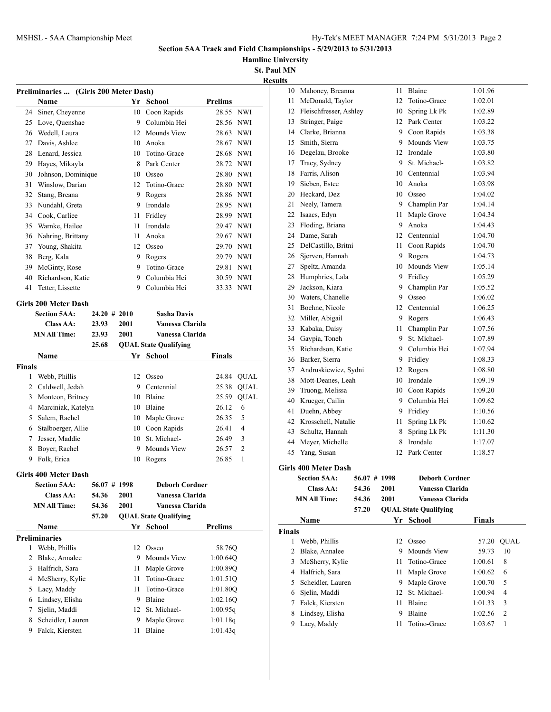**Hamline University**

|               | Preliminaries  (Girls 200 Meter Dash) |       |                 |    |                              |                         |                |
|---------------|---------------------------------------|-------|-----------------|----|------------------------------|-------------------------|----------------|
| 24            | Name                                  |       |                 | 10 | Yr School<br>Coon Rapids     | <b>Prelims</b><br>28.55 | <b>NWI</b>     |
|               | Siner, Cheyenne<br>Love, Quenshae     |       |                 | 9  | Columbia Hei                 | 28.56                   | <b>NWI</b>     |
| 25            | 26 Wedell, Laura                      |       |                 |    | 12 Mounds View               |                         |                |
|               | Davis, Ashlee                         |       |                 |    |                              | 28.63                   | <b>NWI</b>     |
| 27            |                                       |       |                 |    | 10 Anoka                     | 28.67                   | <b>NWI</b>     |
|               | 28 Lenard, Jessica                    |       |                 |    | 10 Totino-Grace              | 28.68                   | <b>NWI</b>     |
|               | 29 Hayes, Mikayla                     |       |                 |    | 8 Park Center                | 28.72 NWI               |                |
| 30            | Johnson, Dominique                    |       |                 |    | 10 Osseo                     | 28.80 NWI               |                |
|               | 31 Winslow, Darian                    |       |                 | 12 | Totino-Grace                 | 28.80                   | <b>NWI</b>     |
|               | 32 Stang, Breana                      |       |                 | 9  | Rogers                       | 28.86                   | NWI            |
| 33            | Nundahl, Greta                        |       |                 | 9  | Irondale                     | 28.95                   | <b>NWI</b>     |
|               | 34 Cook, Carliee                      |       |                 | 11 | Fridley                      | 28.99 NWI               |                |
|               | 35 Warnke, Hailee                     |       |                 | 11 | Irondale                     | 29.47 NWI               |                |
|               | 36 Nahring, Brittany                  |       |                 | 11 | Anoka                        | 29.67 NWI               |                |
| 37            | Young, Shakita                        |       |                 |    | 12 Osseo                     | 29.70                   | <b>NWI</b>     |
| 38            | Berg, Kala                            |       |                 |    | 9 Rogers                     | 29.79 NWI               |                |
| 39            | McGinty, Rose                         |       |                 |    | 9 Totino-Grace               | 29.81                   | <b>NWI</b>     |
| 40            | Richardson, Katie                     |       |                 | 9  | Columbia Hei                 | 30.59                   | <b>NWI</b>     |
| 41            | Tetter, Lissette                      |       |                 | 9  | Columbia Hei                 | 33.33 NWI               |                |
|               | Girls 200 Meter Dash                  |       |                 |    |                              |                         |                |
|               | <b>Section 5AA:</b>                   |       | $24.20 \# 2010$ |    | <b>Sasha Davis</b>           |                         |                |
|               | Class AA:                             | 23.93 | 2001            |    | Vanessa Clarida              |                         |                |
|               | <b>MN All Time:</b>                   | 23.93 | 2001            |    | Vanessa Clarida              |                         |                |
|               |                                       | 25.68 |                 |    | <b>QUAL State Qualifying</b> |                         |                |
|               | Name                                  |       |                 |    | Yr School                    | Finals                  |                |
| <b>Finals</b> |                                       |       |                 |    |                              |                         |                |
| 1             | Webb, Phillis                         |       |                 |    | 12 Osseo                     |                         | 24.84 QUAL     |
| 2             | Caldwell, Jedah                       |       |                 |    | 9 Centennial                 | 25.38                   | <b>QUAL</b>    |
|               | 3 Monteon, Britney                    |       |                 |    | 10 Blaine                    | 25.59                   | <b>QUAL</b>    |
| 4             | Marciniak, Katelyn                    |       |                 |    | 10 Blaine                    | 26.12                   | 6              |
| 5             | Salem, Rachel                         |       |                 |    | 10 Maple Grove               | 26.35                   | 5              |
|               | 6 Stalboerger, Allie                  |       |                 |    | 10 Coon Rapids               | 26.41                   | 4              |
| 7             | Jesser, Maddie                        |       |                 |    | 10 St. Michael-              | 26.49                   | 3              |
| 8             | Boyer, Rachel                         |       |                 | 9  | Mounds View                  | 26.57                   | $\overline{c}$ |
| 9             | Folk, Erica                           |       |                 | 10 | Rogers                       | 26.85                   | 1              |
|               | <b>Girls 400 Meter Dash</b>           |       |                 |    |                              |                         |                |
|               | <b>Section 5AA:</b>                   |       | 56.07 # 1998    |    | Deborh Cordner               |                         |                |
|               | <b>Class AA:</b>                      | 54.36 | 2001            |    | Vanessa Clarida              |                         |                |
|               | <b>MN All Time:</b>                   | 54.36 | 2001            |    | Vanessa Clarida              |                         |                |
|               |                                       | 57.20 |                 |    | <b>QUAL State Qualifying</b> |                         |                |
|               | Name                                  |       |                 |    | Yr School                    | <b>Prelims</b>          |                |
|               | <b>Preliminaries</b>                  |       |                 |    |                              |                         |                |
| 1             | Webb, Phillis                         |       |                 | 12 | Osseo                        | 58.76Q                  |                |
| 2             | Blake, Annalee                        |       |                 | 9  | Mounds View                  | 1:00.64Q                |                |
| 3             | Halfrich, Sara                        |       |                 | 11 | Maple Grove                  | 1:00.89Q                |                |
| 4             | McSherry, Kylie                       |       |                 | 11 | Totino-Grace                 | 1:01.51Q                |                |
| 5             | Lacy, Maddy                           |       |                 | 11 | Totino-Grace                 | 1:01.80Q                |                |
| 6             | Lindsey, Elisha                       |       |                 | 9  | Blaine                       | 1:02.16Q                |                |
| 7             | Sjelin, Maddi                         |       |                 | 12 | St. Michael-                 | 1:00.95q                |                |
| 8             | Scheidler, Lauren                     |       |                 | 9  | Maple Grove                  | 1:01.18q                |                |
| 9             | Falck, Kiersten                       |       |                 | 11 | Blaine                       | 1:01.43q                |                |
|               |                                       |       |                 |    |                              |                         |                |

|    | <b>Section 5AA:</b><br>56.07 # 1998 |    | <b>Deborh Cordner</b> |         |
|----|-------------------------------------|----|-----------------------|---------|
|    | <b>Girls 400 Meter Dash</b>         |    |                       |         |
| 45 | Yang, Susan                         | 12 | Park Center           | 1:18.57 |
| 44 | Meyer, Michelle                     | 8  | Irondale              | 1:17.07 |
| 43 | Schultz, Hannah                     | 8  | Spring Lk Pk          | 1:11.30 |
| 42 | Krosschell, Natalie                 | 11 | Spring Lk Pk          | 1:10.62 |
| 41 | Duehn, Abbey                        | 9  | Fridley               | 1:10.56 |
| 40 | Krueger, Cailin                     | 9  | Columbia Hei          | 1:09.62 |
| 39 | Truong, Melissa                     | 10 | Coon Rapids           | 1:09.20 |
| 38 | Mott-Deanes, Leah                   | 10 | Irondale              | 1:09.19 |
| 37 | Andruskiewicz, Sydni                | 12 | Rogers                | 1:08.80 |
| 36 | Barker, Sierra                      | 9  | Fridley               | 1:08.33 |
| 35 | Richardson, Katie                   |    | 9 Columbia Hei        | 1:07.94 |
| 34 | Gaypia, Toneh                       | 9  | St. Michael-          | 1:07.89 |
| 33 | Kabaka, Daisy                       | 11 | Champlin Par          | 1:07.56 |
| 32 | Miller, Abigail                     | 9  | Rogers                | 1:06.43 |
| 31 | Boehne, Nicole                      | 12 | Centennial            | 1:06.25 |
| 30 | Waters, Chanelle                    | 9  | Osseo                 | 1:06.02 |
| 29 | Jackson, Kiara                      | 9  | Champlin Par          | 1:05.52 |
| 28 | Humphries, Lala                     | 9  | Fridley               | 1:05.29 |
| 27 | Speltz, Amanda                      | 10 | Mounds View           | 1:05.14 |
| 26 | Sjerven, Hannah                     | 9  | Rogers                | 1:04.73 |
| 25 | DelCastillo, Britni                 | 11 | Coon Rapids           | 1:04.70 |
| 24 | Dame, Sarah                         | 12 | Centennial            | 1:04.70 |
| 23 | Floding, Briana                     | 9  | Anoka                 | 1:04.43 |
| 22 | Isaacs, Edyn                        | 11 | Maple Grove           | 1:04.34 |
| 21 | Neely, Tamera                       | 9  | Champlin Par          | 1:04.14 |
| 20 | Heckard, Dez                        | 10 | Osseo                 | 1:04.02 |
| 19 | Sieben, Estee                       | 10 | Anoka                 | 1:03.98 |
| 18 | Farris, Alison                      | 10 | Centennial            | 1:03.94 |
| 17 | Tracy, Sydney                       | 9  | St. Michael-          | 1:03.82 |
| 16 | Degelau, Brooke                     |    | 12 Irondale           | 1:03.80 |
| 15 | Smith, Sierra                       | 9  | Mounds View           | 1:03.75 |
| 14 | Clarke, Brianna                     |    | 9 Coon Rapids         | 1:03.38 |
| 13 | Stringer, Paige                     |    | 12 Park Center        | 1:03.22 |
| 12 | Fleischfresser, Ashley              | 10 | Spring Lk Pk          | 1:02.89 |
| 11 | McDonald, Taylor                    | 12 | Totino-Grace          | 1:02.01 |
| 10 | Mahoney, Breanna                    | 11 | Blaine                | 1:01.96 |

|               | Section 5AA:        | 56.07# | -1998 | Deborh Cordner               |               |                |
|---------------|---------------------|--------|-------|------------------------------|---------------|----------------|
|               | Class AA:           | 54.36  | 2001  | Vanessa Clarida              |               |                |
|               | <b>MN All Time:</b> | 54.36  | 2001  | Vanessa Clarida              |               |                |
|               |                     | 57.20  |       | <b>QUAL State Qualifying</b> |               |                |
|               | Name                |        | Yr.   | School                       | <b>Finals</b> |                |
| <b>Finals</b> |                     |        |       |                              |               |                |
| 1             | Webb, Phillis       |        | 12    | Osseo                        | 57.20         | <b>OUAL</b>    |
| 2             | Blake, Annalee      |        | 9     | Mounds View                  | 59.73         | 10             |
| 3             | McSherry, Kylie     |        | 11    | Totino-Grace                 | 1:00.61       | 8              |
| 4             | Halfrich, Sara      |        | 11    | Maple Grove                  | 1:00.62       | 6              |
| 5             | Scheidler, Lauren   |        | 9     | Maple Grove                  | 1:00.70       | 5              |
| 6             | Sjelin, Maddi       |        | 12    | St. Michael-                 | 1:00.94       | 4              |
|               | Falck, Kiersten     |        | 11    | Blaine                       | 1:01.33       | 3              |
| 8             | Lindsey, Elisha     |        | 9     | Blaine                       | 1:02.56       | $\overline{2}$ |
| 9             | Lacy, Maddy         |        | 11    | Totino-Grace                 | 1:03.67       | 1              |
|               |                     |        |       |                              |               |                |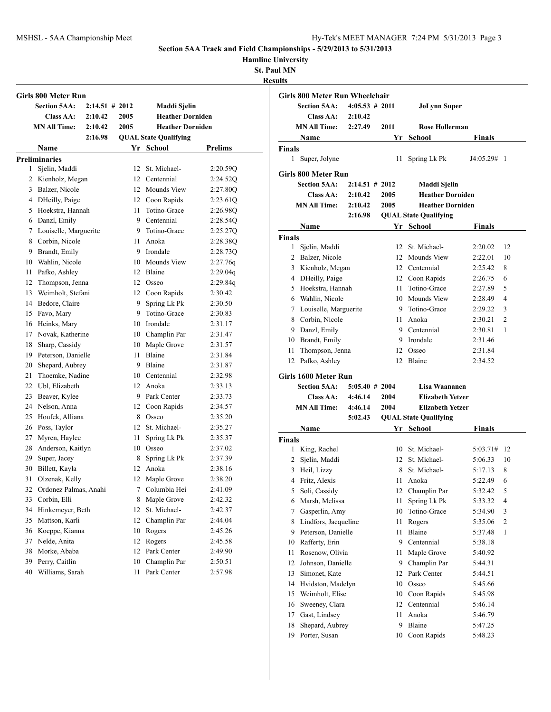## **Hamline University**

|    | Girls 800 Meter Run      |                   |      |                              |                |
|----|--------------------------|-------------------|------|------------------------------|----------------|
|    | <b>Section 5AA:</b>      | $2:14.51 \# 2012$ |      | Maddi Sjelin                 |                |
|    | <b>Class AA:</b>         | 2:10.42           | 2005 | <b>Heather Dorniden</b>      |                |
|    | <b>MN All Time:</b>      | 2:10.42           | 2005 | <b>Heather Dorniden</b>      |                |
|    |                          | 2:16.98           |      | <b>QUAL State Qualifying</b> |                |
|    | Name                     |                   |      | Yr School                    | <b>Prelims</b> |
|    | <b>Preliminaries</b>     |                   |      |                              |                |
| 1  | Sjelin, Maddi            |                   | 12   | St. Michael-                 | 2:20.59Q       |
|    | 2 Kienholz, Megan        |                   | 12   | Centennial                   | 2:24.52Q       |
| 3  | Balzer, Nicole           |                   | 12   | Mounds View                  | 2:27.80Q       |
|    | 4 DHeilly, Paige         |                   | 12   | Coon Rapids                  | 2:23.61Q       |
|    | 5 Hoekstra, Hannah       |                   | 11   | Totino-Grace                 | 2:26.98Q       |
|    | 6 Danzl, Emily           |                   | 9.   | Centennial<br>Totino-Grace   | 2:28.54Q       |
| 7  | Louiselle, Marguerite    |                   | 9    |                              | 2:25.27Q       |
| 8  | Corbin, Nicole           |                   | 11   | Anoka                        | 2:28.38Q       |
| 9. | Brandt, Emily            |                   | 9    | Irondale                     | 2:28.730       |
| 10 | Wahlin, Nicole           |                   | 10   | Mounds View                  | 2:27.76q       |
| 11 | Pafko, Ashley            |                   | 12   | Blaine                       | 2:29.04q       |
| 12 | Thompson, Jenna          |                   | 12   | Osseo                        | 2:29.84q       |
| 13 | Weimholt, Stefani        |                   | 12   | Coon Rapids                  | 2:30.42        |
| 14 | Bedore, Claire           |                   | 9    | Spring Lk Pk                 | 2:30.50        |
| 15 | Favo, Mary               |                   | 9    | Totino-Grace                 | 2:30.83        |
| 16 | Heinks, Mary             |                   | 10   | Irondale                     | 2:31.17        |
| 17 | Novak, Katherine         |                   |      | 10 Champlin Par              | 2:31.47        |
| 18 | Sharp, Cassidy           |                   | 10   | Maple Grove                  | 2:31.57        |
| 19 | Peterson, Danielle       |                   | 11   | Blaine                       | 2:31.84        |
| 20 | Shepard, Aubrey          |                   | 9    | Blaine                       | 2:31.87        |
| 21 | Thoemke, Nadine          |                   | 10   | Centennial                   | 2:32.98        |
| 22 | Ubl, Elizabeth           |                   | 12   | Anoka                        | 2:33.13        |
| 23 | Beaver, Kylee            |                   | 9.   | Park Center                  | 2:33.73        |
| 24 | Nelson, Anna             |                   | 12   | Coon Rapids                  | 2:34.57        |
| 25 | Houfek, Alliana          |                   | 8    | Osseo                        | 2:35.20        |
| 26 | Poss, Taylor             |                   | 12   | St. Michael-                 | 2:35.27        |
| 27 | Myren, Haylee            |                   | 11   | Spring Lk Pk                 | 2:35.37        |
| 28 | Anderson, Kaitlyn        |                   | 10   | Osseo                        | 2:37.02        |
| 29 | Super, Jacey             |                   | 8    | Spring Lk Pk                 | 2:37.39        |
| 30 | Billett, Kayla           |                   | 12   | Anoka                        | 2:38.16        |
|    | 31 Olzenak, Kelly        |                   |      | 12 Maple Grove               | 2:38.20        |
|    | 32 Ordonez Palmas, Anahi |                   | 7    | Columbia Hei                 | 2:41.09        |
| 33 | Corbin, Elli             |                   | 8    | Maple Grove                  | 2:42.32        |
| 34 | Hinkemeyer, Beth         |                   | 12   | St. Michael-                 | 2:42.37        |
| 35 | Mattson, Karli           |                   | 12   | Champlin Par                 | 2:44.04        |
| 36 | Koeppe, Kianna           |                   | 10   | Rogers                       | 2:45.26        |
| 37 | Nelde, Anita             |                   | 12   | Rogers                       | 2:45.58        |
| 38 | Morke, Ababa             |                   | 12   | Park Center                  | 2:49.90        |
| 39 | Perry, Caitlin           |                   | 10   | Champlin Par                 | 2:50.51        |
| 40 | Williams, Sarah          |                   | 11   | Park Center                  | 2:57.98        |

|                     | Girls 800 Meter Run Wheelchair   |                   |         |                              |                    |                |
|---------------------|----------------------------------|-------------------|---------|------------------------------|--------------------|----------------|
|                     | <b>Section 5AA:</b>              | $4:05.53 \# 2011$ |         | JoLynn Super                 |                    |                |
|                     | <b>Class AA:</b>                 | 2:10.42           |         |                              |                    |                |
|                     | <b>MN All Time:</b>              | 2:27.49           | 2011    | Rose Hollerman               |                    |                |
|                     | <b>Name</b>                      |                   |         | Yr School                    | Finals             |                |
| <b>Finals</b>       |                                  |                   |         |                              |                    |                |
|                     | 1 Super, Jolyne                  |                   | 11.     | Spring Lk Pk                 | $J4:05.29#$ 1      |                |
|                     | Girls 800 Meter Run              |                   |         |                              |                    |                |
|                     | <b>Section 5AA:</b>              | $2:14.51 \# 2012$ |         | Maddi Sjelin                 |                    |                |
|                     | <b>Class AA:</b>                 | 2:10.42           | 2005    | <b>Heather Dorniden</b>      |                    |                |
|                     | <b>MN All Time:</b>              | 2:10.42           | 2005    | <b>Heather Dorniden</b>      |                    |                |
|                     |                                  | 2:16.98           |         | <b>QUAL State Qualifying</b> |                    |                |
|                     | <b>Name</b>                      |                   |         | Yr School                    | <b>Finals</b>      |                |
| <b>Finals</b>       |                                  |                   |         |                              |                    |                |
|                     | 1 Sjelin, Maddi                  |                   |         | 12 St. Michael-              | 2:20.02            | 12             |
|                     | 2 Balzer, Nicole                 |                   |         | 12 Mounds View               | 2:22.01            | 10             |
|                     | 3 Kienholz, Megan                |                   |         | 12 Centennial                | 2:25.42            | 8              |
|                     | 4 DHeilly, Paige                 |                   |         | 12 Coon Rapids               | 2:26.75            | 6              |
|                     | 5 Hoekstra, Hannah               |                   |         | 11 Totino-Grace              | 2:27.89            | 5              |
|                     | 6 Wahlin, Nicole                 |                   |         | 10 Mounds View               | 2:28.49            | $\overline{4}$ |
|                     | 7 Louiselle, Marguerite          |                   |         | 9 Totino-Grace               | 2:29.22            | 3              |
|                     | 8 Corbin, Nicole                 |                   |         | 11 Anoka                     | 2:30.21            | $\overline{2}$ |
|                     | 9 Danzl, Emily                   |                   |         | 9 Centennial                 | 2:30.81            | 1              |
|                     | 10 Brandt, Emily                 |                   |         | 9 Irondale                   | 2:31.46            |                |
|                     | 11 Thompson, Jenna               |                   |         | 12 Osseo                     | 2:31.84            |                |
|                     | 12 Pafko, Ashley                 |                   |         | 12 Blaine                    | 2:34.52            |                |
|                     | Girls 1600 Meter Run             |                   |         |                              |                    |                |
|                     | <b>Section 5AA:</b>              | $5:05.40 \# 2004$ |         | Lisa Waananen                |                    |                |
|                     | <b>Class AA:</b>                 | 4:46.14           |         |                              |                    |                |
|                     |                                  |                   | 2004    | <b>Elizabeth Yetzer</b>      |                    |                |
|                     | <b>MN All Time:</b>              | 4:46.14           | 2004    | <b>Elizabeth Yetzer</b>      |                    |                |
|                     |                                  | 5:02.43           |         | <b>QUAL State Qualifying</b> |                    |                |
|                     | Name                             |                   |         | Yr School                    | Finals             |                |
|                     |                                  |                   |         |                              |                    |                |
|                     | 1 King, Rachel                   |                   | 10      | St. Michael-                 | 5:03.71# 12        |                |
| 2                   | Sjelin, Maddi                    |                   | 12      | St. Michael-                 | 5:06.33            | 10             |
|                     | 3 Heil, Lizzy                    |                   |         | St. Michael-<br>8.           | 5:17.13            | 8              |
| 4                   | Fritz, Alexis                    |                   | 11      | Anoka                        | 5:22.49            | 6              |
| 5                   | Soli, Cassidy                    |                   | 12      | Champlin Par                 | 5:32.42            | 5              |
| 6                   | Marsh, Melissa                   |                   | 11      | Spring Lk Pk                 | 5:33.32            | 4              |
| 7                   | Gasperlin, Amy                   |                   | 10      | Totino-Grace                 | 5:34.90            | 3              |
| 8                   | Lindfors, Jacqueline             |                   | 11      | Rogers                       | 5:35.06            | $\mathfrak{2}$ |
|                     | 9 Peterson, Danielle             |                   | 11      | Blaine                       | 5:37.48            | 1              |
| 10                  | Rafferty, Erin                   |                   | 9.      | Centennial                   | 5:38.18            |                |
| 11                  | Rosenow, Olivia                  |                   | 11      | Maple Grove                  | 5:40.92            |                |
| 12                  | Johnson, Danielle                |                   | 9       | Champlin Par                 | 5:44.31            |                |
| 13                  | Simonet, Kate                    |                   | 12      | Park Center                  | 5:44.51            |                |
| 14                  | Hvidston, Madelyn                |                   | 10      | Osseo                        | 5:45.66            |                |
| 15                  | Weimholt, Elise                  |                   | 10      | Coon Rapids                  | 5:45.98            |                |
| 16                  | Sweeney, Clara                   |                   | 12      | Centennial                   | 5:46.14            |                |
| <b>Finals</b><br>17 | Gast, Lindsey                    |                   | 11      | Anoka                        | 5:46.79            |                |
| 18<br>19            | Shepard, Aubrey<br>Porter, Susan |                   | 9<br>10 | Blaine<br>Coon Rapids        | 5:47.25<br>5:48.23 |                |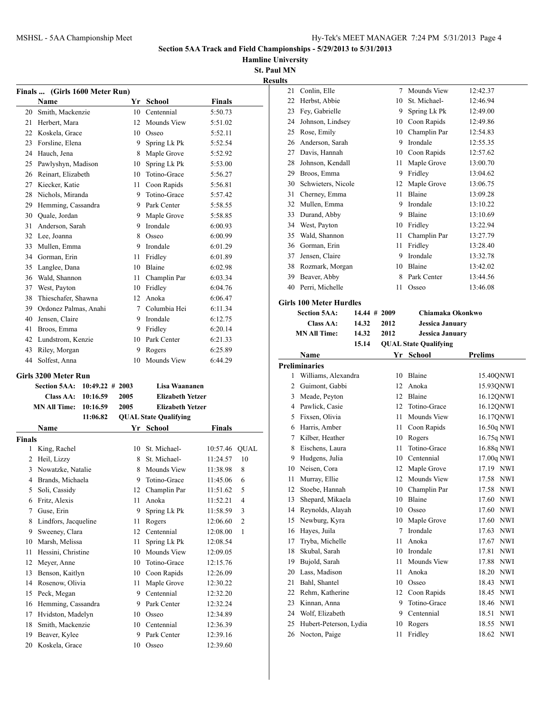**Hamline University**

|               | Finals  (Girls 1600 Meter Run) |                    |      |                              |               |              |
|---------------|--------------------------------|--------------------|------|------------------------------|---------------|--------------|
|               | Name                           |                    |      | Yr School                    | Finals        |              |
|               | 20 Smith, Mackenzie            |                    |      | 10 Centennial                | 5:50.73       |              |
|               | 21 Herbert, Mara               |                    | 12   | <b>Mounds View</b>           | 5:51.02       |              |
|               | 22 Koskela, Grace              |                    |      | 10 Osseo                     | 5:52.11       |              |
|               | 23 Forsline, Elena             |                    | 9.   | Spring Lk Pk                 | 5:52.54       |              |
|               | 24 Hauch, Jena                 |                    |      | 8 Maple Grove                | 5:52.92       |              |
|               | 25 Pawlyshyn, Madison          |                    |      | 10 Spring Lk Pk              | 5:53.00       |              |
|               | 26 Reinart, Elizabeth          |                    |      | 10 Totino-Grace              | 5:56.27       |              |
|               | 27 Kiecker, Katie              |                    |      | 11 Coon Rapids               | 5:56.81       |              |
|               | 28 Nichols, Miranda            |                    |      | 9 Totino-Grace               | 5:57.42       |              |
|               | 29 Hemming, Cassandra          |                    |      | 9 Park Center                | 5:58.55       |              |
|               | 30 Quale, Jordan               |                    |      | 9 Maple Grove                | 5:58.85       |              |
| 31            | Anderson, Sarah                |                    | 9    | Irondale                     | 6:00.93       |              |
|               | 32 Lee, Joanna                 |                    | 8    | Osseo                        | 6:00.99       |              |
|               | 33 Mullen, Emma                |                    |      | 9 Irondale                   | 6:01.29       |              |
|               | 34 Gorman, Erin                |                    | 11 - | Fridley                      | 6:01.89       |              |
|               | 35 Langlee, Dana               |                    |      | 10 Blaine                    | 6:02.98       |              |
|               | 36 Wald, Shannon               |                    |      | 11 Champlin Par              | 6:03.34       |              |
|               | 37 West, Payton                |                    |      | 10 Fridley                   | 6:04.76       |              |
| 38            | Thieschafer, Shawna            |                    |      | 12 Anoka                     | 6:06.47       |              |
|               | 39 Ordonez Palmas, Anahi       |                    |      | 7 Columbia Hei               | 6:11.34       |              |
|               | 40 Jensen, Claire              |                    |      | 9 Irondale                   | 6:12.75       |              |
| 41            | Broos, Emma                    |                    |      | 9 Fridley                    | 6:20.14       |              |
|               | 42 Lundstrom, Kenzie           |                    |      | 10 Park Center               | 6:21.33       |              |
|               | 43 Riley, Morgan               |                    |      | 9 Rogers                     | 6:25.89       |              |
| 44            | Solfest, Anna                  |                    | 10   | Mounds View                  | 6:44.29       |              |
|               | Girls 3200 Meter Run           |                    |      |                              |               |              |
|               | <b>Section 5AA:</b>            | $10:49.22 \# 2003$ |      | Lisa Waananen                |               |              |
|               | <b>Class AA:</b>               | 10:16.59           | 2005 | <b>Elizabeth Yetzer</b>      |               |              |
|               | MN All Time:                   | 10:16.59           | 2005 | <b>Elizabeth Yetzer</b>      |               |              |
|               |                                | 11:06.82           |      | <b>QUAL State Qualifying</b> |               |              |
|               | Name                           |                    |      | Yr School                    | Finals        |              |
| <b>Finals</b> |                                |                    |      |                              |               |              |
|               | 1 King, Rachel                 |                    |      | 10 St. Michael-              | 10:57.46 QUAL |              |
|               | 2 Heil, Lizzy                  |                    |      | 8 St. Michael-               | 11:24.57      | 10           |
| 3             | Nowatzke, Natalie              |                    |      | 8 Mounds View                | 11:38.98      | 8            |
|               | 4 Brands, Michaela             |                    |      | 9 Totino-Grace               | 11:45.06      | 6            |
| 5             | Soli, Cassidy                  |                    | 12   | Champlin Par                 | 11:51.62      | 5            |
| 6             | Fritz, Alexis                  |                    | 11   | Anoka                        | 11:52.21      | 4            |
| 7             | Guse, Erin                     |                    | 9    | Spring Lk Pk                 | 11:58.59      | 3            |
| 8             | Lindfors, Jacqueline           |                    | 11   | Rogers                       | 12:06.60      | $\mathbf{2}$ |
| 9             | Sweeney, Clara                 |                    | 12   | Centennial                   | 12:08.00      | 1            |
| 10            | Marsh, Melissa                 |                    | 11   | Spring Lk Pk                 | 12:08.54      |              |
| 11            | Hessini, Christine             |                    | 10   | Mounds View                  | 12:09.05      |              |
| 12            | Meyer, Anne                    |                    | 10   | Totino-Grace                 | 12:15.76      |              |
| 13            | Benson, Kaitlyn                |                    | 10   | Coon Rapids                  | 12:26.09      |              |
| 14            | Rosenow, Olivia                |                    | 11   | Maple Grove                  | 12:30.22      |              |
| 15            | Peck, Megan                    |                    | 9    | Centennial                   | 12:32.20      |              |
| 16            | Hemming, Cassandra             |                    | 9    | Park Center                  | 12:32.24      |              |
| 17            | Hvidston, Madelyn              |                    |      |                              | 12:34.89      |              |
| 18            |                                |                    | 10   | Osseo                        |               |              |
|               | Smith, Mackenzie               |                    | 10   | Centennial                   | 12:36.39      |              |
| 19            | Beaver, Kylee                  |                    | 9    | Park Center                  | 12:39.16      |              |
| 20            | Koskela, Grace                 |                    | 10   | Osseo                        | 12:39.60      |              |

| <b>Results</b> |                                         |                 |          |                              |                                    |
|----------------|-----------------------------------------|-----------------|----------|------------------------------|------------------------------------|
| 21             | Conlin, Elle                            |                 | $\tau$   | Mounds View                  | 12:42.37                           |
| 22             | Herbst, Abbie                           |                 |          | 10 St. Michael-              | 12:46.94                           |
| 23             | Fey, Gabrielle                          |                 |          | 9 Spring Lk Pk               | 12:49.00                           |
| 24             | Johnson, Lindsey                        |                 |          | 10 Coon Rapids               | 12:49.86                           |
| 25             | Rose, Emily                             |                 |          | 10 Champlin Par              | 12:54.83                           |
|                | 26 Anderson, Sarah                      |                 |          | 9 Irondale                   | 12:55.35                           |
|                | 27 Davis, Hannah                        |                 |          | 10 Coon Rapids               | 12:57.62                           |
| 28             | Johnson, Kendall                        |                 | 11 -     | Maple Grove                  | 13:00.70                           |
|                | 29 Broos, Emma                          |                 |          | 9 Fridley                    | 13:04.62                           |
| 30             | Schwieters, Nicole                      |                 | 12       | Maple Grove                  | 13:06.75                           |
| 31             | Cherney, Emma                           |                 | 11.      | <b>Blaine</b>                | 13:09.28                           |
| 32             | Mullen, Emma                            |                 |          | 9 Irondale                   | 13:10.22                           |
| 33             | Durand, Abby                            |                 |          | 9 Blaine                     | 13:10.69                           |
|                | 34 West, Payton                         |                 |          | 10 Fridley                   | 13:22.94                           |
| 35             | Wald, Shannon                           |                 | 11 -     | Champlin Par                 | 13:27.79                           |
|                | 36 Gorman, Erin                         |                 |          | 11 Fridley                   | 13:28.40                           |
| 37             | Jensen, Claire                          |                 |          | 9 Irondale                   | 13:32.78                           |
| 38             | Rozmark, Morgan                         |                 |          | 10 Blaine                    | 13:42.02                           |
| 39             | Beaver, Abby                            |                 | 8        | Park Center                  | 13:44.56                           |
|                | 40 Perri, Michelle                      |                 | 11       | Osseo                        | 13:46.08                           |
|                |                                         |                 |          |                              |                                    |
|                | <b>Girls 100 Meter Hurdles</b>          |                 |          |                              |                                    |
|                | <b>Section 5AA:</b>                     | $14.44 \# 2009$ |          | Chiamaka Okonkwo             |                                    |
|                | Class AA:                               | 14.32           | 2012     | <b>Jessica January</b>       |                                    |
|                | <b>MN All Time:</b>                     | 14.32           | 2012     | <b>Jessica January</b>       |                                    |
|                |                                         | 15.14           |          | <b>QUAL State Qualifying</b> |                                    |
|                |                                         |                 |          |                              |                                    |
|                | Name                                    |                 | Yr       | School                       | <b>Prelims</b>                     |
|                | <b>Preliminaries</b>                    |                 |          |                              |                                    |
| 1              | Williams, Alexandra                     |                 | 10       | Blaine                       | 15.40QNWI                          |
|                | 2 Guimont, Gabbi                        |                 |          | 12 Anoka                     | 15.93QNWI                          |
| 3              | Meade, Peyton                           |                 |          | 12 Blaine                    | 16.12QNWI                          |
|                | 4 Pawlick, Casie                        |                 | 12       | Totino-Grace                 | 16.12QNWI                          |
|                | 5 Fixsen, Olivia                        |                 | 11 -     | Mounds View                  | 16.17QNWI                          |
|                | 6 Harris, Amber                         |                 | 11 -     | Coon Rapids                  | 16.50q NWI                         |
|                | 7 Kilber, Heather                       |                 |          | 10 Rogers                    | 16.75q NWI                         |
| 8              | Eischens, Laura                         |                 | 11       | Totino-Grace                 | 16.88q NWI                         |
| 9              | Hudgens, Julia                          |                 | 10       | Centennial                   | 17.00q NWI                         |
|                | 10 Neisen, Cora                         |                 |          | 12 Maple Grove               | 17.19 NWI                          |
| 11             | Murray, Ellie                           |                 |          | 12 Mounds View               | 17.58 NWI                          |
| 12             | Stoebe, Hannah                          |                 |          | 10 Champlin Par              | 17.58 NWI                          |
| 13             | Shepard, Mikaela                        |                 | 10       | Blaine                       | 17.60<br><b>NWI</b>                |
| 14             | Reynolds, Alayah                        |                 | 10       | Osseo                        | 17.60<br>NWI                       |
| 15             | Newburg, Kyra                           |                 | 10       | Maple Grove                  | 17.60<br>NWI                       |
| 16             | Hayes, Juila                            |                 | 7        | Irondale                     | 17.63<br><b>NWI</b>                |
| 17             | Tryba, Michelle                         |                 | 11       | Anoka                        | NWI<br>17.67                       |
| 18             | Skubal, Sarah                           |                 | 10       | Irondale                     | 17.81<br>NWI                       |
| 19             | Bujold, Sarah                           |                 | 11       | Mounds View                  | 17.88<br>NWI                       |
| 20             | Lass, Madison                           |                 | 11       | Anoka                        | 18.20<br><b>NWI</b>                |
| 21             | Bahl, Shantel                           |                 | 10       | Osseo                        | <b>NWI</b><br>18.43                |
| 22             | Rehm, Katherine                         |                 | 12       | Coon Rapids                  | <b>NWI</b><br>18.45                |
| 23             | Kinnan, Anna                            |                 | 9        | Totino-Grace                 | 18.46 NWI                          |
| 24             | Wolf, Elizabeth                         |                 | 9        | Centennial                   | 18.51<br>$\ensuremath{\text{NWI}}$ |
| 25<br>26       | Hubert-Peterson, Lydia<br>Nocton, Paige |                 | 10<br>11 | Rogers<br>Fridley            | 18.55<br>NWI<br>18.62 NWI          |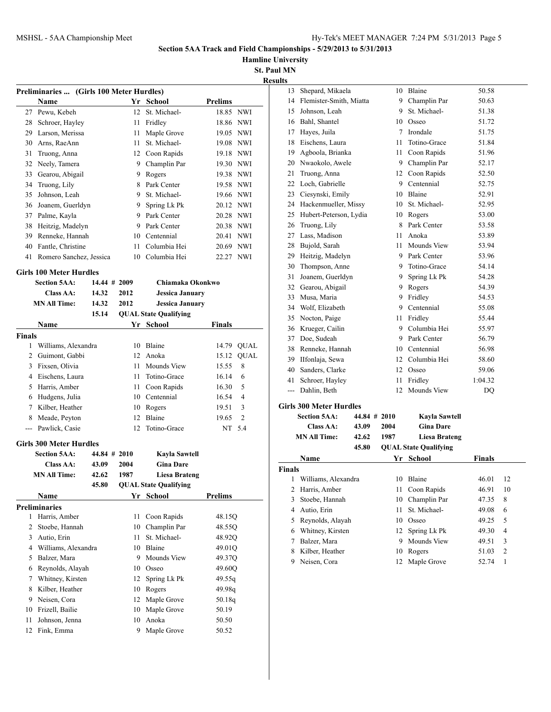**Hamline University**

| Results |
|---------|
|---------|

|               | Preliminaries  (Girls 100 Meter Hurdles) |                 |      |                              |                         |
|---------------|------------------------------------------|-----------------|------|------------------------------|-------------------------|
|               | Name                                     |                 | Yr   | School                       | <b>Prelims</b>          |
| 27            | Pewu, Kebeh                              |                 | 12   | St. Michael-                 | 18.85 NWI               |
|               | 28 Schroer, Hayley                       |                 | 11   | Fridley                      | 18.86 NWI               |
|               | 29 Larson, Merissa                       |                 | 11   | Maple Grove                  | 19.05 NWI               |
|               | 30 Arns, RaeAnn                          |                 | 11 - | St. Michael-                 | 19.08 NWI               |
|               | 31 Truong, Anna                          |                 |      | 12 Coon Rapids               | 19.18 NWI               |
|               | 32 Neely, Tamera                         |                 |      | 9 Champlin Par               | 19.30 NWI               |
|               | 33 Gearou, Abigail                       |                 | 9    | Rogers                       | 19.38 NWI               |
|               | 34 Truong, Lily                          |                 |      | 8 Park Center                | 19.58 NWI               |
|               | 35 Johnson, Leah                         |                 |      | 9 St. Michael-               | 19.66 NWI               |
|               | 36 Joanem, Guerldyn                      |                 | 9.   | Spring Lk Pk                 | 20.12 NWI               |
|               | 37 Palme, Kayla                          |                 |      | 9 Park Center                | 20.28 NWI               |
|               | 38 Heitzig, Madelyn                      |                 |      | 9 Park Center                | 20.38 NWI               |
|               | 39 Renneke, Hannah                       |                 |      | 10 Centennial                | 20.41 NWI               |
|               | 40 Fantle, Christine                     |                 | 11   | Columbia Hei                 | 20.69 NWI               |
| 41            | Romero Sanchez, Jessica                  |                 | 10   | Columbia Hei                 | 22.27 NWI               |
|               |                                          |                 |      |                              |                         |
|               | <b>Girls 100 Meter Hurdles</b>           |                 |      |                              |                         |
|               | <b>Section 5AA:</b>                      | $14.44 \# 2009$ |      | Chiamaka Okonkwo             |                         |
|               | Class AA:                                | 14.32           | 2012 | <b>Jessica January</b>       |                         |
|               | <b>MN All Time:</b>                      | 14.32           | 2012 | <b>Jessica January</b>       |                         |
|               |                                          | 15.14           |      | <b>QUAL State Qualifying</b> |                         |
|               | Name                                     |                 |      | Yr School                    | <b>Finals</b>           |
| <b>Finals</b> |                                          |                 |      |                              |                         |
| 1             | Williams, Alexandra                      |                 | 10   | Blaine                       | <b>QUAL</b><br>14.79    |
|               | 2 Guimont, Gabbi                         |                 | 12   | Anoka                        | <b>QUAL</b><br>15.12    |
|               | 3 Fixsen, Olivia                         |                 | 11   | <b>Mounds View</b>           | 8<br>15.55              |
|               | 4 Eischens, Laura                        |                 | 11   | Totino-Grace                 | 16.14<br>6              |
|               | 5 Harris, Amber                          |                 | 11   | Coon Rapids                  | 5<br>16.30              |
|               | 6 Hudgens, Julia                         |                 |      | 10 Centennial                | $\overline{4}$<br>16.54 |
|               | 7 Kilber, Heather                        |                 |      | 10 Rogers                    | 19.51<br>3              |
|               | 8 Meade, Peyton                          |                 | 12   | Blaine                       | 2<br>19.65              |
| $---$         | Pawlick, Casie                           |                 | 12   | Totino-Grace                 | NT 5.4                  |
|               | <b>Girls 300 Meter Hurdles</b>           |                 |      |                              |                         |
|               | <b>Section 5AA:</b>                      | $44.84 \# 2010$ |      | Kavla Sawtell                |                         |
|               | Class AA:                                | 43.09           | 2004 | <b>Gina Dare</b>             |                         |
|               | <b>MN All Time:</b>                      | 42.62           | 1987 | <b>Liesa Brateng</b>         |                         |
|               |                                          | 45.80           |      | <b>QUAL State Qualifying</b> |                         |
|               | Name                                     |                 | Yr   | School                       | <b>Prelims</b>          |
|               | <b>Preliminaries</b>                     |                 |      |                              |                         |
| 1             | Harris, Amber                            |                 | 11   | Coon Rapids                  | 48.15Q                  |
| 2             | Stoebe, Hannah                           |                 | 10   | Champlin Par                 | 48.55Q                  |
| 3             | Autio, Erin                              |                 | 11   | St. Michael-                 | 48.92Q                  |
| 4             | Williams, Alexandra                      |                 | 10   | Blaine                       | 49.01Q                  |
| 5             | Balzer, Mara                             |                 | 9    | Mounds View                  | 49.37Q                  |
| 6             | Reynolds, Alayah                         |                 | 10   | Osseo                        | 49.60Q                  |
| 7             | Whitney, Kirsten                         |                 | 12   | Spring Lk Pk                 | 49.55q                  |
| 8             | Kilber, Heather                          |                 | 10   | Rogers                       | 49.98g                  |
| 9             | Neisen, Cora                             |                 | 12   | Maple Grove                  | 50.18q                  |
| 10            | Frizell, Bailie                          |                 | 10   | Maple Grove                  | 50.19                   |
| 11            | Johnson, Jenna                           |                 | 10   | Anoka                        | 50.50                   |
| 12            | Fink, Emma                               |                 | 9    | Maple Grove                  | 50.52                   |
|               |                                          |                 |      |                              |                         |

| 13  | Shepard, Mikaela               | 10              | Blaine        | 50.58   |
|-----|--------------------------------|-----------------|---------------|---------|
| 14  | Flemister-Smith, Miatta        | 9               | Champlin Par  | 50.63   |
| 15  | Johnson, Leah                  | 9               | St. Michael-  | 51.38   |
| 16  | Bahl, Shantel                  | 10              | Osseo         | 51.72   |
| 17  | Hayes, Juila                   | $\tau$          | Irondale      | 51.75   |
| 18  | Eischens, Laura                | 11              | Totino-Grace  | 51.84   |
| 19  | Agboola, Brianka               | 11              | Coon Rapids   | 51.96   |
| 20  | Nwaokolo, Awele                | 9               | Champlin Par  | 52.17   |
| 21  | Truong, Anna                   | 12              | Coon Rapids   | 52.50   |
| 22  | Loch, Gabrielle                | 9               | Centennial    | 52.75   |
| 23  | Ciesynski, Emily               | 10              | Blaine        | 52.91   |
| 24  | Hackenmueller, Missy           | 10              | St. Michael-  | 52.95   |
| 25  | Hubert-Peterson, Lydia         | 10              | Rogers        | 53.00   |
| 26  | Truong, Lily                   | 8               | Park Center   | 53.58   |
| 27  | Lass, Madison                  | 11              | Anoka         | 53.89   |
| 28  | Bujold, Sarah                  | 11              | Mounds View   | 53.94   |
| 29  | Heitzig, Madelyn               | 9               | Park Center   | 53.96   |
| 30  | Thompson, Anne                 | 9               | Totino-Grace  | 54.14   |
| 31  | Joanem, Guerldyn               | 9               | Spring Lk Pk  | 54.28   |
| 32  | Gearou, Abigail                | 9               | Rogers        | 54.39   |
| 33  | Musa, Maria                    | 9               | Fridley       | 54.53   |
| 34  | Wolf, Elizabeth                | 9               | Centennial    | 55.08   |
| 35  | Nocton, Paige                  | 11              | Fridley       | 55.44   |
| 36  | Krueger, Cailin                | 9               | Columbia Hei  | 55.97   |
| 37  | Doe, Sudeah                    | 9               | Park Center   | 56.79   |
| 38  | Renneke, Hannah                | 10              | Centennial    | 56.98   |
| 39  | IIfonlaja, Sewa                | 12              | Columbia Hei  | 58.60   |
| 40  | Sanders, Clarke                | 12              | Osseo         | 59.06   |
| 41  | Schroer, Hayley                | 11              | Fridley       | 1:04.32 |
| --- | Dahlin, Beth                   | 12              | Mounds View   | DQ      |
|     | <b>Girls 300 Meter Hurdles</b> |                 |               |         |
|     | Section 5AA: -                 | $44.84 \# 2010$ | Kavla Sawtell |         |

|               | 06.UUH JAA<br>Class AA: |       | 77.07 # 40.00 | IXAVIA ЭАWLCII               |               |                |
|---------------|-------------------------|-------|---------------|------------------------------|---------------|----------------|
|               |                         |       | 2004          | <b>Gina Dare</b>             |               |                |
|               | <b>MN All Time:</b>     | 42.62 | 1987          | Liesa Brateng                |               |                |
|               |                         | 45.80 |               | <b>QUAL State Qualifying</b> |               |                |
|               | Name                    |       | Yr            | School                       | <b>Finals</b> |                |
| <b>Finals</b> |                         |       |               |                              |               |                |
| 1             | Williams, Alexandra     |       | 10            | Blaine                       | 46.01         | 12             |
| 2             | Harris, Amber           |       | 11            | Coon Rapids                  | 46.91         | 10             |
| 3             | Stoebe, Hannah          |       | 10            | Champlin Par                 | 47.35         | 8              |
| 4             | Autio, Erin             |       | 11            | St. Michael-                 | 49.08         | 6              |
| 5             | Reynolds, Alayah        |       | 10            | Osseo                        | 49.25         | 5              |
| 6             | Whitney, Kirsten        |       |               | 12 Spring Lk Pk              | 49.30         | 4              |
| 7             | Balzer, Mara            |       | 9             | Mounds View                  | 49.51         | 3              |
| 8             | Kilber, Heather         |       | 10            | Rogers                       | 51.03         | $\overline{c}$ |
| 9             | Neisen, Cora            |       | 12            | Maple Grove                  | 52.74         |                |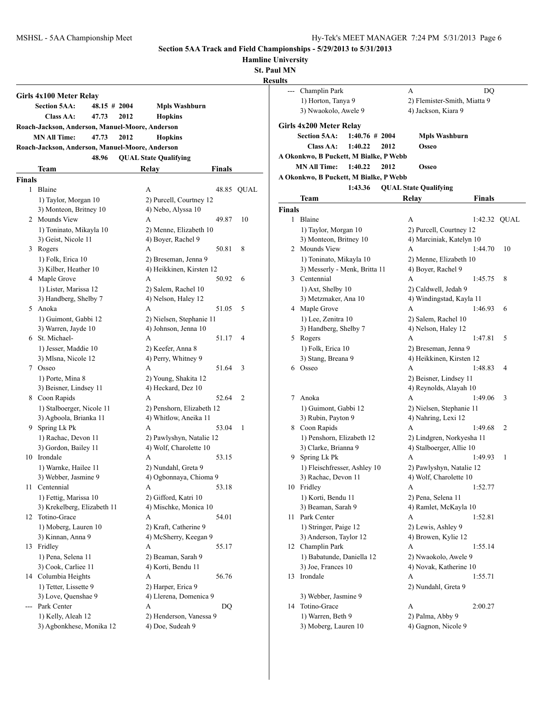|  | <b>Hamline University</b> |
|--|---------------------------|
|  |                           |

**St. Paul MN**

|        | Girls 4x100 Meter Relay                         |              |      |                                                |        |            |
|--------|-------------------------------------------------|--------------|------|------------------------------------------------|--------|------------|
|        | Section 5AA:                                    | 48.15 # 2004 |      | Mpls Washburn                                  |        |            |
|        | Class AA:                                       | 47.73        | 2012 | <b>Hopkins</b>                                 |        |            |
|        | Roach-Jackson, Anderson, Manuel-Moore, Anderson |              |      |                                                |        |            |
|        | <b>MN All Time:</b>                             | 47.73        | 2012 | <b>Hopkins</b>                                 |        |            |
|        | Roach-Jackson, Anderson, Manuel-Moore, Anderson |              |      |                                                |        |            |
|        |                                                 | 48.96        |      | <b>QUAL State Qualifying</b>                   |        |            |
|        | Team                                            |              |      | Relay                                          | Finals |            |
| Finals |                                                 |              |      |                                                |        |            |
| 1      | Blaine                                          |              |      | А                                              |        | 48.85 OUAL |
|        | 1) Taylor, Morgan 10                            |              |      | 2) Purcell, Courtney 12                        |        |            |
|        | 3) Monteon, Britney 10                          |              |      | 4) Nebo, Alyssa 10                             |        |            |
| 2      | <b>Mounds View</b>                              |              |      | A                                              | 49.87  | 10         |
|        | 1) Toninato, Mikayla 10                         |              |      | 2) Menne, Elizabeth 10                         |        |            |
|        | 3) Geist, Nicole 11                             |              |      | 4) Boyer, Rachel 9                             |        |            |
| 3      | Rogers                                          |              |      | А                                              | 50.81  | 8          |
|        | 1) Folk, Erica 10                               |              |      | 2) Breseman, Jenna 9                           |        |            |
|        | 3) Kilber, Heather 10                           |              |      | 4) Heikkinen, Kirsten 12                       |        |            |
|        | 4 Maple Grove                                   |              |      | A                                              | 50.92  | 6          |
|        | 1) Lister, Marissa 12                           |              |      | 2) Salem, Rachel 10                            |        |            |
|        | 3) Handberg, Shelby 7                           |              |      | 4) Nelson, Haley 12                            |        |            |
| 5.     | Anoka                                           |              |      | А                                              | 51.05  | 5          |
|        | 1) Guimont, Gabbi 12                            |              |      | 2) Nielsen, Stephanie 11                       |        |            |
|        | 3) Warren, Jayde 10                             |              |      | 4) Johnson, Jenna 10                           |        |            |
|        | 6 St. Michael-                                  |              |      | A                                              | 51.17  | 4          |
|        | 1) Jesser, Maddie 10                            |              |      | 2) Keefer, Anna 8                              |        |            |
|        | 3) Mlsna, Nicole 12                             |              |      | 4) Perry, Whitney 9                            |        |            |
| 7      | Osseo                                           |              |      | А                                              | 51.64  | 3          |
|        | 1) Porte, Mina 8                                |              |      | 2) Young, Shakita 12                           |        |            |
|        | 3) Beisner, Lindsey 11                          |              |      | 4) Heckard, Dez 10                             |        |            |
|        | 8 Coon Rapids                                   |              |      | А                                              | 52.64  | 2          |
|        | 1) Stalboerger, Nicole 11                       |              |      | 2) Penshorn, Elizabeth 12                      |        |            |
|        | 3) Agboola, Brianka 11                          |              |      | 4) Whitlow, Aneika 11                          |        |            |
| 9      | Spring Lk Pk                                    |              |      | А                                              | 53.04  | 1          |
|        | 1) Rachac, Devon 11                             |              |      | 2) Pawlyshyn, Natalie 12                       |        |            |
|        | 3) Gordon, Bailey 11                            |              |      | 4) Wolf, Charolette 10                         |        |            |
| 10     | Irondale                                        |              |      | А                                              | 53.15  |            |
|        | 1) Warnke, Hailee 11                            |              |      | 2) Nundahl, Greta 9                            |        |            |
|        | 3) Webber, Jasmine 9                            |              |      | 4) Ogbonnaya, Chioma 9                         |        |            |
| 11     | Centennial                                      |              |      | А                                              | 53.18  |            |
|        | 1) Fettig, Marissa 10                           |              |      | 2) Gifford, Katri 10                           |        |            |
|        | 3) Krekelberg, Elizabeth 11                     |              |      | 4) Mischke, Monica 10                          |        |            |
| 12     | Totino-Grace                                    |              |      | A                                              | 54.01  |            |
|        | 1) Moberg, Lauren 10                            |              |      | 2) Kraft, Catherine 9<br>4) McSherry, Keegan 9 |        |            |
| 13     | 3) Kinnan, Anna 9<br>Fridley                    |              |      | A                                              | 55.17  |            |
|        | 1) Pena, Selena 11                              |              |      | 2) Beaman, Sarah 9                             |        |            |
|        | 3) Cook, Carliee 11                             |              |      | 4) Korti, Bendu 11                             |        |            |
|        | 14 Columbia Heights                             |              |      | А                                              | 56.76  |            |
|        | 1) Tetter, Lissette 9                           |              |      | 2) Harper, Erica 9                             |        |            |
|        | 3) Love, Quenshae 9                             |              |      | 4) Llerena, Domenica 9                         |        |            |
| ---    | Park Center                                     |              |      | Α                                              | DQ     |            |
|        | 1) Kelly, Aleah 12                              |              |      | 2) Henderson, Vanessa 9                        |        |            |
|        | 3) Agbonkhese, Monika 12                        |              |      | 4) Doe, Sudeah 9                               |        |            |
|        |                                                 |              |      |                                                |        |            |

| UI MIN |                                           |                   |                                         |              |    |
|--------|-------------------------------------------|-------------------|-----------------------------------------|--------------|----|
| ults   |                                           |                   |                                         |              |    |
|        | Champlin Park                             |                   | A                                       | DQ           |    |
|        | 1) Horton, Tanya 9                        |                   | 2) Flemister-Smith, Miatta 9            |              |    |
|        | 3) Nwaokolo, Awele 9                      |                   | 4) Jackson, Kiara 9                     |              |    |
|        | Girls 4x200 Meter Relay                   |                   |                                         |              |    |
|        | <b>Section 5AA:</b>                       | $1:40.76 \# 2004$ | <b>Mpls Washburn</b>                    |              |    |
|        | <b>Class AA:</b>                          | 1:40.22<br>2012   | Osseo                                   |              |    |
|        | A Okonkwo, B Puckett, M Bialke, P Webb    |                   |                                         |              |    |
|        | <b>MN All Time:</b>                       | 1:40.22<br>2012   | Osseo                                   |              |    |
|        | A Okonkwo, B Puckett, M Bialke, P Webb    |                   |                                         |              |    |
|        |                                           | 1:43.36           | <b>QUAL State Qualifying</b>            |              |    |
|        | Team                                      |                   | Relay                                   | Finals       |    |
| Finals |                                           |                   |                                         |              |    |
| 1      | Blaine                                    |                   | А                                       | 1:42.32 QUAL |    |
|        | 1) Taylor, Morgan 10                      |                   | 2) Purcell, Courtney 12                 |              |    |
|        | 3) Monteon, Britney 10                    |                   | 4) Marciniak, Katelyn 10                |              |    |
|        | 2 Mounds View                             |                   | А                                       | 1:44.70      | 10 |
|        | 1) Toninato, Mikayla 10                   |                   | 2) Menne, Elizabeth 10                  |              |    |
|        | 3) Messerly - Menk, Britta 11             |                   | 4) Boyer, Rachel 9                      |              |    |
|        | 3 Centennial                              |                   | A                                       | 1:45.75      | 8  |
|        | 1) Axt, Shelby 10                         |                   | 2) Caldwell, Jedah 9                    |              |    |
|        | 3) Metzmaker, Ana 10                      |                   | 4) Windingstad, Kayla 11                |              |    |
|        | 4 Maple Grove                             |                   | А                                       | 1:46.93      | 6  |
|        | 1) Lee, Zenitra 10                        |                   | 2) Salem, Rachel 10                     |              |    |
|        | 3) Handberg, Shelby 7                     |                   | 4) Nelson, Haley 12                     |              |    |
|        | 5 Rogers                                  |                   | A                                       | 1:47.81      | 5  |
|        | 1) Folk, Erica 10                         |                   | 2) Breseman, Jenna 9                    |              |    |
|        | 3) Stang, Breana 9                        |                   | 4) Heikkinen, Kirsten 12                |              |    |
| 6      | Osseo                                     |                   | А                                       | 1:48.83      | 4  |
|        |                                           |                   | 2) Beisner, Lindsey 11                  |              |    |
|        |                                           |                   | 4) Reynolds, Alayah 10                  |              |    |
| 7      | Anoka                                     |                   | A                                       | 1:49.06      | 3  |
|        | 1) Guimont, Gabbi 12                      |                   | 2) Nielsen, Stephanie 11                |              |    |
|        | 3) Rubin, Payton 9                        |                   | 4) Nahring, Lexi 12                     |              |    |
|        | 8 Coon Rapids                             |                   | A                                       | 1:49.68      | 2  |
|        | 1) Penshorn, Elizabeth 12                 |                   | 2) Lindgren, Norkyesha 11               |              |    |
|        | 3) Clarke, Brianna 9                      |                   | 4) Stalboerger, Allie 10                |              |    |
|        | 9 Spring Lk Pk                            |                   | А                                       | 1:49.93      | 1  |
|        | 1) Fleischfresser, Ashley 10              |                   | 2) Pawlyshyn, Natalie 12                |              |    |
|        | 3) Rachac, Devon 11                       |                   | 4) Wolf, Charolette 10                  |              |    |
|        | 10 Fridley                                |                   | А                                       | 1:52.77      |    |
|        | 1) Korti, Bendu 11                        |                   | 2) Pena, Selena 11                      |              |    |
|        | 3) Beaman, Sarah 9                        |                   | 4) Ramlet, McKayla 10                   |              |    |
| 11     | Park Center                               |                   | A                                       | 1:52.81      |    |
|        | 1) Stringer, Paige 12                     |                   | 2) Lewis, Ashley 9                      |              |    |
|        | 3) Anderson, Taylor 12                    |                   | 4) Browen, Kylie 12                     |              |    |
|        | 12 Champlin Park                          |                   | A                                       | 1:55.14      |    |
|        | 1) Babatunde, Daniella 12                 |                   | 2) Nwaokolo, Awele 9                    |              |    |
|        | 3) Joe, Frances 10                        |                   | 4) Novak, Katherine 10                  |              |    |
| 13     | Irondale                                  |                   | A                                       | 1:55.71      |    |
|        |                                           |                   | 2) Nundahl, Greta 9                     |              |    |
|        | 3) Webber, Jasmine 9                      |                   |                                         |              |    |
|        | 14 Totino-Grace                           |                   | А                                       | 2:00.27      |    |
|        | 1) Warren, Beth 9<br>3) Moberg, Lauren 10 |                   | 2) Palma, Abby 9<br>4) Gagnon, Nicole 9 |              |    |
|        |                                           |                   |                                         |              |    |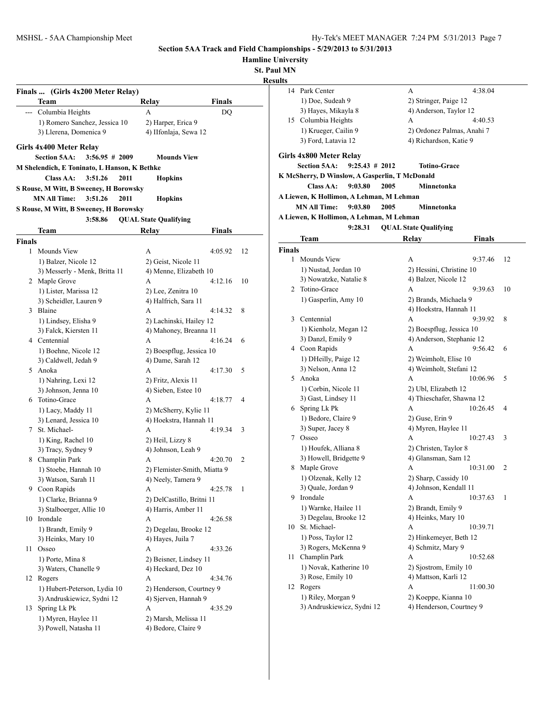**Hamline University**

**St. Paul MN**

| Finals<br>DQ<br><b>Finals</b><br>4:05.92<br>12 |
|------------------------------------------------|
|                                                |
|                                                |
|                                                |
|                                                |
|                                                |
|                                                |
|                                                |
|                                                |
|                                                |
|                                                |
|                                                |
|                                                |
|                                                |
|                                                |
|                                                |
|                                                |
|                                                |
|                                                |
| 4:12.16<br>10                                  |
|                                                |
|                                                |
| 4:14.32<br>8                                   |
|                                                |
|                                                |
| 4:16.24<br>6                                   |
|                                                |
|                                                |
| 5<br>4:17.30                                   |
|                                                |
|                                                |
| 4:18.77<br>4                                   |
|                                                |
|                                                |
| 4:19.34<br>3                                   |
|                                                |
|                                                |
| 4:20.70<br>2                                   |
| 2) Flemister-Smith, Miatta 9                   |
|                                                |
| 4:25.78<br>1                                   |
|                                                |
|                                                |
| 4:26.58                                        |
|                                                |
|                                                |
| 4:33.26                                        |
|                                                |
|                                                |
| 4:34.76                                        |
|                                                |
|                                                |
|                                                |
| 4:35.29                                        |
|                                                |
| 2) Henderson, Courtney 9                       |

| ин нутгу<br>ults |                                                |                                               |    |
|------------------|------------------------------------------------|-----------------------------------------------|----|
| 14               | Park Center                                    | А<br>4:38.04                                  |    |
|                  | 1) Doe, Sudeah 9                               | 2) Stringer, Paige 12                         |    |
|                  | 3) Hayes, Mikayla 8                            | 4) Anderson, Taylor 12                        |    |
|                  | 15 Columbia Heights                            | A<br>4:40.53                                  |    |
|                  | 1) Krueger, Cailin 9                           | 2) Ordonez Palmas, Anahi 7                    |    |
|                  | 3) Ford, Latavia 12                            | 4) Richardson, Katie 9                        |    |
|                  |                                                |                                               |    |
|                  | Girls 4x800 Meter Relay                        |                                               |    |
|                  | <b>Section 5AA:</b><br>$9:25.43 \# 2012$       | <b>Totino-Grace</b>                           |    |
|                  | K McSherry, D Winslow, A Gasperlin, T McDonald |                                               |    |
|                  | 9:03.80<br>Class AA:                           | 2005<br>Minnetonka                            |    |
|                  | A Liewen, K Hollimon, A Lehman, M Lehman       |                                               |    |
|                  | <b>MN All Time:</b><br>9:03.80                 | 2005<br>Minnetonka                            |    |
|                  | A Liewen, K Hollimon, A Lehman, M Lehman       |                                               |    |
|                  | 9:28.31                                        | <b>QUAL State Qualifying</b>                  |    |
|                  | Team                                           | Relay<br>Finals                               |    |
| <b>Finals</b>    |                                                |                                               |    |
| 1                | Mounds View                                    | A<br>9:37.46                                  | 12 |
|                  | 1) Nustad, Jordan 10                           | 2) Hessini, Christine 10                      |    |
|                  | 3) Nowatzke, Natalie 8                         | 4) Balzer, Nicole 12                          |    |
|                  | 2 Totino-Grace                                 | 9:39.63<br>A                                  | 10 |
|                  | 1) Gasperlin, Amy 10                           | 2) Brands, Michaela 9                         |    |
|                  |                                                | 4) Hoekstra, Hannah 11                        |    |
| 3                | Centennial                                     | 9:39.92<br>A                                  | 8  |
|                  | 1) Kienholz, Megan 12                          | 2) Boespflug, Jessica 10                      |    |
|                  | 3) Danzl, Emily 9                              | 4) Anderson, Stephanie 12                     |    |
|                  | 4 Coon Rapids                                  | 9:56.42<br>А                                  | 6  |
|                  | 1) DHeilly, Paige 12                           | 2) Weimholt, Elise 10                         |    |
|                  | 3) Nelson, Anna 12                             | 4) Weimholt, Stefani 12                       |    |
|                  | 5 Anoka                                        | A<br>10:06.96                                 | 5  |
|                  | 1) Corbin, Nicole 11                           | 2) Ubl, Elizabeth 12                          |    |
|                  | 3) Gast, Lindsey 11                            | 4) Thieschafer, Shawna 12                     |    |
|                  | 6 Spring Lk Pk                                 | 10:26.45<br>А                                 | 4  |
|                  | 1) Bedore, Claire 9                            | 2) Guse, Erin 9                               |    |
|                  | 3) Super, Jacey 8                              | 4) Myren, Haylee 11                           |    |
|                  | 7 Osseo                                        | А<br>10:27.43                                 | 3  |
|                  | 1) Houfek, Alliana 8                           | 2) Christen, Taylor 8                         |    |
|                  | 3) Howell, Bridgette 9                         | 4) Glansman, Sam 12                           |    |
| 8                | Maple Grove                                    | А<br>10:31.00                                 | 2  |
|                  | 1) Olzenak, Kelly 12                           | 2) Sharp, Cassidy 10                          |    |
|                  | 3) Quale, Jordan 9                             | 4) Johnson, Kendall 11                        |    |
|                  | 9 Irondale                                     | 10:37.63<br>А                                 | 1  |
|                  | 1) Warnke, Hailee 11                           | 2) Brandt, Emily 9                            |    |
|                  | 3) Degelau, Brooke 12                          | 4) Heinks, Mary 10                            |    |
| 10               | St. Michael-                                   | А<br>10:39.71                                 |    |
|                  | 1) Poss, Taylor 12                             | 2) Hinkemeyer, Beth 12                        |    |
| 11               | 3) Rogers, McKenna 9<br>Champlin Park          | 4) Schmitz, Mary 9<br>А<br>10:52.68           |    |
|                  |                                                |                                               |    |
|                  | 1) Novak, Katherine 10                         | 2) Sjostrom, Emily 10<br>4) Mattson, Karli 12 |    |
|                  | 3) Rose, Emily 10                              |                                               |    |
|                  | 12 Rogers                                      | А<br>11:00.30                                 |    |
|                  | 1) Riley, Morgan 9                             | 2) Koeppe, Kianna 10                          |    |
|                  | 3) Andruskiewicz, Sydni 12                     | 4) Henderson, Courtney 9                      |    |
|                  |                                                |                                               |    |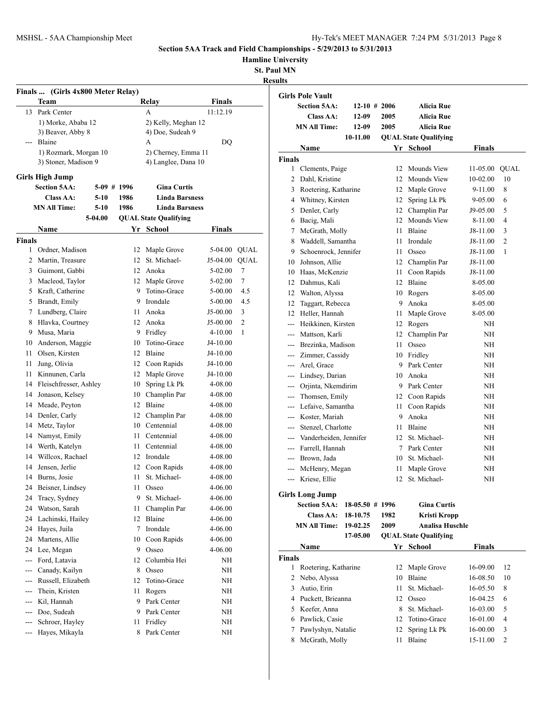**Hamline University**

**St. Paul MN**

|                | Finals  (Girls 4x800 Meter Relay) |             |      |                              |               |             |
|----------------|-----------------------------------|-------------|------|------------------------------|---------------|-------------|
|                | Team                              |             |      | Relay                        | <b>Finals</b> |             |
| 13             | Park Center                       |             |      | A                            | 11:12.19      |             |
|                | 1) Morke, Ababa 12                |             |      | 2) Kelly, Meghan 12          |               |             |
|                | 3) Beaver, Abby 8                 |             |      | 4) Doe, Sudeah 9             |               |             |
| ---            | Blaine                            |             |      | A                            | DQ            |             |
|                | 1) Rozmark, Morgan 10             |             |      | 2) Cherney, Emma 11          |               |             |
|                | 3) Stoner, Madison 9              |             |      | 4) Langlee, Dana 10          |               |             |
|                | <b>Girls High Jump</b>            |             |      |                              |               |             |
|                | <b>Section 5AA:</b>               | 5-09 # 1996 |      | <b>Gina Curtis</b>           |               |             |
|                | Class AA:                         | $5-10$      | 1986 | <b>Linda Barsness</b>        |               |             |
|                | <b>MN All Time:</b>               | 5-10        | 1986 | <b>Linda Barsness</b>        |               |             |
|                |                                   | 5-04.00     |      | <b>QUAL State Qualifying</b> |               |             |
|                | Name                              |             |      | Yr School                    | <b>Finals</b> |             |
| <b>Finals</b>  |                                   |             |      |                              |               |             |
| 1              | Ordner, Madison                   |             | 12   | Maple Grove                  | 5-04.00       | <b>QUAL</b> |
| 2              | Martin, Treasure                  |             | 12   | St. Michael-                 | J5-04.00      | <b>QUAL</b> |
|                | 3 Guimont, Gabbi                  |             |      | 12 Anoka                     | 5-02.00       | 7           |
|                | 3 Macleod, Taylor                 |             |      | 12 Maple Grove               | 5-02.00       | 7           |
|                | 5 Kraft, Catherine                |             | 9    | Totino-Grace                 | 5-00.00       | 4.5         |
|                | 5 Brandt, Emily                   |             |      | 9 Irondale                   | 5-00.00       | 4.5         |
| 7              | Lundberg, Claire                  |             | 11 - | Anoka                        | J5-00.00      | 3           |
| 8              | Hlavka, Courtney                  |             |      | 12 Anoka                     | J5-00.00      | 2           |
| 9              | Musa, Maria                       |             | 9.   | Fridley                      | 4-10.00       | 1           |
|                | 10 Anderson, Maggie               |             | 10   | Totino-Grace                 | J4-10.00      |             |
| 11             | Olsen, Kirsten                    |             |      | 12 Blaine                    | J4-10.00      |             |
| 11             | Jung, Olivia                      |             |      | 12 Coon Rapids               | J4-10.00      |             |
| 11             | Kinnunen, Carla                   |             | 12   | Maple Grove                  | J4-10.00      |             |
|                | 14 Fleischfresser, Ashley         |             | 10   | Spring Lk Pk                 | 4-08.00       |             |
| 14             | Jonason, Kelsey                   |             |      | 10 Champlin Par              | 4-08.00       |             |
|                | 14 Meade, Peyton                  |             |      | 12 Blaine                    | 4-08.00       |             |
| 14             | Denler, Carly                     |             |      | 12 Champlin Par              | 4-08.00       |             |
| 14             | Metz, Taylor                      |             |      | 10 Centennial                | 4-08.00       |             |
| 14             | Namyst, Emily                     |             | 11   | Centennial                   | 4-08.00       |             |
| 14             | Werth, Katelyn                    |             | 11 - | Centennial                   | 4-08.00       |             |
|                | 14 Willcox, Rachael               |             |      | 12 Irondale                  | 4-08.00       |             |
| 14             | Jensen, Jerlie                    |             | 12   | Coon Rapids                  | 4-08.00       |             |
| 14             | Burns, Josie                      |             | 11   | St. Michael-                 | 4-08.00       |             |
| 24             | Beisner, Lindsey                  |             | 11   | Osseo                        | 4-06.00       |             |
| 24             | Tracy, Sydney                     |             | 9    | St. Michael-                 | 4-06.00       |             |
| 24             | Watson, Sarah                     |             | 11   | Champlin Par                 | 4-06.00       |             |
| 24             | Lachinski, Hailey                 |             | 12   | Blaine                       | 4-06.00       |             |
| 24             | Hayes, Juila                      |             |      | 7 Irondale                   | 4-06.00       |             |
| 24             | Martens, Allie                    |             | 10   | Coon Rapids                  | 4-06.00       |             |
| 24             | Lee, Megan                        |             | 9.   | Osseo                        | 4-06.00       |             |
| ---            | Ford, Latavia                     |             | 12   | Columbia Hei                 | NH            |             |
| ---            | Canady, Kailyn                    |             | 8    | Osseo                        | NΗ            |             |
| ---            | Russell, Elizabeth                |             | 12   | Totino-Grace                 | NΗ            |             |
| ---            | Thein, Kristen                    |             | 11   | Rogers                       | NH            |             |
| $\overline{a}$ | Kil, Hannah                       |             | 9.   | Park Center                  | NΗ            |             |
| ---            | Doe, Sudeah                       |             | 9.   | Park Center                  | NΗ            |             |
|                | Schroer, Hayley                   |             | 11   | Fridley                      | NH            |             |
| ---            | Hayes, Mikayla                    |             | 8    | Park Center                  | NΗ            |             |
|                |                                   |             |      |                              |               |             |

|                | <b>Girls Pole Vault</b>    |                   |      |                              |               |                |
|----------------|----------------------------|-------------------|------|------------------------------|---------------|----------------|
|                | <b>Section 5AA:</b>        | $12-10$ # 2006    |      | Alicia Rue                   |               |                |
|                | Class AA:                  | $12-09$           | 2005 | <b>Alicia Rue</b>            |               |                |
|                | <b>MN All Time:</b>        | 12-09             | 2005 | <b>Alicia Rue</b>            |               |                |
|                |                            | 10-11.00          |      | <b>QUAL State Qualifying</b> |               |                |
|                | Name                       |                   |      | Yr School                    | <b>Finals</b> |                |
| <b>Finals</b>  |                            |                   |      |                              |               |                |
| 1              | Clements, Paige            |                   | 12   | Mounds View                  | 11-05.00      | <b>QUAL</b>    |
| $\overline{2}$ | Dahl, Kristine             |                   | 12   | Mounds View                  | 10-02.00      | 10             |
| 3              | Roetering, Katharine       |                   | 12   | Maple Grove                  | 9-11.00       | 8              |
|                | 4 Whitney, Kirsten         |                   | 12   | Spring Lk Pk                 | 9-05.00       | 6              |
| 5.             | Denler, Carly              |                   |      | 12 Champlin Par              | J9-05.00      | 5              |
| 6              | Bacig, Mali                |                   |      | 12 Mounds View               | 8-11.00       | 4              |
| 7              | McGrath, Molly             |                   | 11   | Blaine                       | J8-11.00      | 3              |
| 8              | Waddell, Samantha          |                   | 11   | Irondale                     | J8-11.00      | $\overline{2}$ |
|                | 9 Schoenrock, Jennifer     |                   | 11 - | Osseo                        | J8-11.00      | 1              |
| 10             | Johnson, Allie             |                   |      | 12 Champlin Par              | J8-11.00      |                |
|                | 10 Haas, McKenzie          |                   | 11 - | Coon Rapids                  | $J8-11.00$    |                |
| 12             | Dahmus, Kali               |                   |      | 12 Blaine                    | 8-05.00       |                |
| 12             | Walton, Alyssa             |                   | 10   | Rogers                       | 8-05.00       |                |
| 12             | Taggart, Rebecca           |                   | 9    | Anoka                        | 8-05.00       |                |
| 12             | Heller, Hannah             |                   | 11.  | Maple Grove                  | 8-05.00       |                |
| $---$          | Heikkinen, Kirsten         |                   | 12   | Rogers                       | ΝH            |                |
| ---            | Mattson, Karli             |                   | 12   | Champlin Par                 | NH            |                |
|                | --- Brezinka, Madison      |                   | 11   | Osseo                        | ΝH            |                |
|                | --- Zimmer, Cassidy        |                   |      | 10 Fridley                   | NΗ            |                |
|                | --- Arel, Grace            |                   |      | 9 Park Center                | NH            |                |
| ---            | Lindsey, Darian            |                   |      | 10 Anoka                     | ΝH            |                |
| ---            | Orjinta, Nkemdirim         |                   |      | 9 Park Center                | NH            |                |
| $\overline{a}$ | Thomsen, Emily             |                   |      | 12 Coon Rapids               | NH            |                |
|                | --- Lefaive, Samantha      |                   | 11   | Coon Rapids                  | NH            |                |
|                | --- Koster, Mariah         |                   | 9    | Anoka                        | NΗ            |                |
|                | --- Stenzel, Charlotte     |                   | 11 - | Blaine                       | NΗ            |                |
|                | --- Vanderheiden, Jennifer |                   |      | 12 St. Michael-              | NΗ            |                |
|                | --- Farrell, Hannah        |                   |      | 7 Park Center                | NΗ            |                |
|                | --- Brown, Jada            |                   |      | 10 St. Michael-              | NΗ            |                |
|                | --- McHenry, Megan         |                   | 11   | Maple Grove                  | NΗ            |                |
|                | --- Kriese, Ellie          |                   | 12   | St. Michael-                 | ΝH            |                |
|                | <b>Girls Long Jump</b>     |                   |      |                              |               |                |
|                | <b>Section 5AA:</b>        | $18-05.50$ # 1996 |      | <b>Gina Curtis</b>           |               |                |
|                | Class AA:                  | 18-10.75          | 1982 | Kristi Kropp                 |               |                |
|                | <b>MN All Time:</b>        | 19-02.25          | 2009 | <b>Analisa Huschle</b>       |               |                |
|                |                            | 17-05.00          |      | <b>QUAL State Qualifying</b> |               |                |
|                | <b>Name</b>                |                   |      | Yr School                    | <b>Finals</b> |                |
| Finals         |                            |                   |      |                              |               |                |
| 1              | Roetering, Katharine       |                   | 12   | Maple Grove                  | 16-09.00      | 12             |
| 2              | Nebo, Alyssa               |                   | 10   | Blaine                       | 16-08.50      | 10             |
| 3              | Autio, Erin                |                   | 11   | St. Michael-                 | 16-05.50      | 8              |
|                | 4 Puckett, Brieanna        |                   | 12   | Osseo                        | 16-04.25      | 6              |
|                | 5 Keefer, Anna             |                   | 8    | St. Michael-                 | 16-03.00      | 5              |
|                | 6 Pawlick, Casie           |                   | 12   | Totino-Grace                 | 16-01.00      | 4              |
| 7              | Pawlyshyn, Natalie         |                   | 12   | Spring Lk Pk                 | 16-00.00      | 3              |
| 8              | McGrath, Molly             |                   | 11   | Blaine                       | 15-11.00      | 2              |
|                |                            |                   |      |                              |               |                |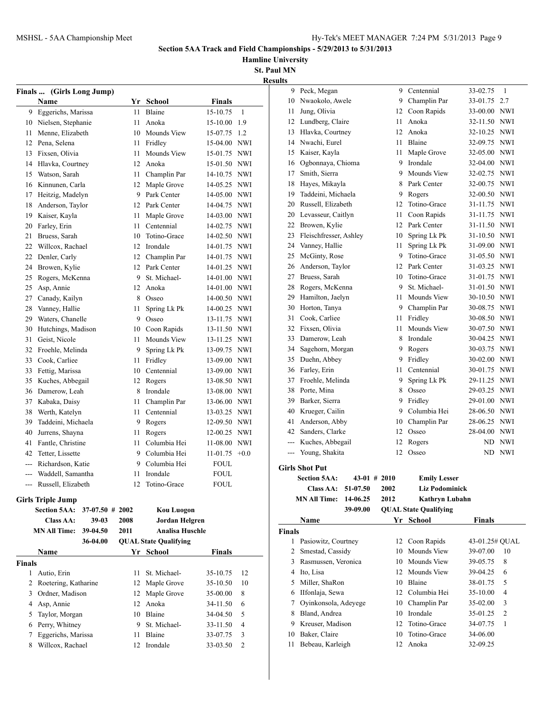**Hamline University**

|--|

|               | Finals  (Girls Long Jump)    |      |                              |                 |                |               | 9 Peck, Megan                |                |      | 9 Centennial                 | 33-02.75       | -1             |
|---------------|------------------------------|------|------------------------------|-----------------|----------------|---------------|------------------------------|----------------|------|------------------------------|----------------|----------------|
|               | Name                         |      | Yr School                    | <b>Finals</b>   |                |               | 10 Nwaokolo, Awele           |                | 9    | Champlin Par                 | 33-01.75 2.7   |                |
|               | 9 Eggerichs, Marissa         |      | 11 Blaine                    | 15-10.75        | 1              |               | 11 Jung, Olivia              |                | 12   | Coon Rapids                  | 33-00.00 NWI   |                |
|               | 10 Nielsen, Stephanie        |      | 11 Anoka                     | 15-10.00 1.9    |                |               | 12 Lundberg, Claire          |                | 11   | Anoka                        | 32-11.50 NWI   |                |
| 11            | Menne, Elizabeth             |      | 10 Mounds View               | 15-07.75 1.2    |                |               | 13 Hlavka, Courtney          |                | 12   | Anoka                        | 32-10.25 NWI   |                |
| 12            | Pena, Selena                 |      | 11 Fridley                   | 15-04.00 NWI    |                |               | 14 Nwachi, Eurel             |                | 11   | Blaine                       | 32-09.75 NWI   |                |
| 13            | Fixsen, Olivia               |      | 11 Mounds View               | 15-01.75 NWI    |                |               | 15 Kaiser, Kayla             |                | 11   | Maple Grove                  | 32-05.00 NWI   |                |
| 14            | Hlavka, Courtney             |      | 12 Anoka                     | 15-01.50 NWI    |                | 16            | Ogbonnaya, Chioma            |                | 9    | Irondale                     | 32-04.00 NWI   |                |
| 15            | Watson, Sarah                | 11   | Champlin Par                 | 14-10.75 NWI    |                | 17            | Smith, Sierra                |                | 9    | Mounds View                  | 32-02.75 NWI   |                |
| 16            | Kinnunen. Carla              |      | 12 Maple Grove               | 14-05.25 NWI    |                | 18            | Hayes, Mikayla               |                | 8    | Park Center                  | 32-00.75 NWI   |                |
|               | 17 Heitzig, Madelyn          | 9    | Park Center                  | 14-05.00 NWI    |                | 19            | Taddeini, Michaela           |                | 9    | Rogers                       | 32-00.50 NWI   |                |
| 18            | Anderson, Taylor             |      | 12 Park Center               | 14-04.75 NWI    |                | 20            | Russell, Elizabeth           |                | 12   | Totino-Grace                 | 31-11.75 NWI   |                |
| 19            | Kaiser, Kayla                |      | 11 Maple Grove               | 14-03.00 NWI    |                | 20            | Levasseur, Caitlyn           |                | 11   | Coon Rapids                  | 31-11.75 NWI   |                |
| 20            | Farley, Erin                 | 11   | Centennial                   | 14-02.75 NWI    |                | 22            | Browen, Kylie                |                | 12   | Park Center                  | 31-11.50 NWI   |                |
| 21            | Bruess, Sarah                | 10   | Totino-Grace                 | 14-02.50 NWI    |                | 23            | Fleischfresser, Ashley       |                | 10   | Spring Lk Pk                 | 31-10.50 NWI   |                |
| 22            | Willcox, Rachael             |      | 12 Irondale                  | 14-01.75 NWI    |                | 24            | Vanney, Hallie               |                | 11   | Spring Lk Pk                 | 31-09.00 NWI   |                |
| 22            | Denler, Carly                |      | 12 Champlin Par              | 14-01.75 NWI    |                | 25            | McGinty, Rose                |                | 9    | Totino-Grace                 | 31-05.50 NWI   |                |
| 24            | Browen, Kylie                |      | 12 Park Center               | 14-01.25 NWI    |                | 26            | Anderson, Taylor             |                | 12   | Park Center                  | 31-03.25 NWI   |                |
| 25            | Rogers, McKenna              | 9    | St. Michael-                 | 14-01.00 NWI    |                | 27            | Bruess, Sarah                |                | 10   | Totino-Grace                 | 31-01.75 NWI   |                |
| 25            | Asp, Annie                   |      | 12 Anoka                     | 14-01.00 NWI    |                | 28            | Rogers, McKenna              |                | 9    | St. Michael-                 | 31-01.50 NWI   |                |
| 27            | Canady, Kailyn               | 8    | Osseo                        | 14-00.50 NWI    |                | 29            | Hamilton, Jaelyn             |                |      | 11 Mounds View               | 30-10.50 NWI   |                |
| 28            | Vanney, Hallie               | 11   | Spring Lk Pk                 | 14-00.25 NWI    |                | 30            | Horton, Tanya                |                | 9    | Champlin Par                 | 30-08.75 NWI   |                |
| 29            | Waters, Chanelle             |      | 9 Osseo                      | 13-11.75 NWI    |                | 31            | Cook, Carliee                |                |      | 11 Fridley                   | 30-08.50 NWI   |                |
| 30            | Hutchings, Madison           |      | 10 Coon Rapids               | 13-11.50 NWI    |                |               | 32 Fixsen, Olivia            |                | 11.  | Mounds View                  | 30-07.50 NWI   |                |
| 31            | Geist, Nicole                |      | 11 Mounds View               | 13-11.25 NWI    |                | 33            | Damerow, Leah                |                | 8    | Irondale                     | 30-04.25 NWI   |                |
| 32            | Froehle, Melinda             | 9    | Spring Lk Pk                 | 13-09.75 NWI    |                | 34            | Sagehorn, Morgan             |                | 9    | Rogers                       | 30-03.75 NWI   |                |
| 33            | Cook, Carliee                |      | 11 Fridley                   | 13-09.00 NWI    |                | 35            | Duehn, Abbey                 |                | 9    | Fridley                      | 30-02.00 NWI   |                |
| 33            | Fettig, Marissa              | 10   | Centennial                   | 13-09.00 NWI    |                | 36            | Farley, Erin                 |                | 11   | Centennial                   | 30-01.75 NWI   |                |
| 35            | Kuches, Abbegail             |      | 12 Rogers                    | 13-08.50 NWI    |                | 37            | Froehle, Melinda             |                | 9    | Spring Lk Pk                 | 29-11.25 NWI   |                |
| 36            | Damerow, Leah                | 8    | Irondale                     | 13-08.00 NWI    |                | 38            | Porte, Mina                  |                | 8    | Osseo                        | 29-03.25 NWI   |                |
| 37            | Kabaka, Daisy                | 11   | Champlin Par                 | 13-06.00 NWI    |                | 39            | Barker, Sierra               |                | 9    | Fridley                      | 29-01.00 NWI   |                |
| 38            | Werth, Katelyn               | 11   | Centennial                   | 13-03.25 NWI    |                | 40            | Krueger, Cailin              |                | 9    | Columbia Hei                 | 28-06.50 NWI   |                |
| 39            | Taddeini, Michaela           | 9    | Rogers                       | 12-09.50 NWI    |                | 41            | Anderson, Abby               |                | 10   | Champlin Par                 | 28-06.25 NWI   |                |
| 40            | Jurrens, Shayna              |      | 11 Rogers                    | 12-00.25 NWI    |                | 42            | Sanders, Clarke              |                | 12   | Osseo                        | 28-04.00 NWI   |                |
| 41            | Fantle, Christine            |      | 11 Columbia Hei              | 11-08.00 NWI    |                |               | Kuches, Abbegail             |                | 12   | Rogers                       |                | ND NWI         |
| 42            | Tetter, Lissette             | 9    | Columbia Hei                 | $11-01.75$ +0.0 |                |               | --- Young, Shakita           |                |      | 12 Osseo                     |                | ND NWI         |
|               | Richardson, Katie            | 9    | Columbia Hei                 | <b>FOUL</b>     |                |               | <b>Girls Shot Put</b>        |                |      |                              |                |                |
|               | Waddell, Samantha            | 11   | Irondale                     | <b>FOUL</b>     |                |               | <b>Section 5AA:</b>          | $43-01$ # 2010 |      | <b>Emily Lesser</b>          |                |                |
|               | --- Russell, Elizabeth       |      | 12 Totino-Grace              | <b>FOUL</b>     |                |               | Class AA: $51-07.50$         |                | 2002 | <b>Liz Podominick</b>        |                |                |
|               | <b>Girls Triple Jump</b>     |      |                              |                 |                |               | <b>MN All Time: 14-06.25</b> |                | 2012 | Kathryn Lubahn               |                |                |
|               | Section 5AA: 37-07.50 # 2002 |      | <b>Kou Luogon</b>            |                 |                |               |                              | 39-09.00       |      | <b>QUAL State Qualifying</b> |                |                |
|               | $39-03$<br><b>Class AA:</b>  | 2008 | Jordan Helgren               |                 |                |               | Name                         |                |      | Yr School                    | <b>Finals</b>  |                |
|               | <b>MN All Time: 39-04.50</b> | 2011 | <b>Analisa Huschle</b>       |                 |                | <b>Finals</b> |                              |                |      |                              |                |                |
|               | 36-04.00                     |      | <b>QUAL State Qualifying</b> |                 |                |               | 1 Pasiowitz, Courtney        |                |      | 12 Coon Rapids               | 43-01.25# QUAL |                |
|               | Name                         |      | Yr School                    | <b>Finals</b>   |                |               | 2 Smestad, Cassidy           |                |      | 10 Mounds View               | 39-07.00       | -10            |
| <b>Finals</b> |                              |      |                              |                 |                |               | 3 Rasmussen, Veronica        |                |      | 10 Mounds View               | 39-05.75       | 8              |
|               | 1 Autio, Erin                |      | 11 St. Michael-              | 35-10.75        | 12             |               | 4 Ito, Lisa                  |                |      | 12 Mounds View               | 39-04.25       | -6             |
|               | 2 Roetering, Katharine       |      | 12 Maple Grove               | 35-10.50        | 10             |               | 5 Miller, ShaRon             |                |      | 10 Blaine                    | 38-01.75       | -5             |
|               | 3 Ordner, Madison            |      | 12 Maple Grove               | 35-00.00        | 8              |               | 6 IIfonlaja, Sewa            |                |      | 12 Columbia Hei              | 35-10.00       | -4             |
|               | 4 Asp, Annie                 |      | 12 Anoka                     | 34-11.50        | 6              |               | 7 Oyinkonsola, Adeyege       |                | 10   | Champlin Par                 | 35-02.00       | 3              |
| 5             | Taylor, Morgan               |      | 10 Blaine                    | 34-04.50        | 5              |               | 8 Bland, Andrea              |                |      | 10 Irondale                  | 35-01.25       | $\overline{c}$ |
| 6             | Perry, Whitney               | 9    | St. Michael-                 | 33-11.50        | $\overline{4}$ |               | 9 Kreuser, Madison           |                | 12   | Totino-Grace                 | 34-07.75       | -1             |
| 7             | Eggerichs, Marissa           |      | 11 Blaine                    | 33-07.75        | 3              |               | 10 Baker, Claire             |                | 10   | Totino-Grace                 | 34-06.00       |                |
|               | 8 Willcox, Rachael           |      | 12 Irondale                  | 33-03.50        | $\overline{2}$ |               | 11 Bebeau, Karleigh          |                |      | 12 Anoka                     | 32-09.25       |                |
|               |                              |      |                              |                 |                |               |                              |                |      |                              |                |                |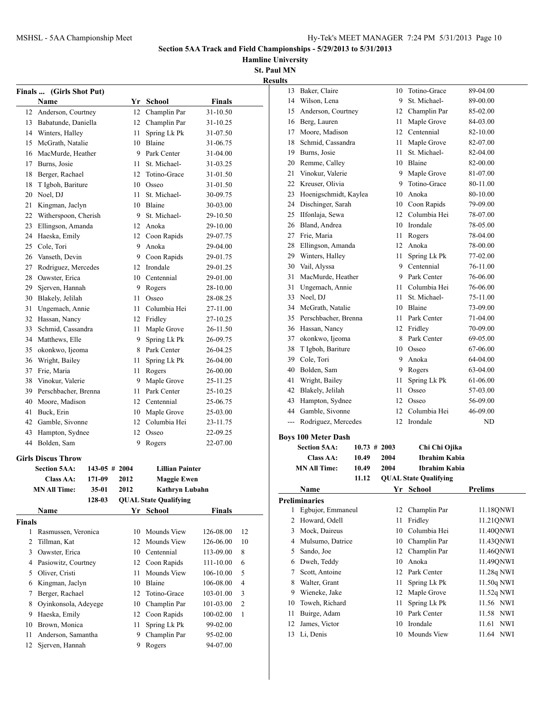**Hamline University**

| Finals         | (Girls Shot Put)                        |                   |      |                                      |               |    |
|----------------|-----------------------------------------|-------------------|------|--------------------------------------|---------------|----|
|                | Name                                    |                   |      | Yr School                            | <b>Finals</b> |    |
|                | 12 Anderson, Courtney                   |                   | 12   | Champlin Par                         | 31-10.50      |    |
|                | 13 Babatunde, Daniella                  |                   |      | 12 Champlin Par                      | 31-10.25      |    |
|                | 14 Winters, Halley                      |                   | 11 - | Spring Lk Pk                         | 31-07.50      |    |
|                | 15 McGrath, Natalie                     |                   |      | 10 Blaine                            | 31-06.75      |    |
|                | 16 MacMurde, Heather                    |                   |      | 9 Park Center                        | 31-04.00      |    |
|                | 17 Burns, Josie                         |                   | 11 - | St. Michael-                         | 31-03.25      |    |
| 18             | Berger, Rachael                         |                   |      | 12 Totino-Grace                      | 31-01.50      |    |
| 18             | T Igboh, Bariture                       |                   |      | 10 Osseo                             | 31-01.50      |    |
| 20             | Noel, DJ                                |                   | 11 - | St. Michael-                         | 30-09.75      |    |
| 21             | Kingman, Jaclyn                         |                   |      | 10 Blaine                            | 30-03.00      |    |
|                | 22 Witherspoon, Cherish                 |                   |      | 9 St. Michael-                       | 29-10.50      |    |
| 23             | Ellingson, Amanda                       |                   |      | 12 Anoka                             | 29-10.00      |    |
| 24             | Haeska, Emily                           |                   |      | 12 Coon Rapids                       | 29-07.75      |    |
|                |                                         |                   |      | 9 Anoka                              |               |    |
|                | 25 Cole, Tori                           |                   |      |                                      | 29-04.00      |    |
|                | 26 Vanseth, Devin                       |                   |      | 9 Coon Rapids                        | 29-01.75      |    |
| 27             | Rodriguez, Mercedes                     |                   |      | 12 Irondale                          | 29-01.25      |    |
|                | 28 Oawster, Erica                       |                   |      | 10 Centennial                        | 29-01.00      |    |
| 29             | Sjerven, Hannah                         |                   |      | 9 Rogers                             | 28-10.00      |    |
|                | 30 Blakely, Jelilah                     |                   | 11 - | Osseo                                | 28-08.25      |    |
| 31             | Ungemach, Annie                         |                   | 11 - | Columbia Hei                         | 27-11.00      |    |
|                | 32 Hassan, Nancy                        |                   |      | 12 Fridley                           | 27-10.25      |    |
| 33             | Schmid, Cassandra                       |                   | 11   | Maple Grove                          | 26-11.50      |    |
|                | 34 Matthews, Elle                       |                   | 9    | Spring Lk Pk                         | 26-09.75      |    |
|                | 35 okonkwo, Ijeoma                      |                   |      | 8 Park Center                        | 26-04.25      |    |
|                | 36 Wright, Bailey                       |                   | 11 - | Spring Lk Pk                         | 26-04.00      |    |
|                | 37 Frie, Maria                          |                   | 11 - | Rogers                               | 26-00.00      |    |
|                | 38 Vinokur, Valerie                     |                   |      | 9 Maple Grove                        | 25-11.25      |    |
|                | 39 Perschbacher, Brenna                 |                   |      | 11 Park Center                       | 25-10.25      |    |
|                | 40 Moore, Madison                       |                   |      | 12 Centennial                        | 25-06.75      |    |
| 41             | Buck, Erin                              |                   |      | 10 Maple Grove                       | 25-03.00      |    |
|                | 42 Gamble, Sivonne                      |                   |      | 12 Columbia Hei                      | 23-11.75      |    |
| 43             | Hampton, Sydnee                         |                   |      | 12 Osseo                             | 22-09.25      |    |
| 44             | Bolden, Sam                             |                   | 9    | Rogers                               | 22-07.00      |    |
|                | <b>Girls Discus Throw</b>               |                   |      |                                      |               |    |
|                | <b>Section 5AA:</b>                     | $143 - 05$ # 2004 |      | <b>Lillian Painter</b>               |               |    |
|                |                                         |                   | 2012 |                                      |               |    |
|                | <b>Class AA:</b><br><b>MN All Time:</b> | 171-09<br>35-01   | 2012 | <b>Maggie Ewen</b><br>Kathryn Lubahn |               |    |
|                |                                         |                   |      |                                      |               |    |
|                |                                         | 128-03            |      | <b>QUAL State Qualifying</b>         | <b>Finals</b> |    |
|                | Name                                    |                   |      | Yr School                            |               |    |
| <b>Finals</b>  |                                         |                   |      |                                      |               |    |
| 1              | Rasmussen, Veronica                     |                   | 10   | <b>Mounds View</b>                   | 126-08.00     | 12 |
| $\overline{2}$ | Tillman, Kat                            |                   | 12   | Mounds View                          | 126-06.00     | 10 |
|                | 3 Oawster, Erica                        |                   |      | 10 Centennial                        | 113-09.00     | 8  |
| 4              | Pasiowitz, Courtney                     |                   |      | 12 Coon Rapids                       | 111-10.00     | 6  |
| 5              | Oliver, Cristi                          |                   | 11   | Mounds View                          | 106-10.00     | 5  |
| 6              | Kingman, Jaclyn                         |                   | 10   | Blaine                               | 106-08.00     | 4  |
| 7              | Berger, Rachael                         |                   | 12   | Totino-Grace                         | 103-01.00     | 3  |
| 8              | Oyinkonsola, Adeyege                    |                   | 10   | Champlin Par                         | 101-03.00     | 2  |
| 9              | Haeska, Emily                           |                   | 12   | Coon Rapids                          | 100-02.00     | 1  |
| 10             | Brown, Monica                           |                   | 11   | Spring Lk Pk                         | 99-02.00      |    |
| 11             | Anderson, Samantha                      |                   | 9    | Champlin Par                         | 95-02.00      |    |
| 12             | Sjerven, Hannah                         |                   | 9    | Rogers                               | 94-07.00      |    |
|                |                                         |                   |      |                                      |               |    |

| <b>Results</b> |                            |                 |      |                              |                     |
|----------------|----------------------------|-----------------|------|------------------------------|---------------------|
| 13             | Baker, Claire              |                 | 10   | Totino-Grace                 | 89-04.00            |
|                | 14 Wilson, Lena            |                 | 9    | St. Michael-                 | 89-00.00            |
|                | 15 Anderson, Courtney      |                 |      | 12 Champlin Par              | 85-02.00            |
|                | 16 Berg, Lauren            |                 | 11   | Maple Grove                  | 84-03.00            |
|                | 17 Moore, Madison          |                 |      | 12 Centennial                | 82-10.00            |
| 18             | Schmid, Cassandra          |                 | 11   | Maple Grove                  | 82-07.00            |
|                | 19 Burns, Josie            |                 | 11.  | St. Michael-                 | 82-04.00            |
|                | 20 Remme, Calley           |                 | 10   | Blaine                       | 82-00.00            |
|                | 21 Vinokur, Valerie        |                 | 9    | Maple Grove                  | 81-07.00            |
|                | 22 Kreuser, Olivia         |                 | 9    | Totino-Grace                 | 80-11.00            |
|                | 23 Hoenigschmidt, Kaylea   |                 | 10   | Anoka                        | 80-10.00            |
|                | 24 Dischinger, Sarah       |                 |      | 10 Coon Rapids               | 79-09.00            |
|                | 25 IIfonlaja, Sewa         |                 |      | 12 Columbia Hei              | 78-07.00            |
|                | 26 Bland, Andrea           |                 |      | 10 Irondale                  | 78-05.00            |
|                | 27 Frie, Maria             |                 | 11   | Rogers                       | 78-04.00            |
|                | 28 Ellingson, Amanda       |                 | 12   | Anoka                        | 78-00.00            |
|                | 29 Winters, Halley         |                 | 11   | Spring Lk Pk                 | 77-02.00            |
|                | 30 Vail, Alyssa            |                 | 9    | Centennial                   | 76-11.00            |
| 31             | MacMurde, Heather          |                 |      | 9 Park Center                | 76-06.00            |
| 31             | Ungemach, Annie            |                 | 11   | Columbia Hei                 | 76-06.00            |
|                | 33 Noel, DJ                |                 | 11.  | St. Michael-                 | 75-11.00            |
|                | 34 McGrath, Natalie        |                 | 10   | Blaine                       | 73-09.00            |
|                | 35 Perschbacher, Brenna    |                 | 11   | Park Center                  | 71-04.00            |
|                | 36 Hassan, Nancy           |                 |      | 12 Fridley                   | 70-09.00            |
|                | 37 okonkwo, Ijeoma         |                 | 8    | Park Center                  | 69-05.00            |
|                | 38 T Igboh, Bariture       |                 |      | 10 Osseo                     | 67-06.00            |
|                | 39 Cole, Tori              |                 | 9    | Anoka                        | 64-04.00            |
|                | 40 Bolden, Sam             |                 | 9    | Rogers                       | 63-04.00            |
| 41             | Wright, Bailey             |                 | 11   | Spring Lk Pk                 | 61-06.00            |
|                | 42 Blakely, Jelilah        |                 | 11   | Osseo                        | 57-03.00            |
|                | 43 Hampton, Sydnee         |                 | 12   | Osseo                        | 56-09.00            |
|                | 44 Gamble, Sivonne         |                 | 12   | Columbia Hei                 | 46-09.00            |
| ---            | Rodriguez, Mercedes        |                 | 12   | Irondale                     | ND                  |
|                |                            |                 |      |                              |                     |
|                | <b>Boys 100 Meter Dash</b> |                 |      |                              |                     |
|                | <b>Section 5AA:</b>        | $10.73 \# 2003$ |      | Chi Chi Ojika                |                     |
|                | Class AA:                  | 10.49           | 2004 | Ibrahim Kabia                |                     |
|                | <b>MN All Time:</b>        | 10.49           | 2004 | Ibrahim Kabia                |                     |
|                |                            | 11.12           |      | <b>QUAL State Qualifying</b> |                     |
|                | Name                       |                 |      | Yr School                    | Prelims             |
|                | <b>Preliminaries</b>       |                 |      |                              |                     |
| 1              | Egbujor, Emmaneul          |                 | 12   | Champlin Par                 | 11.18QNWI           |
| $\overline{2}$ | Howard, Odell              |                 | 11   | Fridley                      | 11.21QNWI           |
| $\mathbf{3}$   | Mock, Daireus              |                 | 10   | Columbia Hei                 | 11.40QNWI           |
|                | 4 Mulsumo, Datrice         |                 | 10   | Champlin Par                 | 11.43QNWI           |
| 5              | Sando, Joe                 |                 | 12   | Champlin Par                 | 11.46QNWI           |
|                | 6 Dweh, Teddy              |                 | 10   | Anoka                        | 11.49QNWI           |
| 7              | Scott, Antoine             |                 | 12   | Park Center                  | 11.28q NWI          |
| 8              | Walter, Grant              |                 | 11   | Spring Lk Pk                 | 11.50q NWI          |
|                | 9 Wieneke, Jake            |                 | 12   | Maple Grove                  | 11.52q NWI          |
| 10             | Toweh, Richard             |                 | 11   | Spring Lk Pk                 | 11.56 NWI           |
| 11             | Buirge, Adam               |                 | 10   | Park Center                  | 11.58 NWI           |
| 12             | James, Victor              |                 | 10   | Irondale                     | <b>NWI</b><br>11.61 |
|                | 13 Li, Denis               |                 | 10   | Mounds View                  | 11.64 NWI           |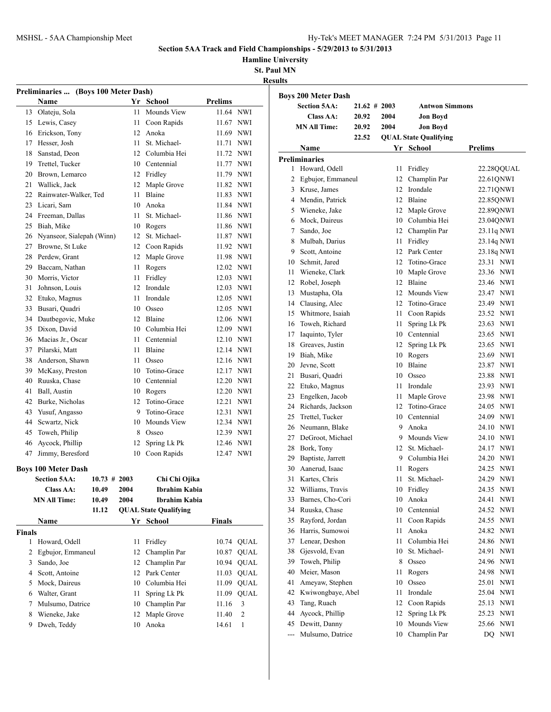**Hamline University**

|                 | Preliminaries  (Boys 100 Meter Dash) |                 |                              |               |             |
|-----------------|--------------------------------------|-----------------|------------------------------|---------------|-------------|
|                 | Name                                 |                 | Yr School                    | Prelims       |             |
|                 | 13 Olateju, Sola                     | 11              | Mounds View                  | 11.64 NWI     |             |
|                 | 15 Lewis, Casey                      | 11              | Coon Rapids                  | 11.67 NWI     |             |
|                 | 16 Erickson, Tony                    |                 | 12 Anoka                     | 11.69 NWI     |             |
|                 | 17 Hesser, Josh                      | 11              | St. Michael-                 | 11.71 NWI     |             |
|                 | 18 Sanstad, Deon                     |                 | 12 Columbia Hei              | 11.72 NWI     |             |
|                 | 19 Trettel, Tucker                   |                 | 10 Centennial                | 11.77 NWI     |             |
|                 | 20 Brown, Lemarco                    |                 | 12 Fridley                   | 11.79 NWI     |             |
|                 | 21 Wallick, Jack                     | 12              | Maple Grove                  | 11.82 NWI     |             |
|                 | 22 Rainwater-Walker, Ted             | 11              | Blaine                       | 11.83 NWI     |             |
|                 | 23 Licari, Sam                       |                 | 10 Anoka                     | 11.84 NWI     |             |
|                 | 24 Freeman, Dallas                   | 11              | St. Michael-                 | 11.86 NWI     |             |
|                 | 25 Biah, Mike                        |                 | 10 Rogers                    | 11.86 NWI     |             |
|                 | 26 Nyanseor, Sialepah (Winn)         |                 | 12 St. Michael-              | 11.87 NWI     |             |
|                 | 27 Browne, St Luke                   |                 | 12 Coon Rapids               | 11.92 NWI     |             |
|                 | 28 Perdew, Grant                     |                 | 12 Maple Grove               | 11.98 NWI     |             |
|                 | 29 Baccam, Nathan                    | 11              | Rogers                       | 12.02 NWI     |             |
|                 | 30 Morris, Victor                    | 11              | Fridley                      | 12.03 NWI     |             |
|                 | 31 Johnson, Louis                    | 12              | Irondale                     | 12.03 NWI     |             |
|                 | 32 Etuko, Magnus                     | 11              | Irondale                     | 12.05 NWI     |             |
|                 | 33 Busari, Quadri                    |                 | 10 Osseo                     | 12.05 NWI     |             |
|                 | 34 Dautbegovic, Muke                 |                 | 12 Blaine                    | 12.06 NWI     |             |
|                 | 35 Dixon, David                      |                 | 10 Columbia Hei              | 12.09 NWI     |             |
|                 | 36 Macias Jr., Oscar                 | 11              | Centennial                   | 12.10 NWI     |             |
|                 | 37 Pilarski, Matt                    | 11              | Blaine                       | 12.14 NWI     |             |
|                 | 38 Anderson, Shawn                   | 11              | Osseo                        | 12.16 NWI     |             |
|                 |                                      |                 | Totino-Grace                 |               |             |
|                 | 39 McKasy, Preston                   | 10              |                              | 12.17 NWI     |             |
|                 | 40 Ruuska, Chase                     |                 | 10 Centennial                | 12.20 NWI     |             |
|                 | 41 Ball, Austin                      |                 | 10 Rogers                    | 12.20 NWI     |             |
|                 | 42 Burke, Nicholas                   | 12              | Totino-Grace                 | 12.21 NWI     |             |
|                 | 43 Yusuf, Angasso                    | 9               | Totino-Grace                 | 12.31 NWI     |             |
|                 | 44 Sewartz, Nick                     | 10              | Mounds View                  | 12.34 NWI     |             |
|                 | 45 Toweh, Philip                     | 8               | Osseo                        | 12.39 NWI     |             |
|                 | 46 Aycock, Phillip                   | 12              | Spring Lk Pk                 | 12.46 NWI     |             |
| 47              | Jimmy, Beresford                     |                 | 10 Coon Rapids               | 12.47 NWI     |             |
|                 | <b>Boys 100 Meter Dash</b>           |                 |                              |               |             |
|                 | Section 5AA:                         | $10.73 \# 2003$ | Chi Chi Ojika                |               |             |
|                 | <b>Class AA:</b><br>10.49            | 2004            | <b>Ibrahim Kabia</b>         |               |             |
|                 | <b>MN All Time:</b><br>10.49         | 2004            | Ibrahim Kabia                |               |             |
|                 | 11.12                                |                 | <b>QUAL State Qualifying</b> |               |             |
|                 | Name                                 |                 | Yr School                    | <b>Finals</b> |             |
| <b>Finals</b>   |                                      |                 |                              |               |             |
| 1               | Howard, Odell                        | 11              | Fridley                      |               | 10.74 OUAL  |
| 2               | Egbujor, Emmaneul                    | 12              | Champlin Par                 | 10.87         | <b>QUAL</b> |
| 3               | Sando, Joe                           | 12              | Champlin Par                 | 10.94         | <b>QUAL</b> |
|                 | 4 Scott, Antoine                     | 12              | Park Center                  | 11.03         | <b>QUAL</b> |
| 5               | Mock, Daireus                        | 10              | Columbia Hei                 | 11.09         | QUAL        |
|                 | 6 Walter, Grant                      | 11              | Spring Lk Pk                 | 11.09         | <b>QUAL</b> |
|                 |                                      |                 | Champlin Par                 | 11.16         | 3           |
| $7\phantom{.0}$ | Mulsumo, Datrice                     | 10              |                              |               |             |
| 8               | Wieneke, Jake                        | 12              | Maple Grove                  | 11.40         | 2           |

|                | <b>Boys 200 Meter Dash</b> |                 |      |                              |                     |
|----------------|----------------------------|-----------------|------|------------------------------|---------------------|
|                | <b>Section 5AA:</b>        | $21.62 \# 2003$ |      | <b>Antwon Simmons</b>        |                     |
|                | Class AA:                  | 20.92           | 2004 | <b>Jon Boyd</b>              |                     |
|                | <b>MN All Time:</b>        | 20.92           | 2004 | <b>Jon Boyd</b>              |                     |
|                |                            | 22.52           |      | <b>QUAL State Qualifying</b> |                     |
|                | <b>Name</b>                |                 |      | Yr School                    | <b>Prelims</b>      |
|                | <b>Preliminaries</b>       |                 |      |                              |                     |
| 1              | Howard, Odell              |                 | 11   | Fridley                      | 22.28QQUAL          |
| 2              | Egbujor, Emmaneul          |                 | 12   | Champlin Par                 | 22.61QNWI           |
| 3              | Kruse, James               |                 | 12   | Irondale                     | 22.710NWI           |
|                | 4 Mendin, Patrick          |                 | 12   | Blaine                       | 22.85QNWI           |
|                | 5 Wieneke, Jake            |                 | 12   | Maple Grove                  | 22.89QNWI           |
|                | 6 Mock, Daireus            |                 |      | 10 Columbia Hei              | 23.04QNWI           |
| 7              | Sando, Joe                 |                 |      | 12 Champlin Par              | 23.11q NWI          |
| 8              | Mulbah, Darius             |                 | 11   | Fridley                      | 23.14q NWI          |
| 9              | Scott, Antoine             |                 |      | 12 Park Center               | 23.18q NWI          |
|                | 10 Schmit, Jared           |                 | 12   | Totino-Grace                 | 23.31 NWI           |
| 11             | Wieneke, Clark             |                 |      | 10 Maple Grove               | 23.36 NWI           |
| 12             | Robel, Joseph              |                 |      | 12 Blaine                    | 23.46 NWI           |
| 13             | Mustapha, Ola              |                 |      | 12 Mounds View               | 23.47 NWI           |
|                | 14 Clausing, Alec          |                 | 12   | Totino-Grace                 | 23.49 NWI           |
| 15             | Whitmore, Isaiah           |                 | 11   | Coon Rapids                  | 23.52 NWI           |
| 16             | Toweh, Richard             |                 | 11   | Spring Lk Pk                 | 23.63 NWI           |
| 17             | Iaquinto, Tyler            |                 |      | 10 Centennial                | 23.65 NWI           |
|                | 18 Greaves, Justin         |                 | 12   | Spring Lk Pk                 | 23.65 NWI           |
|                | 19 Biah, Mike              |                 | 10   | Rogers                       | 23.69 NWI           |
|                | 20 Jevne, Scott            |                 | 10   | Blaine                       | 23.87 NWI           |
| 21             | Busari, Quadri             |                 | 10   | Osseo                        | 23.88 NWI           |
|                | 22 Etuko, Magnus           |                 | 11   | Irondale                     | 23.93 NWI           |
| 23             | Engelken, Jacob            |                 | 11   | Maple Grove                  | 23.98 NWI           |
| 24             | Richards, Jackson          |                 | 12   | Totino-Grace                 | 24.05<br><b>NWI</b> |
| 25             | Trettel, Tucker            |                 |      | 10 Centennial                | <b>NWI</b><br>24.09 |
| 26             | Neumann, Blake             |                 | 9    | Anoka                        | 24.10 NWI           |
| 27             | DeGroot, Michael           |                 | 9    | Mounds View                  | 24.10 NWI           |
| 28             | Bork, Tony                 |                 | 12   | St. Michael-                 | 24.17 NWI           |
| 29             | Baptiste, Jarrett          |                 | 9    | Columbia Hei                 | 24.20 NWI           |
| 30             | Aanerud, Isaac             |                 | 11   | Rogers                       | 24.25 NWI           |
| 31             | Kartes, Chris              |                 | 11   | St. Michael-                 | 24.29<br><b>NWI</b> |
| 32             | Williams, Travis           |                 | 10   | Fridley                      | 24.35<br><b>NWI</b> |
| 33             | Barnes, Cho-Cori           |                 | 10   | Anoka                        | 24.41<br>NWI        |
| 34             | Ruuska, Chase              |                 | 10   | Centennial                   | <b>NWI</b><br>24.52 |
| 35             | Rayford, Jordan            |                 | 11   | Coon Rapids                  | <b>NWI</b><br>24.55 |
| 36             | Harris, Sumowoi            |                 | 11   | Anoka                        | <b>NWI</b><br>24.82 |
| 37             | Lenear, Deshon             |                 | 11   | Columbia Hei                 | 24.86<br>NWI        |
| 38             | Gjesvold, Evan             |                 | 10   | St. Michael-                 | 24.91<br>NWI        |
| 39             | Toweh, Philip              |                 | 8    | Osseo                        | 24.96<br>NWI        |
| 40             | Meier, Mason               |                 | 11   | Rogers                       | 24.98<br>NWI        |
| 41             | Ameyaw, Stephen            |                 | 10   | Osseo                        | 25.01<br>NWI        |
| 42             | Kwiwongbaye, Abel          |                 | 11   | Irondale                     | 25.04<br><b>NWI</b> |
| 43             | Tang, Ruach                |                 | 12   | Coon Rapids                  | 25.13<br>NWI        |
| 44             | Aycock, Phillip            |                 | 12   | Spring Lk Pk                 | 25.23<br>NWI        |
| 45             | Dewitt, Danny              |                 | 10   | Mounds View                  | 25.66<br>NWI        |
| $\overline{a}$ | Mulsumo, Datrice           |                 | 10   | Champlin Par                 | <b>NWI</b><br>DQ    |
|                |                            |                 |      |                              |                     |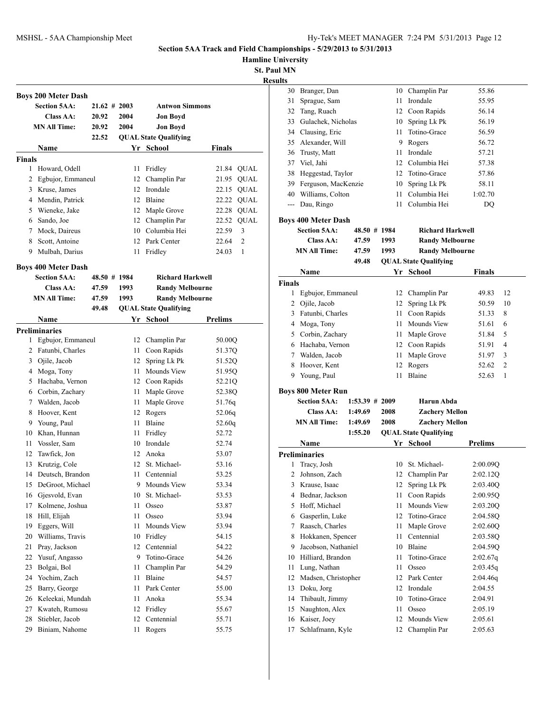**Hamline University**

**St. Paul MN Results**

|               | <b>Boys 200 Meter Dash</b> |                 |      |                              |                      |
|---------------|----------------------------|-----------------|------|------------------------------|----------------------|
|               | <b>Section 5AA:</b>        | $21.62 \# 2003$ |      | <b>Antwon Simmons</b>        |                      |
|               | Class AA:                  | 20.92           | 2004 | <b>Jon Boyd</b>              |                      |
|               | <b>MN All Time:</b>        | 20.92           | 2004 | <b>Jon Boyd</b>              |                      |
|               |                            | 22.52           |      | <b>QUAL State Qualifying</b> |                      |
|               | Name                       |                 |      | Yr School                    | Finals               |
| <b>Finals</b> |                            |                 |      |                              |                      |
| 1             | Howard, Odell              |                 | 11   | Fridley                      | QUAL<br>21.84        |
| 2             | Egbujor, Emmaneul          |                 | 12   | Champlin Par                 | <b>QUAL</b><br>21.95 |
|               | 3 Kruse, James             |                 | 12   | Irondale                     | <b>QUAL</b><br>22.15 |
|               | 4 Mendin, Patrick          |                 |      | 12 Blaine                    | 22.22<br><b>QUAL</b> |
|               | 5 Wieneke, Jake            |                 |      | 12 Maple Grove               | 22.28 QUAL           |
|               | 6 Sando, Joe               |                 |      | 12 Champlin Par              | 22.52 QUAL           |
|               | 7 Mock, Daireus            |                 |      | 10 Columbia Hei              | 3<br>22.59           |
|               | 8 Scott, Antoine           |                 |      | 12 Park Center               | 2<br>22.64           |
| 9             | Mulbah, Darius             |                 | 11   | Fridley                      | 1<br>24.03           |
|               |                            |                 |      |                              |                      |
|               | <b>Boys 400 Meter Dash</b> |                 |      |                              |                      |
|               | <b>Section 5AA:</b>        | 48.50 # 1984    |      | <b>Richard Harkwell</b>      |                      |
|               | Class AA:                  | 47.59           | 1993 | <b>Randy Melbourne</b>       |                      |
|               | <b>MN All Time:</b>        | 47.59           | 1993 | <b>Randy Melbourne</b>       |                      |
|               |                            | 49.48           |      | <b>QUAL State Qualifying</b> |                      |
|               | Name                       |                 | Yr   | School                       | <b>Prelims</b>       |
|               | <b>Preliminaries</b>       |                 |      |                              |                      |
| 1             | Egbujor, Emmaneul          |                 |      | 12 Champlin Par              | 50.00Q               |
|               | 2 Fatunbi, Charles         |                 | 11   | Coon Rapids                  | 51.37Q               |
|               | 3 Ojile, Jacob             |                 | 12   | Spring Lk Pk                 | 51.52Q               |
|               | 4 Moga, Tony               |                 | 11 - | Mounds View                  | 51.95Q               |
|               | 5 Hachaba, Vernon          |                 |      | 12 Coon Rapids               | 52.21Q               |
|               | 6 Corbin, Zachary          |                 | 11   | Maple Grove                  | 52.38Q               |
| 7             | Walden, Jacob              |                 | 11   | Maple Grove                  | 51.76q               |
| 8             | Hoover, Kent               |                 |      | 12 Rogers                    | 52.06q               |
| 9             | Young, Paul                |                 | 11 - | Blaine                       | 52.60q               |
|               | 10 Khan, Hunnan            |                 | 11   | Fridley                      | 52.72                |
| 11            | Vossler, Sam               |                 |      | 10 Irondale                  | 52.74                |
| 12            | Tawfick, Jon               |                 | 12   | Anoka                        | 53.07                |
| 13            | Krutzig, Cole              |                 | 12   | St. Michael-                 | 53.16                |
| 14            | Deutsch, Brandon           |                 | 11   | Centennial                   | 53.25                |
| 15            | DeGroot, Michael           |                 | 9    | Mounds View                  | 53.34                |
| 16            | Gjesvold, Evan             |                 | 10   | St. Michael-                 | 53.53                |
| 17            | Kolmene, Joshua            |                 | 11   | Osseo                        | 53.87                |
| 18            | Hill, Elijah               |                 | 11   | Osseo                        | 53.94                |
| 19            | Eggers, Will               |                 | 11   | Mounds View                  | 53.94                |
| 20            | Williams, Travis           |                 | 10   | Fridley                      | 54.15                |
| 21            | Pray, Jackson              |                 | 12   | Centennial                   | 54.22                |
| 22            | Yusuf, Angasso             |                 | 9.   | Totino-Grace                 | 54.26                |
| 23            | Bolgai, Bol                |                 | 11   | Champlin Par                 | 54.29                |
| 24            | Yochim, Zach               |                 | 11   | Blaine                       | 54.57                |
| 25            | Barry, George              |                 | 11   | Park Center                  | 55.00                |
| 26            | Keleekai, Mundah           |                 | 11   | Anoka                        | 55.34                |
| 27            | Kwateh, Rumosu             |                 | 12   | Fridley                      | 55.67                |
| 28            | Stiebler, Jacob            |                 | 12   | Centennial                   | 55.71                |
| 29            | Biniam, Nahome             |                 | 11   | Rogers                       | 55.75                |
|               |                            |                 |      |                              |                      |

| ults               |                                                   |                  |              |                                                  |                         |
|--------------------|---------------------------------------------------|------------------|--------------|--------------------------------------------------|-------------------------|
| 30                 | Branger, Dan                                      |                  |              | 10 Champlin Par                                  | 55.86                   |
| 31                 | Sprague, Sam                                      |                  | 11           | Irondale                                         | 55.95                   |
| 32                 | Tang, Ruach                                       |                  |              | 12 Coon Rapids                                   | 56.14                   |
|                    | 33 Gulachek, Nicholas                             |                  |              | 10 Spring Lk Pk                                  | 56.19                   |
|                    | 34 Clausing, Eric                                 |                  | 11           | Totino-Grace                                     | 56.59                   |
| 35                 | Alexander, Will                                   |                  | 9            | Rogers                                           | 56.72                   |
| 36                 | Trusty, Matt                                      |                  | 11.          | Irondale                                         | 57.21                   |
| 37                 | Viel, Jahi                                        |                  |              | 12 Columbia Hei                                  | 57.38                   |
| 38                 | Heggestad, Taylor                                 |                  | 12           | Totino-Grace                                     | 57.86                   |
|                    | 39 Ferguson, MacKenzie                            |                  | 10           | Spring Lk Pk                                     | 58.11                   |
| 40                 | Williams, Colton                                  |                  | 11           | Columbia Hei                                     | 1:02.70                 |
| $\sim$ $\sim$      | Dau, Ringo                                        |                  | 11           | Columbia Hei                                     | DQ                      |
|                    |                                                   |                  |              |                                                  |                         |
|                    | <b>Boys 400 Meter Dash</b><br><b>Section 5AA:</b> | 48.50 # 1984     |              | <b>Richard Harkwell</b>                          |                         |
|                    | Class AA:                                         | 47.59            |              |                                                  |                         |
|                    | <b>MN All Time:</b>                               | 47.59            | 1993<br>1993 | <b>Randy Melbourne</b><br><b>Randy Melbourne</b> |                         |
|                    |                                                   | 49.48            |              |                                                  |                         |
|                    |                                                   |                  |              | <b>QUAL State Qualifying</b>                     |                         |
|                    | Name                                              |                  |              | Yr School                                        | <b>Finals</b>           |
| <b>Finals</b><br>1 | Egbujor, Emmaneul                                 |                  | 12           | Champlin Par                                     | 12                      |
|                    |                                                   |                  |              |                                                  | 49.83                   |
|                    | 2 Ojile, Jacob                                    |                  | 12           | Spring Lk Pk                                     | 10<br>50.59             |
|                    | 3 Fatunbi, Charles                                |                  | 11           | Coon Rapids                                      | 51.33<br>8              |
|                    | 4 Moga, Tony                                      |                  | 11           | Mounds View                                      | 6<br>51.61              |
|                    | 5 Corbin, Zachary                                 |                  | 11           | Maple Grove                                      | 5<br>51.84              |
|                    | 6 Hachaba, Vernon                                 |                  |              | 12 Coon Rapids                                   | 4<br>51.91              |
|                    | 7 Walden, Jacob                                   |                  | 11           | Maple Grove                                      | 3<br>51.97              |
| 8                  | Hoover, Kent                                      |                  | 12           | Rogers                                           | $\overline{2}$<br>52.62 |
| 9                  | Young, Paul                                       |                  | 11           | Blaine                                           | 52.63<br>1              |
|                    | <b>Boys 800 Meter Run</b>                         |                  |              |                                                  |                         |
|                    | <b>Section 5AA:</b>                               | $1:53.39$ # 2009 |              | Harun Abda                                       |                         |
|                    | Class AA:                                         | 1:49.69          | 2008         | <b>Zachery Mellon</b>                            |                         |
|                    | <b>MN All Time:</b>                               | 1:49.69          | 2008         | <b>Zachery Mellon</b>                            |                         |
|                    |                                                   | 1:55.20          |              | <b>QUAL State Qualifying</b>                     |                         |
|                    | Name                                              |                  |              | Yr School                                        | <b>Prelims</b>          |
|                    | <b>Preliminaries</b>                              |                  |              |                                                  |                         |
| 1                  | Tracy, Josh                                       |                  | 10           | St. Michael-                                     | 2:00.09Q                |
| 2                  | Johnson, Zach                                     |                  | 12           | Champlin Par                                     | 2:02.12Q                |
| 3                  | Krause, Isaac                                     |                  | 12           | Spring Lk Pk                                     | 2:03.40Q                |
| 4                  | Bednar, Jackson                                   |                  | 11           | Coon Rapids                                      | 2:00.95Q                |
| 5                  | Hoff, Michael                                     |                  | 11           | Mounds View                                      | 2:03.20Q                |
| 6                  | Gasperlin, Luke                                   |                  | 12           | Totino-Grace                                     | 2:04.58Q                |
| 7                  | Raasch, Charles                                   |                  | 11           | Maple Grove                                      | 2:02.60Q                |
| 8                  | Hokkanen, Spencer                                 |                  | 11           | Centennial                                       | 2:03.58Q                |
| 9                  | Jacobson, Nathaniel                               |                  | 10           | Blaine                                           | 2:04.59Q                |
| 10                 | Hilliard, Brandon                                 |                  | 11           | Totino-Grace                                     | 2:02.67q                |
| 11                 | Lung, Nathan                                      |                  | 11           | Osseo                                            | 2:03.45q                |
| 12                 | Madsen, Christopher                               |                  | 12           | Park Center                                      | 2:04.46q                |
| 13                 | Doku, Jorg                                        |                  | 12           | Irondale                                         | 2:04.55                 |
| 14                 | Thibault, Jimmy                                   |                  | 10           | Totino-Grace                                     | 2:04.91                 |
| 15                 | Naughton, Alex                                    |                  | 11           | Osseo                                            | 2:05.19                 |
| 16                 | Kaiser, Joey                                      |                  | 12           | Mounds View                                      | 2:05.61                 |
| 17                 | Schlafmann, Kyle                                  |                  | 12           | Champlin Par                                     | 2:05.63                 |
|                    |                                                   |                  |              |                                                  |                         |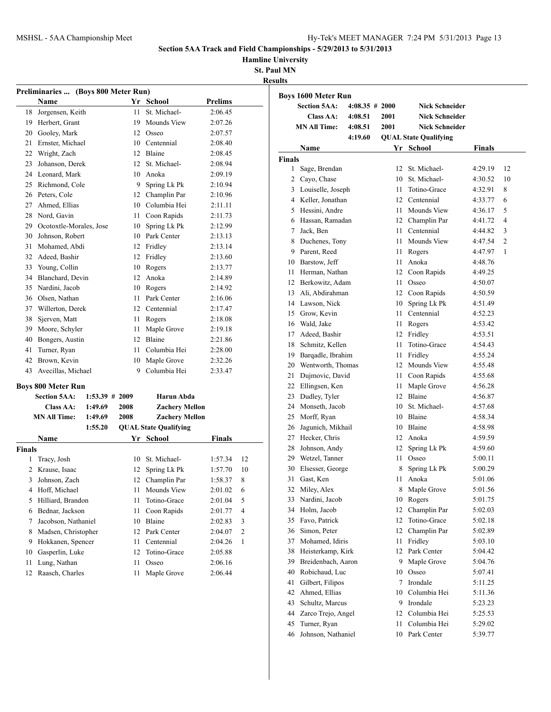**Hamline University**

**St. Paul MN Results**

|                | Preliminaries  (Boys 800 Meter Run) |                  |      |                              |         |                         |
|----------------|-------------------------------------|------------------|------|------------------------------|---------|-------------------------|
|                | Name                                |                  |      | Yr School                    | Prelims |                         |
| 18             | Jorgensen, Keith                    |                  | 11   | St. Michael-                 | 2:06.45 |                         |
| 19             | Herbert, Grant                      |                  | 19   | Mounds View                  | 2:07.26 |                         |
|                | 20 Gooley, Mark                     |                  | 12   | Osseo                        | 2:07.57 |                         |
| 21             | Ernster, Michael                    |                  |      | 10 Centennial                | 2:08.40 |                         |
| 22             | Wright, Zach                        |                  |      | 12 Blaine                    | 2:08.45 |                         |
| 23             | Johanson, Derek                     |                  |      | 12 St. Michael-              | 2:08.94 |                         |
| 24             | Leonard, Mark                       |                  |      | 10 Anoka                     | 2:09.19 |                         |
| 25             | Richmond, Cole                      |                  |      | 9 Spring Lk Pk               | 2:10.94 |                         |
|                | 26 Peters, Cole                     |                  |      | 12 Champlin Par              | 2:10.96 |                         |
|                | 27 Ahmed, Ellias                    |                  |      | 10 Columbia Hei              | 2:11.11 |                         |
| 28             | Nord, Gavin                         |                  |      | 11 Coon Rapids               | 2:11.73 |                         |
|                | 29 Ocotoxtle-Morales, Jose          |                  | 10   | Spring Lk Pk                 | 2:12.99 |                         |
| 30             | Johnson, Robert                     |                  |      | 10 Park Center               | 2:13.13 |                         |
| 31             | Mohamed, Abdi                       |                  |      | 12 Fridley                   | 2:13.14 |                         |
| 32             | Adeed, Bashir                       |                  | 12   | Fridley                      | 2:13.60 |                         |
| 33             | Young, Collin                       |                  | 10   | Rogers                       | 2:13.77 |                         |
| 34             | Blanchard, Devin                    |                  | 12   | Anoka                        | 2:14.89 |                         |
| 35             | Nardini, Jacob                      |                  | 10   | Rogers                       | 2:14.92 |                         |
|                | 36 Olsen, Nathan                    |                  | 11   | Park Center                  | 2:16.06 |                         |
| 37             | Willerton, Derek                    |                  |      | 12 Centennial                | 2:17.47 |                         |
| 38             | Sjerven, Matt                       |                  |      | 11 Rogers                    | 2:18.08 |                         |
| 39             | Moore, Schyler                      |                  | 11   | Maple Grove                  | 2:19.18 |                         |
| 40             | Bongers, Austin                     |                  |      | 12 Blaine                    | 2:21.86 |                         |
| 41             | Turner, Ryan                        |                  | 11 - | Columbia Hei                 | 2:28.00 |                         |
| 42             | Brown, Kevin                        |                  | 10   | Maple Grove                  | 2:32.26 |                         |
| 43             | Avecillas, Michael                  |                  | 9    | Columbia Hei                 | 2:33.47 |                         |
|                | <b>Boys 800 Meter Run</b>           |                  |      |                              |         |                         |
|                | <b>Section 5AA:</b>                 | $1:53.39$ # 2009 |      | Harun Abda                   |         |                         |
|                | <b>Class AA:</b>                    | 1:49.69          | 2008 | <b>Zachery Mellon</b>        |         |                         |
|                | <b>MN All Time:</b>                 | 1:49.69          | 2008 | <b>Zachery Mellon</b>        |         |                         |
|                |                                     | 1:55.20          |      | <b>QUAL State Qualifying</b> |         |                         |
|                | Name                                |                  | Yr   | School                       | Finals  |                         |
| <b>Finals</b>  |                                     |                  |      |                              |         |                         |
| 1              | Tracy, Josh                         |                  | 10   | St. Michael-                 | 1:57.34 | 12                      |
| $\overline{2}$ | Krause, Isaac                       |                  | 12   | Spring Lk Pk                 | 1:57.70 | 10                      |
| 3              | Johnson, Zach                       |                  | 12   | Champlin Par                 | 1:58.37 | 8                       |
| 4              | Hoff, Michael                       |                  | 11   | Mounds View                  | 2:01.02 | 6                       |
| 5              | Hilliard, Brandon                   |                  | 11   | Totino-Grace                 | 2:01.04 | 5                       |
| 6              | Bednar, Jackson                     |                  | 11   | Coon Rapids                  | 2:01.77 | 4                       |
| 7              | Jacobson, Nathaniel                 |                  | 10   | Blaine                       | 2:02.83 | 3                       |
| 8              | Madsen, Christopher                 |                  | 12   | Park Center                  | 2:04.07 | $\overline{\mathbf{c}}$ |
| 9              | Hokkanen, Spencer                   |                  | 11   | Centennial                   | 2:04.26 | 1                       |
| 10             | Gasperlin, Luke                     |                  | 12   | Totino-Grace                 | 2:05.88 |                         |
| 11             | Lung, Nathan                        |                  | 11   | Osseo                        | 2:06.16 |                         |
| 12             | Raasch, Charles                     |                  | 11   | Maple Grove                  | 2:06.44 |                         |

| սւււ           |                            |                   |      |                              |               |                |
|----------------|----------------------------|-------------------|------|------------------------------|---------------|----------------|
|                | <b>Boys 1600 Meter Run</b> |                   |      |                              |               |                |
|                | <b>Section 5AA:</b>        | $4:08.35 \# 2000$ |      | <b>Nick Schneider</b>        |               |                |
|                | Class AA:                  | 4:08.51           | 2001 | <b>Nick Schneider</b>        |               |                |
|                | <b>MN All Time:</b>        | 4:08.51           | 2001 | <b>Nick Schneider</b>        |               |                |
|                |                            | 4:19.60           |      | <b>QUAL State Qualifying</b> |               |                |
|                | Name                       |                   |      | Yr School                    | <b>Finals</b> |                |
| <b>Finals</b>  |                            |                   |      |                              |               |                |
| 1              | Sage, Brendan              |                   | 12   | St. Michael-                 | 4:29.19       | 12             |
| $\overline{c}$ | Cayo, Chase                |                   |      | 10 St. Michael-              | 4:30.52       | 10             |
|                | 3 Louiselle, Joseph        |                   | 11   | Totino-Grace                 | 4:32.91       | 8              |
|                | 4 Keller, Jonathan         |                   |      | 12 Centennial                | 4:33.77       | 6              |
|                | 5 Hessini, Andre           |                   |      | 11 Mounds View               | 4:36.17       | 5              |
|                | 6 Hassan, Ramadan          |                   |      | 12 Champlin Par              | 4:41.72       | 4              |
| 7              | Jack, Ben                  |                   |      | 11 Centennial                | 4:44.82       | 3              |
| 8              | Duchenes, Tony             |                   | 11   | Mounds View                  | 4:47.54       | $\overline{2}$ |
| 9              | Parent, Reed               |                   | 11   | Rogers                       | 4:47.97       | 1              |
|                | 10 Barstow, Jeff           |                   | 11   | Anoka                        | 4:48.76       |                |
| 11             | Herman, Nathan             |                   | 12   | Coon Rapids                  | 4:49.25       |                |
| 12             | Berkowitz, Adam            |                   | 11.  | Osseo                        | 4:50.07       |                |
| 13             | Ali, Abdirahman            |                   |      | 12 Coon Rapids               | 4:50.59       |                |
| 14             | Lawson, Nick               |                   | 10   | Spring Lk Pk                 | 4:51.49       |                |
| 15             | Grow, Kevin                |                   | 11   | Centennial                   | 4:52.23       |                |
| 16             | Wald, Jake                 |                   | 11   | Rogers                       | 4:53.42       |                |
| 17             | Adeed, Bashir              |                   |      | 12 Fridley                   | 4:53.51       |                |
| 18             | Schmitz, Kellen            |                   | 11   | Totino-Grace                 | 4:54.43       |                |
|                | 19 Barqadle, Ibrahim       |                   | 11   | Fridley                      | 4:55.24       |                |
| 20             | Wentworth, Thomas          |                   |      | 12 Mounds View               | 4:55.48       |                |
| 21             | Dujmovic, David            |                   |      | 11 Coon Rapids               | 4:55.68       |                |
| 22             | Ellingsen, Ken             |                   | 11   | Maple Grove                  | 4:56.28       |                |
| 23             | Dudley, Tyler              |                   |      | 12 Blaine                    | 4:56.87       |                |
| 24             | Monseth, Jacob             |                   | 10   | St. Michael-                 | 4:57.68       |                |
| 25             | Morff, Ryan                |                   |      | 10 Blaine                    | 4:58.34       |                |
| 26             | Jagunich, Mikhail          |                   | 10   | Blaine                       | 4:58.98       |                |
| 27             | Hecker, Chris              |                   |      | 12 Anoka                     | 4:59.59       |                |
| 28             | Johnson, Andy              |                   | 12   | Spring Lk Pk                 | 4:59.60       |                |
|                | 29 Wetzel, Tanner          |                   |      | 11 Osseo                     | 5:00.11       |                |
| 30             | Elsesser, George           |                   | 8    | Spring Lk Pk                 | 5:00.29       |                |
| 31             | Gast, Ken                  |                   | 11   | Anoka                        | 5:01.06       |                |
| 32             | Miley, Alex                |                   | 8    | Maple Grove                  | 5:01.56       |                |
| 33             | Nardini, Jacob             |                   | 10   | Rogers                       | 5:01.75       |                |
| 34             | Holm, Jacob                |                   | 12   | Champlin Par                 | 5:02.03       |                |
| 35             | Favo, Patrick              |                   | 12   | Totino-Grace                 | 5:02.18       |                |
| 36             | Simon, Peter               |                   | 12   | Champlin Par                 | 5:02.89       |                |
| 37             | Mohamed, Idiris            |                   | 11   | Fridley                      | 5:03.10       |                |
| 38             | Heisterkamp, Kirk          |                   | 12   | Park Center                  | 5:04.42       |                |
| 39             | Breidenbach, Aaron         |                   | 9    | Maple Grove                  | 5:04.76       |                |
| 40             | Robichaud, Luc             |                   |      | 10 Osseo                     | 5:07.41       |                |
| 41             | Gilbert, Filipos           |                   | 7    | Irondale                     | 5:11.25       |                |
| 42             | Ahmed, Ellias              |                   |      | 10 Columbia Hei              | 5:11.36       |                |
| 43             | Schultz, Marcus            |                   | 9    | Irondale                     | 5:23.23       |                |
| 44             | Zarco Trejo, Angel         |                   |      | 12 Columbia Hei              | 5:25.53       |                |
| 45             | Turner, Ryan               |                   | 11   | Columbia Hei                 | 5:29.02       |                |
| 46             | Johnson, Nathaniel         |                   |      | 10 Park Center               | 5:39.77       |                |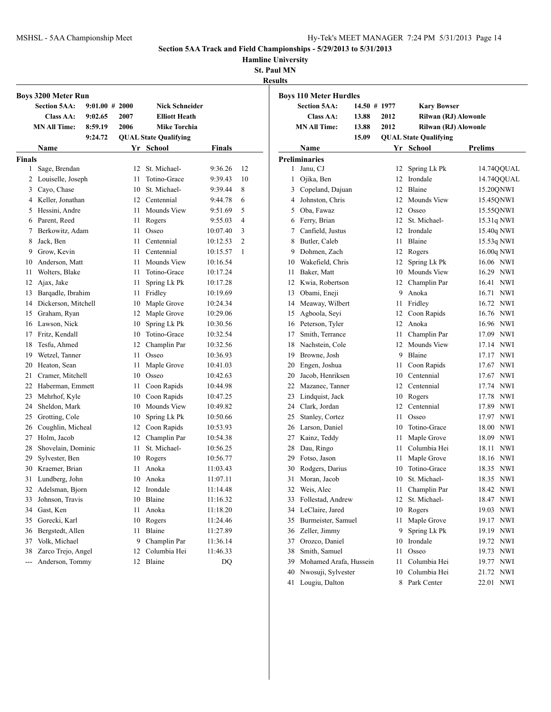**Hamline University**

**St. Paul MN Results**

|                | <b>Boys 3200 Meter Run</b>     |                   |          |                              |                      |    |
|----------------|--------------------------------|-------------------|----------|------------------------------|----------------------|----|
|                | <b>Section 5AA:</b>            | $9:01.00 \# 2000$ |          | <b>Nick Schneider</b>        |                      |    |
|                | Class AA:                      | 9:02.65           | 2007     | <b>Elliott Heath</b>         |                      |    |
|                | <b>MN All Time:</b>            | 8:59.19           | 2006     | <b>Mike Torchia</b>          |                      |    |
|                |                                | 9:24.72           |          | <b>QUAL State Qualifying</b> |                      |    |
|                | Name                           |                   |          | Yr School                    | Finals               |    |
| <b>Finals</b>  |                                |                   |          |                              |                      |    |
| 1              | Sage, Brendan                  |                   | 12       | St. Michael-                 | 9:36.26              | 12 |
| 2              | Louiselle, Joseph              |                   | 11       | Totino-Grace                 | 9:39.43              | 10 |
| 3              | Cayo, Chase                    |                   | 10       | St. Michael-                 | 9:39.44              | 8  |
|                | 4 Keller, Jonathan             |                   |          | 12 Centennial                | 9:44.78              | 6  |
| 5              | Hessini, Andre                 |                   | 11       | Mounds View                  | 9:51.69              | 5  |
| 6              | Parent, Reed                   |                   | 11       | Rogers                       | 9:55.03              | 4  |
| 7              | Berkowitz, Adam                |                   | 11       | Osseo                        | 10:07.40             | 3  |
| 8              | Jack, Ben                      |                   | 11       | Centennial                   | 10:12.53             | 2  |
| 9.             | Grow, Kevin                    |                   | 11       | Centennial                   | 10:15.57             | 1  |
| 10             | Anderson, Matt                 |                   | 11       | <b>Mounds View</b>           | 10:16.54             |    |
| 11             | Wolters, Blake                 |                   | 11       | Totino-Grace                 | 10:17.24             |    |
| 12             | Ajax, Jake                     |                   | 11       | Spring Lk Pk                 | 10:17.28             |    |
| 13             | Barqadle, Ibrahim              |                   | 11       | Fridley                      | 10:19.69             |    |
| 14             | Dickerson, Mitchell            |                   | 10       | Maple Grove                  | 10:24.34             |    |
| 15<br>16       | Graham, Ryan                   |                   | 12<br>10 | Maple Grove                  | 10:29.06             |    |
| 17             | Lawson, Nick<br>Fritz, Kendall |                   | 10       | Spring Lk Pk<br>Totino-Grace | 10:30.56<br>10:32.54 |    |
| 18             | Tesfu, Ahmed                   |                   |          | 12 Champlin Par              | 10:32.56             |    |
| 19             | Wetzel, Tanner                 |                   | 11       | Osseo                        | 10:36.93             |    |
| 20             | Heaton, Sean                   |                   | 11       | Maple Grove                  | 10:41.03             |    |
| 21             | Cramer, Mitchell               |                   | 10       | Osseo                        | 10:42.63             |    |
| 22             | Haberman, Emmett               |                   | 11       | Coon Rapids                  | 10:44.98             |    |
| 23             | Mehrhof, Kyle                  |                   | 10       | Coon Rapids                  | 10:47.25             |    |
| 24             | Sheldon, Mark                  |                   | 10       | Mounds View                  | 10:49.82             |    |
| 25             | Grotting, Cole                 |                   | 10       | Spring Lk Pk                 | 10:50.66             |    |
| 26             | Coughlin, Micheal              |                   | 12       | Coon Rapids                  | 10:53.93             |    |
| 27             | Holm, Jacob                    |                   | 12       | Champlin Par                 | 10:54.38             |    |
| 28             | Shovelain, Dominic             |                   | 11       | St. Michael-                 | 10:56.25             |    |
| 29             | Sylvester, Ben                 |                   | 10       | Rogers                       | 10:56.77             |    |
| 30             | Kraemer, Brian                 |                   | 11       | Anoka                        | 11:03.43             |    |
| 31             | Lundberg, John                 |                   | 10       | Anoka                        | 11:07.11             |    |
| 32             | Adelsman, Bjorn                |                   | 12       | Irondale                     | 11:14.48             |    |
| 33             | Johnson, Travis                |                   | 10       | Blaine                       | 11:16.32             |    |
| 34             | Gast, Ken                      |                   | 11       | Anoka                        | 11:18.20             |    |
| 35             | Gorecki, Karl                  |                   | 10       | Rogers                       | 11:24.46             |    |
| 36             | Bergstedt, Allen               |                   | 11       | Blaine                       | 11:27.89             |    |
| 37             | Volk, Michael                  |                   | 9        | Champlin Par                 | 11:36.14             |    |
| 38             | Zarco Trejo, Angel             |                   | 12       | Columbia Hei                 | 11:46.33             |    |
| $\overline{a}$ | Anderson, Tommy                |                   | 12       | Blaine                       | DQ                   |    |

| <b>Boys 110 Meter Hurdles</b> |                                 |              |          |                              |                                            |  |
|-------------------------------|---------------------------------|--------------|----------|------------------------------|--------------------------------------------|--|
|                               | <b>Section 5AA:</b>             | 14.50 # 1977 |          | <b>Kary Bowser</b>           |                                            |  |
| Class AA:                     |                                 | 13.88        | 2012     | Rilwan (RJ) Alowonle         |                                            |  |
|                               | <b>MN All Time:</b>             | 13.88        | 2012     | Rilwan (RJ) Alowonle         |                                            |  |
|                               |                                 | 15.09        |          | <b>QUAL State Qualifying</b> |                                            |  |
|                               | Name                            |              |          | Yr School                    | <b>Prelims</b>                             |  |
|                               | <b>Preliminaries</b>            |              |          |                              |                                            |  |
| 1                             | Janu, CJ                        |              | 12       | Spring Lk Pk                 | 14.74QQUAL                                 |  |
| 1                             | Ojika, Ben                      |              | 12       | Irondale                     | 14.74QQUAL                                 |  |
|                               | 3 Copeland, Dajuan              |              | 12       | Blaine                       | 15.20QNWI                                  |  |
|                               | 4 Johnston, Chris               |              | 12       | Mounds View                  | 15.45QNWI                                  |  |
|                               | 5 Oba, Fawaz                    |              | 12       | Osseo                        | 15.55QNWI                                  |  |
|                               | 6 Ferry, Brian                  |              |          | 12 St. Michael-              | 15.31q NWI                                 |  |
|                               | 7 Canfield, Justus              |              | 12       | Irondale                     | 15.40q NWI                                 |  |
|                               | 8 Butler, Caleb                 |              | 11       | Blaine                       | 15.53q NWI                                 |  |
|                               | 9 Dohmen, Zach                  |              |          | 12 Rogers                    | 16.00q NWI                                 |  |
|                               | 10 Wakefield, Chris             |              | 12       | Spring Lk Pk                 | 16.06 NWI                                  |  |
|                               | 11 Baker, Matt                  |              |          | 10 Mounds View               | 16.29 NWI                                  |  |
|                               | 12 Kwia, Robertson              |              |          | 12 Champlin Par              | 16.41<br><b>NWI</b>                        |  |
|                               | 13 Obami, Eneji                 |              | 9        | Anoka                        | 16.71<br><b>NWI</b>                        |  |
|                               | 14 Meaway, Wilbert              |              | 11       | Fridley                      | 16.72 NWI                                  |  |
| 15                            | Agboola, Seyi                   |              | 12       | Coon Rapids                  | 16.76 NWI                                  |  |
|                               | 16 Peterson, Tyler              |              |          | 12 Anoka                     | 16.96 NWI                                  |  |
| 17                            | Smith, Terrance                 |              | 11 -     | Champlin Par                 | 17.09<br><b>NWI</b>                        |  |
|                               | 18 Nachstein, Cole              |              |          | 12 Mounds View               | 17.14 NWI                                  |  |
|                               | 19 Browne, Josh                 |              | 9        | Blaine                       | <b>NWI</b><br>17.17                        |  |
|                               | 20 Engen, Joshua                |              | 11       | Coon Rapids                  | 17.67<br><b>NWI</b>                        |  |
|                               | 20 Jacob, Henriksen             |              |          | 10 Centennial                | 17.67<br><b>NWI</b>                        |  |
|                               | 22 Mazanec, Tanner              |              |          | 12 Centennial                | 17.74 NWI                                  |  |
|                               | 23 Lindquist, Jack              |              |          | 10 Rogers                    | 17.78<br><b>NWI</b>                        |  |
|                               | 24 Clark, Jordan                |              |          | 12 Centennial                | 17.89<br><b>NWI</b>                        |  |
| 25                            | Stanley, Cortez                 |              | 11       | Osseo                        | <b>NWI</b><br>17.97                        |  |
|                               | 26 Larson, Daniel               |              | 10       | Totino-Grace                 | 18.00<br>NWI                               |  |
|                               | 27 Kainz, Teddy                 |              | 11       | Maple Grove                  | 18.09<br><b>NWI</b>                        |  |
| 28<br>29                      | Dau, Ringo<br>Fotso, Jason      |              | 11<br>11 | Columbia Hei<br>Maple Grove  | <b>NWI</b><br>18.11<br>18.16<br><b>NWI</b> |  |
|                               |                                 |              | 10       | Totino-Grace                 |                                            |  |
| 30<br>31                      | Rodgers, Darius<br>Moran, Jacob |              |          | 10 St. Michael-              | 18.35<br><b>NWI</b><br>18.35 NWI           |  |
|                               | 32 Weis, Alec                   |              | 11       | Champlin Par                 | 18.42 NWI                                  |  |
| 33                            | Follestad, Andrew               |              | 12       | St. Michael-                 | 18.47 NWI                                  |  |
|                               | 34 LeClaire, Jared              |              | 10       | Rogers                       | <b>NWI</b><br>19.03                        |  |
| 35                            | Burmeister, Samuel              |              | 11       | Maple Grove                  | 19.17<br><b>NWI</b>                        |  |
| 36                            | Zeller, Jimmy                   |              | 9        | Spring Lk Pk                 | 19.19<br>NWI                               |  |
| 37                            | Orozco, Daniel                  |              | 10       | Irondale                     | NWI<br>19.72                               |  |
| 38                            | Smith, Samuel                   |              | 11       | Osseo                        | 19.73<br>NWI                               |  |
| 39                            | Mohamed Arafa, Hussein          |              | 11       | Columbia Hei                 | 19.77<br><b>NWI</b>                        |  |
| 40                            | Nwosuji, Sylvester              |              | 10       | Columbia Hei                 | 21.72<br>NWI                               |  |
| 41                            | Lougiu, Dalton                  |              |          | 8 Park Center                | 22.01 NWI                                  |  |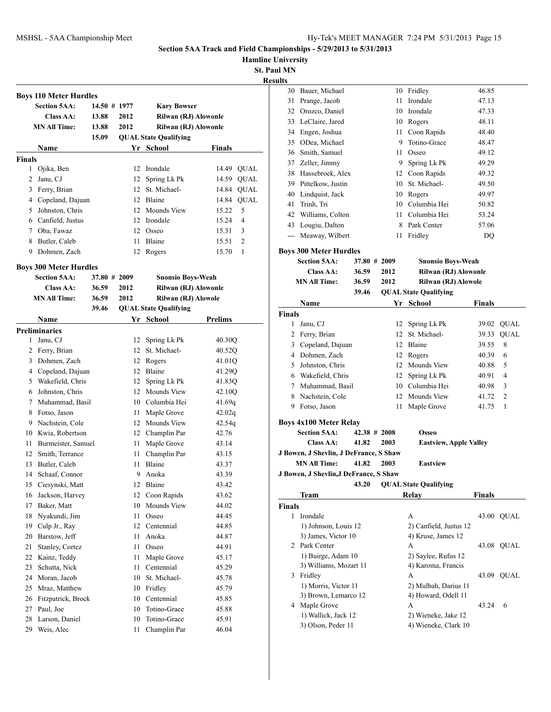**Hamline University**

|               | <b>Boys 110 Meter Hurdles</b> |              |      |                              |         |             |
|---------------|-------------------------------|--------------|------|------------------------------|---------|-------------|
|               | <b>Section 5AA:</b>           | 14.50 # 1977 |      | <b>Kary Bowser</b>           |         |             |
|               | Class AA:                     | 13.88        | 2012 | Rilwan (RJ) Alowonle         |         |             |
|               | <b>MN All Time:</b>           | 13.88        | 2012 | Rilwan (RJ) Alowonle         |         |             |
|               |                               | 15.09        |      | <b>QUAL State Qualifying</b> |         |             |
|               | Name                          |              |      | Yr School                    | Finals  |             |
| <b>Finals</b> |                               |              |      |                              |         |             |
| $\mathbf{1}$  | Ojika, Ben                    |              | 12   | Irondale                     | 14.49   | <b>QUAL</b> |
| 2             | Janu, CJ                      |              | 12   | Spring Lk Pk                 | 14.59   | QUAL        |
| 3             | Ferry, Brian                  |              | 12   | St. Michael-                 | 14.84   | QUAL        |
|               | 4 Copeland, Dajuan            |              | 12   | Blaine                       | 14.84   | <b>QUAL</b> |
| 5             | Johnston, Chris               |              | 12   | Mounds View                  | 15.22   | 5           |
|               | 6 Canfield, Justus            |              | 12   | Irondale                     | 15.24   | 4           |
|               | 7 Oba, Fawaz                  |              | 12   | Osseo                        | 15.31   | 3           |
| 8             | Butler, Caleb                 |              | 11   | Blaine                       | 15.51   | 2           |
| 9             | Dohmen, Zach                  |              | 12   | Rogers                       | 15.70   | 1           |
|               |                               |              |      |                              |         |             |
|               | <b>Boys 300 Meter Hurdles</b> |              |      |                              |         |             |
|               | <b>Section 5AA:</b>           | 37.80 # 2009 |      | <b>Snonsio Boys-Weah</b>     |         |             |
|               | Class AA:                     | 36.59        | 2012 | Rilwan (RJ) Alowonle         |         |             |
|               | <b>MN All Time:</b>           | 36.59        | 2012 | Rilwan (RJ) Alowole          |         |             |
|               |                               | 39.46        |      | <b>QUAL State Qualifying</b> |         |             |
|               | <b>Name</b>                   |              |      | Yr School                    | Prelims |             |
|               | <b>Preliminaries</b>          |              |      |                              |         |             |
| 1             | Janu, CJ                      |              | 12   | Spring Lk Pk                 | 40.30Q  |             |
| 2             | Ferry, Brian                  |              | 12   | St. Michael-                 | 40.52Q  |             |
| 3             | Dohmen, Zach                  |              | 12   | Rogers                       | 41.01Q  |             |
|               | 4 Copeland, Dajuan            |              | 12   | Blaine                       | 41.29Q  |             |
| 5             | Wakefield, Chris              |              | 12   | Spring Lk Pk                 | 41.83Q  |             |
| 6             | Johnston, Chris               |              |      | 12 Mounds View               | 42.10Q  |             |
| 7             | Muhammad, Basil               |              |      | 10 Columbia Hei              | 41.69q  |             |
| 8             | Fotso, Jason                  |              | 11   | Maple Grove                  | 42.02q  |             |
| 9             | Nachstein, Cole               |              |      | 12 Mounds View               | 42.54g  |             |
|               | 10 Kwia, Robertson            |              |      | 12 Champlin Par              | 42.76   |             |
| 11            | Burmeister, Samuel            |              | 11   | Maple Grove                  | 43.14   |             |
| 12            | Smith, Terrance               |              | 11   | Champlin Par                 | 43.15   |             |
| 13            | Butler, Caleb                 |              | 11   | Blaine                       | 43.37   |             |
| 14            | Schaaf, Connor                |              | 9    | Anoka                        | 43.39   |             |
| 15            | Ciesynski, Matt               |              | 12   | Blaine                       | 43.42   |             |
| 16            | Jackson, Harvey               |              | 12   | Coon Rapids                  | 43.62   |             |
| 17            | Baker, Matt                   |              | 10   | Mounds View                  | 44.02   |             |
| 18            | Nyakundi, Jim                 |              | 11   | Osseo                        | 44.45   |             |
| 19            | Culp Jr., Ray                 |              | 12   | Centennial                   | 44.85   |             |
| 20            | Barstow, Jeff                 |              | 11   | Anoka                        | 44.87   |             |
| 21            | Stanley, Cortez               |              | 11   | Osseo                        | 44.91   |             |
| 22            | Kainz, Teddy                  |              | 11   | Maple Grove                  | 45.17   |             |
| 23            | Schutta, Nick                 |              | 11   | Centennial                   | 45.29   |             |
| 24            | Moran, Jacob                  |              | 10   | St. Michael-                 | 45.78   |             |
| 25            | Mraz, Matthew                 |              | 10   | Fridley                      | 45.79   |             |
| 26            | Fitzpatrick, Brock            |              | 10   | Centennial                   | 45.85   |             |
| 27            | Paul, Joe                     |              | 10   | Totino-Grace                 | 45.88   |             |
| 28            | Larson, Daniel                |              | 10   | Totino-Grace                 | 45.91   |             |
| 29            | Weis, Alec                    |              | 11   | Champlin Par                 | 46.04   |             |
|               |                               |              |      |                              |         |             |

| 30 Bauer, Michael                      |                                                                                                                                                                                                  |                                                                                                                                                                          | 10 Fridley                    | 46.85                                                                                                                                                                                                                                                                                                                                                                                                       |                                                                                                                                                                       |
|----------------------------------------|--------------------------------------------------------------------------------------------------------------------------------------------------------------------------------------------------|--------------------------------------------------------------------------------------------------------------------------------------------------------------------------|-------------------------------|-------------------------------------------------------------------------------------------------------------------------------------------------------------------------------------------------------------------------------------------------------------------------------------------------------------------------------------------------------------------------------------------------------------|-----------------------------------------------------------------------------------------------------------------------------------------------------------------------|
| 31 Prange, Jacob                       |                                                                                                                                                                                                  |                                                                                                                                                                          | Irondale                      | 47.13                                                                                                                                                                                                                                                                                                                                                                                                       |                                                                                                                                                                       |
| 32 Orozco, Daniel                      |                                                                                                                                                                                                  |                                                                                                                                                                          |                               | 47.33                                                                                                                                                                                                                                                                                                                                                                                                       |                                                                                                                                                                       |
| 33 LeClaire, Jared                     |                                                                                                                                                                                                  |                                                                                                                                                                          |                               | 48.11                                                                                                                                                                                                                                                                                                                                                                                                       |                                                                                                                                                                       |
| 34 Engen, Joshua                       |                                                                                                                                                                                                  |                                                                                                                                                                          |                               | 48.40                                                                                                                                                                                                                                                                                                                                                                                                       |                                                                                                                                                                       |
| 35 ODea, Michael                       |                                                                                                                                                                                                  |                                                                                                                                                                          |                               | 48.47                                                                                                                                                                                                                                                                                                                                                                                                       |                                                                                                                                                                       |
| 36 Smith, Samuel                       |                                                                                                                                                                                                  |                                                                                                                                                                          | Osseo                         | 49.12                                                                                                                                                                                                                                                                                                                                                                                                       |                                                                                                                                                                       |
| 37 Zeller, Jimmy                       |                                                                                                                                                                                                  |                                                                                                                                                                          |                               | 49.29                                                                                                                                                                                                                                                                                                                                                                                                       |                                                                                                                                                                       |
|                                        |                                                                                                                                                                                                  |                                                                                                                                                                          |                               | 49.32                                                                                                                                                                                                                                                                                                                                                                                                       |                                                                                                                                                                       |
| 39 Pittelkow, Justin                   |                                                                                                                                                                                                  |                                                                                                                                                                          |                               | 49.50                                                                                                                                                                                                                                                                                                                                                                                                       |                                                                                                                                                                       |
| 40 Lindquist, Jack                     |                                                                                                                                                                                                  |                                                                                                                                                                          |                               | 49.97                                                                                                                                                                                                                                                                                                                                                                                                       |                                                                                                                                                                       |
| 41 Trinh, Tri                          |                                                                                                                                                                                                  |                                                                                                                                                                          |                               | 50.82                                                                                                                                                                                                                                                                                                                                                                                                       |                                                                                                                                                                       |
|                                        |                                                                                                                                                                                                  |                                                                                                                                                                          |                               | 53.24                                                                                                                                                                                                                                                                                                                                                                                                       |                                                                                                                                                                       |
| 43 Lougiu, Dalton                      |                                                                                                                                                                                                  |                                                                                                                                                                          |                               | 57.06                                                                                                                                                                                                                                                                                                                                                                                                       |                                                                                                                                                                       |
|                                        |                                                                                                                                                                                                  |                                                                                                                                                                          |                               | DQ                                                                                                                                                                                                                                                                                                                                                                                                          |                                                                                                                                                                       |
|                                        |                                                                                                                                                                                                  |                                                                                                                                                                          |                               |                                                                                                                                                                                                                                                                                                                                                                                                             |                                                                                                                                                                       |
|                                        |                                                                                                                                                                                                  |                                                                                                                                                                          |                               |                                                                                                                                                                                                                                                                                                                                                                                                             |                                                                                                                                                                       |
|                                        |                                                                                                                                                                                                  |                                                                                                                                                                          |                               |                                                                                                                                                                                                                                                                                                                                                                                                             |                                                                                                                                                                       |
|                                        |                                                                                                                                                                                                  |                                                                                                                                                                          |                               |                                                                                                                                                                                                                                                                                                                                                                                                             |                                                                                                                                                                       |
|                                        |                                                                                                                                                                                                  |                                                                                                                                                                          |                               |                                                                                                                                                                                                                                                                                                                                                                                                             |                                                                                                                                                                       |
|                                        |                                                                                                                                                                                                  |                                                                                                                                                                          |                               |                                                                                                                                                                                                                                                                                                                                                                                                             |                                                                                                                                                                       |
|                                        |                                                                                                                                                                                                  |                                                                                                                                                                          |                               |                                                                                                                                                                                                                                                                                                                                                                                                             |                                                                                                                                                                       |
|                                        |                                                                                                                                                                                                  |                                                                                                                                                                          |                               |                                                                                                                                                                                                                                                                                                                                                                                                             |                                                                                                                                                                       |
|                                        |                                                                                                                                                                                                  |                                                                                                                                                                          |                               |                                                                                                                                                                                                                                                                                                                                                                                                             | <b>QUAL</b>                                                                                                                                                           |
|                                        |                                                                                                                                                                                                  |                                                                                                                                                                          |                               |                                                                                                                                                                                                                                                                                                                                                                                                             | 8                                                                                                                                                                     |
|                                        |                                                                                                                                                                                                  |                                                                                                                                                                          |                               |                                                                                                                                                                                                                                                                                                                                                                                                             | 6                                                                                                                                                                     |
|                                        |                                                                                                                                                                                                  |                                                                                                                                                                          |                               |                                                                                                                                                                                                                                                                                                                                                                                                             | 5                                                                                                                                                                     |
|                                        |                                                                                                                                                                                                  |                                                                                                                                                                          |                               |                                                                                                                                                                                                                                                                                                                                                                                                             | 4                                                                                                                                                                     |
|                                        |                                                                                                                                                                                                  |                                                                                                                                                                          |                               |                                                                                                                                                                                                                                                                                                                                                                                                             | 3                                                                                                                                                                     |
|                                        |                                                                                                                                                                                                  |                                                                                                                                                                          |                               |                                                                                                                                                                                                                                                                                                                                                                                                             | 2                                                                                                                                                                     |
|                                        |                                                                                                                                                                                                  |                                                                                                                                                                          |                               |                                                                                                                                                                                                                                                                                                                                                                                                             |                                                                                                                                                                       |
|                                        |                                                                                                                                                                                                  |                                                                                                                                                                          |                               |                                                                                                                                                                                                                                                                                                                                                                                                             |                                                                                                                                                                       |
| 9 Fotso, Jason                         |                                                                                                                                                                                                  | 11                                                                                                                                                                       | Maple Grove                   | 41.75                                                                                                                                                                                                                                                                                                                                                                                                       | 1                                                                                                                                                                     |
| <b>Boys 4x100 Meter Relay</b>          |                                                                                                                                                                                                  |                                                                                                                                                                          |                               |                                                                                                                                                                                                                                                                                                                                                                                                             |                                                                                                                                                                       |
| <b>Section 5AA:</b>                    | $42.38 \pm 2008$                                                                                                                                                                                 |                                                                                                                                                                          | <b>Osseo</b>                  |                                                                                                                                                                                                                                                                                                                                                                                                             |                                                                                                                                                                       |
| <b>Class AA:</b>                       | 41.82                                                                                                                                                                                            | 2003                                                                                                                                                                     | <b>Eastview, Apple Valley</b> |                                                                                                                                                                                                                                                                                                                                                                                                             |                                                                                                                                                                       |
| J Bowen, J Shevlin, J DeFrance, S Shaw |                                                                                                                                                                                                  |                                                                                                                                                                          |                               |                                                                                                                                                                                                                                                                                                                                                                                                             |                                                                                                                                                                       |
| <b>MN All Time:</b>                    | 41.82                                                                                                                                                                                            | 2003                                                                                                                                                                     | <b>Eastview</b>               |                                                                                                                                                                                                                                                                                                                                                                                                             |                                                                                                                                                                       |
| J Bowen, J Shevlin, J DeFrance, S Shaw |                                                                                                                                                                                                  |                                                                                                                                                                          |                               |                                                                                                                                                                                                                                                                                                                                                                                                             |                                                                                                                                                                       |
|                                        | 43.20                                                                                                                                                                                            |                                                                                                                                                                          | <b>QUAL State Qualifying</b>  |                                                                                                                                                                                                                                                                                                                                                                                                             |                                                                                                                                                                       |
| <b>Team</b>                            |                                                                                                                                                                                                  |                                                                                                                                                                          | <b>Relay</b>                  | Finals                                                                                                                                                                                                                                                                                                                                                                                                      |                                                                                                                                                                       |
| <b>Finals</b>                          |                                                                                                                                                                                                  |                                                                                                                                                                          |                               |                                                                                                                                                                                                                                                                                                                                                                                                             |                                                                                                                                                                       |
| 1 Irondale                             |                                                                                                                                                                                                  |                                                                                                                                                                          | А                             |                                                                                                                                                                                                                                                                                                                                                                                                             | 43.00 QUAL                                                                                                                                                            |
| 1) Johnson, Louis 12                   |                                                                                                                                                                                                  |                                                                                                                                                                          | 2) Canfield, Justus 12        |                                                                                                                                                                                                                                                                                                                                                                                                             |                                                                                                                                                                       |
| 3) James, Victor 10                    |                                                                                                                                                                                                  |                                                                                                                                                                          | 4) Kruse, James 12            |                                                                                                                                                                                                                                                                                                                                                                                                             |                                                                                                                                                                       |
| 2 Park Center                          |                                                                                                                                                                                                  |                                                                                                                                                                          | A                             |                                                                                                                                                                                                                                                                                                                                                                                                             | 43.08 QUAL                                                                                                                                                            |
| 1) Buirge, Adam 10                     |                                                                                                                                                                                                  |                                                                                                                                                                          | 2) Saylee, Rufus 12           |                                                                                                                                                                                                                                                                                                                                                                                                             |                                                                                                                                                                       |
| 3) Williams, Mozart 11<br>3 Fridley    |                                                                                                                                                                                                  |                                                                                                                                                                          | 4) Karoma, Francis<br>A       |                                                                                                                                                                                                                                                                                                                                                                                                             | 43.09 QUAL                                                                                                                                                            |
| 1) Morris, Victor 11                   |                                                                                                                                                                                                  |                                                                                                                                                                          | 2) Mulbah, Darius 11          |                                                                                                                                                                                                                                                                                                                                                                                                             |                                                                                                                                                                       |
| 3) Brown, Lemarco 12                   |                                                                                                                                                                                                  |                                                                                                                                                                          | 4) Howard, Odell 11           |                                                                                                                                                                                                                                                                                                                                                                                                             |                                                                                                                                                                       |
| 4 Maple Grove                          |                                                                                                                                                                                                  |                                                                                                                                                                          | А                             | 43.24                                                                                                                                                                                                                                                                                                                                                                                                       | 6                                                                                                                                                                     |
| 1) Wallick, Jack 12                    |                                                                                                                                                                                                  |                                                                                                                                                                          | 2) Wieneke, Jake 12           |                                                                                                                                                                                                                                                                                                                                                                                                             |                                                                                                                                                                       |
|                                        | <b>Section 5AA:</b><br>Class AA:<br><b>MN All Time:</b><br>Name<br><b>Finals</b><br>Janu, CJ<br>2 Ferry, Brian<br>4 Dohmen, Zach<br>5 Johnston, Chris<br>6 Wakefield, Chris<br>8 Nachstein, Cole | 38 Hassebroek, Alex<br>42 Williams, Colton<br>--- Meaway, Wilbert<br><b>Boys 300 Meter Hurdles</b><br>36.59<br>36.59<br>39.46<br>3 Copeland, Dajuan<br>7 Muhammad, Basil | 37.80 # 2009<br>2012<br>2012  | 11<br>10 Irondale<br>10 Rogers<br>11 Coon Rapids<br>9 Totino-Grace<br>11<br>9 Spring Lk Pk<br>12 Coon Rapids<br>10 St. Michael-<br>10 Rogers<br>10 Columbia Hei<br>11 Columbia Hei<br>8 Park Center<br>11 Fridley<br><b>QUAL State Qualifying</b><br>Yr School<br>Spring Lk Pk<br>12<br>12 St. Michael-<br>12 Blaine<br>12 Rogers<br>12 Mounds View<br>12 Spring Lk Pk<br>10 Columbia Hei<br>12 Mounds View | <b>Snonsio Boys-Weah</b><br>Rilwan (RJ) Alowonle<br>Rilwan (RJ) Alowole<br><b>Finals</b><br>39.02 QUAL<br>39.33<br>39.55<br>40.39<br>40.88<br>40.91<br>40.98<br>41.72 |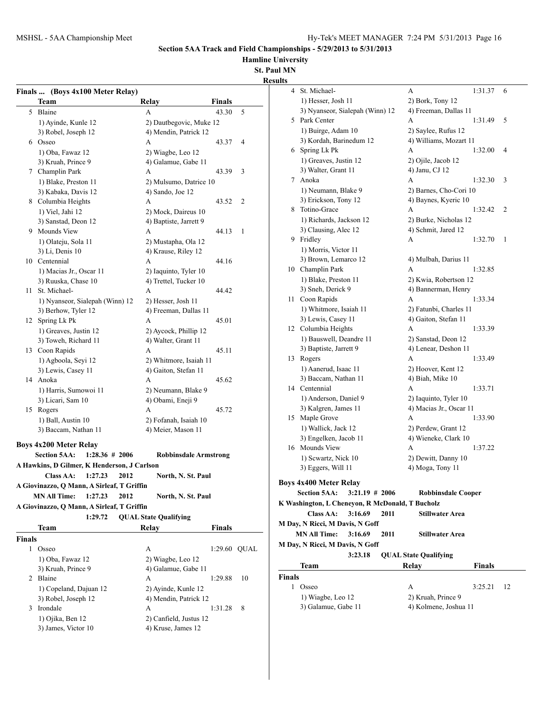**Hamline University**

**St. Paul MN**

|        | Finals  (Boys 4x100 Meter Relay)            |                              |               |    |
|--------|---------------------------------------------|------------------------------|---------------|----|
|        | Team                                        | Relay                        | <b>Finals</b> |    |
| 5      | Blaine                                      | А                            | 43.30         | 5  |
|        | 1) Ayinde, Kunle 12                         | 2) Dautbegovic, Muke 12      |               |    |
|        | 3) Robel, Joseph 12                         | 4) Mendin, Patrick 12        |               |    |
|        | 6 Osseo                                     | A                            | 43.37         | 4  |
|        | 1) Oba, Fawaz 12                            | 2) Wiagbe, Leo 12            |               |    |
|        | 3) Kruah, Prince 9                          | 4) Galamue, Gabe 11          |               |    |
|        | 7 Champlin Park                             | A                            | 43.39         | 3  |
|        | 1) Blake, Preston 11                        | 2) Mulsumo, Datrice 10       |               |    |
|        | 3) Kabaka, Davis 12                         | 4) Sando, Joe 12             |               |    |
| 8      | Columbia Heights                            | A                            | 43.52         | 2  |
|        | 1) Viel, Jahi 12                            | 2) Mock, Daireus 10          |               |    |
|        | 3) Sanstad, Deon 12                         | 4) Baptiste, Jarrett 9       |               |    |
| 9.     | Mounds View                                 | А                            | 44.13         | 1  |
|        | 1) Olateju, Sola 11                         | 2) Mustapha, Ola 12          |               |    |
|        | 3) Li, Denis 10                             | 4) Krause, Riley 12          |               |    |
|        | 10 Centennial                               | A                            | 44.16         |    |
|        | 1) Macias Jr., Oscar 11                     | 2) Iaquinto, Tyler 10        |               |    |
|        | 3) Ruuska, Chase 10                         | 4) Trettel, Tucker 10        |               |    |
| 11     | St. Michael-                                | А                            | 44.42         |    |
|        | 1) Nyanseor, Sialepah (Winn) 12             | 2) Hesser, Josh 11           |               |    |
|        | 3) Berhow, Tyler 12                         | 4) Freeman, Dallas 11        |               |    |
| 12     | Spring Lk Pk                                | A                            | 45.01         |    |
|        | 1) Greaves, Justin 12                       | 2) Aycock, Phillip 12        |               |    |
|        | 3) Toweh, Richard 11                        | 4) Walter, Grant 11          |               |    |
| 13     | Coon Rapids                                 | A                            | 45.11         |    |
|        | 1) Agboola, Seyi 12                         | 2) Whitmore, Isaiah 11       |               |    |
|        | 3) Lewis, Casey 11                          | 4) Gaiton, Stefan 11         |               |    |
| 14     | Anoka                                       | A                            | 45.62         |    |
|        | 1) Harris, Sumowoi 11                       | 2) Neumann, Blake 9          |               |    |
|        | 3) Licari, Sam 10                           | 4) Obami, Eneji 9            |               |    |
| 15     | Rogers                                      | A                            | 45.72         |    |
|        | 1) Ball, Austin 10                          | 2) Fofanah, Isaiah 10        |               |    |
|        | 3) Baccam, Nathan 11                        | 4) Meier, Mason 11           |               |    |
|        |                                             |                              |               |    |
|        | <b>Boys 4x200 Meter Relay</b>               |                              |               |    |
|        | <b>Section 5AA:</b><br>$1:28.36 \# 2006$    | <b>Robbinsdale Armstrong</b> |               |    |
|        | A Hawkins, D Gilmer, K Henderson, J Carlson |                              |               |    |
|        | Class AA:<br>1:27.23<br>2012                | North, N. St. Paul           |               |    |
|        | A Giovinazzo, Q Mann, A Sirleaf, T Griffin  |                              |               |    |
|        | <b>MN All Time:</b><br>1:27.23<br>2012      | North, N. St. Paul           |               |    |
|        | A Giovinazzo, Q Mann, A Sirleaf, T Griffin  |                              |               |    |
|        | 1:29.72                                     | <b>QUAL State Qualifying</b> |               |    |
|        | Team                                        | Relay                        | Finals        |    |
| Finals |                                             |                              |               |    |
| 1      | Osseo                                       | А                            | 1:29.60 QUAL  |    |
|        | 1) Oba, Fawaz 12                            | 2) Wiagbe, Leo 12            |               |    |
|        | 3) Kruah, Prince 9                          | 4) Galamue, Gabe 11          |               |    |
|        | 2 Blaine                                    | A                            | 1:29.88       | 10 |
|        | 1) Copeland, Dajuan 12                      | 2) Ayinde, Kunle 12          |               |    |
|        | 3) Robel, Joseph 12                         | 4) Mendin, Patrick 12        |               |    |
| 3      | Irondale                                    | A                            | 1:31.28       | 8  |
|        | 1) Ojika, Ben 12                            | 2) Canfield, Justus 12       |               |    |
|        | 3) James, Victor 10                         | 4) Kruse, James 12           |               |    |

| սււծ          |                                                 |                              |               |    |
|---------------|-------------------------------------------------|------------------------------|---------------|----|
| 4             | St. Michael-                                    | А                            | 1:31.37       | 6  |
|               | 1) Hesser, Josh 11                              | 2) Bork, Tony 12             |               |    |
|               | 3) Nyanseor, Sialepah (Winn) 12                 | 4) Freeman, Dallas 11        |               |    |
|               | 5 Park Center                                   | А                            | 1:31.49       | 5  |
|               | 1) Buirge, Adam 10                              | 2) Saylee, Rufus 12          |               |    |
|               |                                                 |                              |               |    |
|               | 3) Kordah, Barinedum 12                         | 4) Williams, Mozart 11       |               |    |
|               | 6 Spring Lk Pk                                  | А                            | 1:32.00       | 4  |
|               | 1) Greaves, Justin 12                           | 2) Ojile, Jacob 12           |               |    |
|               | 3) Walter, Grant 11                             | 4) Janu, CJ 12               |               |    |
|               | 7 Anoka                                         | А                            | 1:32.30       | 3  |
|               | 1) Neumann, Blake 9                             | 2) Barnes, Cho-Cori 10       |               |    |
|               | 3) Erickson, Tony 12                            | 4) Baynes, Kyeric 10         |               |    |
|               | 8 Totino-Grace                                  | А                            | 1:32.42       | 2  |
|               | 1) Richards, Jackson 12                         | 2) Burke, Nicholas 12        |               |    |
|               | 3) Clausing, Alec 12                            | 4) Schmit, Jared 12          |               |    |
|               | 9 Fridley                                       | А                            | 1:32.70       | 1  |
|               | 1) Morris, Victor 11                            |                              |               |    |
|               | 3) Brown, Lemarco 12                            | 4) Mulbah, Darius 11         |               |    |
|               | 10 Champlin Park                                | A                            | 1:32.85       |    |
|               | 1) Blake, Preston 11                            | 2) Kwia, Robertson 12        |               |    |
|               |                                                 | 4) Bannerman, Henry          |               |    |
|               | 3) Sneh, Derick 9                               |                              |               |    |
|               | 11 Coon Rapids                                  | А                            | 1:33.34       |    |
|               | 1) Whitmore, Isaiah 11                          | 2) Fatunbi, Charles 11       |               |    |
|               | 3) Lewis, Casey 11                              | 4) Gaiton, Stefan 11         |               |    |
|               | 12 Columbia Heights                             | A                            | 1:33.39       |    |
|               | 1) Bauswell, Deandre 11                         | 2) Sanstad, Deon 12          |               |    |
|               | 3) Baptiste, Jarrett 9                          | 4) Lenear, Deshon 11         |               |    |
|               | 13 Rogers                                       | A                            | 1:33.49       |    |
|               | 1) Aanerud, Isaac 11                            | 2) Hoover, Kent 12           |               |    |
|               | 3) Baccam, Nathan 11                            | 4) Biah, Mike 10             |               |    |
|               | 14 Centennial                                   | A                            | 1:33.71       |    |
|               | 1) Anderson, Daniel 9                           | 2) Iaquinto, Tyler 10        |               |    |
|               | 3) Kalgren, James 11                            | 4) Macias Jr., Oscar 11      |               |    |
|               | 15 Maple Grove                                  | А                            | 1:33.90       |    |
|               | 1) Wallick, Jack 12                             | 2) Perdew, Grant 12          |               |    |
|               | 3) Engelken, Jacob 11                           | 4) Wieneke, Clark 10         |               |    |
|               | 16 Mounds View                                  | A                            | 1:37.22       |    |
|               | 1) Sewartz, Nick 10                             | 2) Dewitt, Danny 10          |               |    |
|               | 3) Eggers, Will 11                              | 4) Moga, Tony 11             |               |    |
|               |                                                 |                              |               |    |
|               | <b>Boys 4x400 Meter Relay</b>                   |                              |               |    |
|               | <b>Section 5AA:</b><br>$3:21.19$ # 2006         | <b>Robbinsdale Cooper</b>    |               |    |
|               | K Washington, L Cheneyon, R McDonald, T Bucholz |                              |               |    |
|               | <b>Class AA:</b><br>3:16.69<br>2011             | Stillwater Area              |               |    |
|               | M Day, N Ricci, M Davis, N Goff                 |                              |               |    |
|               | <b>MN All Time:</b><br>3:16.69<br>2011          | <b>Stillwater Area</b>       |               |    |
|               | M Day, N Ricci, M Davis, N Goff                 |                              |               |    |
|               | 3:23.18                                         | <b>QUAL State Qualifying</b> |               |    |
|               | Team                                            | Relay                        | <b>Finals</b> |    |
| <b>Finals</b> |                                                 |                              |               |    |
|               | 1 Osseo                                         | А                            | 3:25.21       | 12 |
|               | 1) Wiagbe, Leo 12                               | 2) Kruah, Prince 9           |               |    |
|               | 3) Galamue, Gabe 11                             | 4) Kolmene, Joshua 11        |               |    |
|               |                                                 |                              |               |    |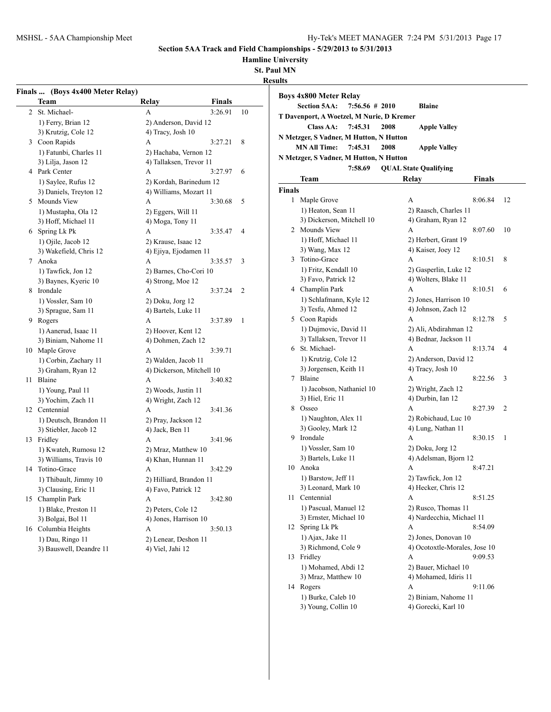**Hamline University**

**St. Paul MN**

|                | Finals  (Boys 4x400 Meter Relay) |                           |               |    |
|----------------|----------------------------------|---------------------------|---------------|----|
|                | Team                             | Relay                     | <b>Finals</b> |    |
| $\overline{2}$ | St. Michael-                     | А                         | 3:26.91       | 10 |
|                | 1) Ferry, Brian 12               | 2) Anderson, David 12     |               |    |
|                | 3) Krutzig, Cole 12              | 4) Tracy, Josh 10         |               |    |
| 3              | Coon Rapids                      | A                         | 3:27.21       | 8  |
|                | 1) Fatunbi, Charles 11           | 2) Hachaba, Vernon 12     |               |    |
|                | 3) Lilja, Jason 12               | 4) Tallaksen, Trevor 11   |               |    |
| $\overline{4}$ | Park Center                      | A                         | 3:27.97       | 6  |
|                | 1) Saylee, Rufus 12              | 2) Kordah, Barinedum 12   |               |    |
|                | 3) Daniels, Treyton 12           | 4) Williams, Mozart 11    |               |    |
|                | 5 Mounds View                    | A                         | 3:30.68       | 5  |
|                | 1) Mustapha, Ola 12              | 2) Eggers, Will 11        |               |    |
|                | 3) Hoff, Michael 11              | 4) Moga, Tony 11          |               |    |
| 6              | Spring Lk Pk                     | А                         | 3:35.47       | 4  |
|                | 1) Ojile, Jacob 12               | 2) Krause, Isaac 12       |               |    |
|                | 3) Wakefield, Chris 12           | 4) Ejiya, Ejodamen 11     |               |    |
| 7              | Anoka                            | A                         | 3:35.57       | 3  |
|                | 1) Tawfick, Jon 12               | 2) Barnes, Cho-Cori 10    |               |    |
|                | 3) Baynes, Kyeric 10             | 4) Strong, Moe 12         |               |    |
|                | 8 Irondale                       | А                         | 3:37.24       | 2  |
|                | 1) Vossler, Sam 10               | 2) Doku, Jorg 12          |               |    |
|                | 3) Sprague, Sam 11               | 4) Bartels, Luke 11       |               |    |
| 9              | Rogers                           | A                         | 3:37.89       | 1  |
|                | 1) Aanerud, Isaac 11             | 2) Hoover, Kent 12        |               |    |
|                | 3) Biniam, Nahome 11             | 4) Dohmen, Zach 12        |               |    |
|                | 10 Maple Grove                   | А                         | 3:39.71       |    |
|                | 1) Corbin, Zachary 11            | 2) Walden, Jacob 11       |               |    |
|                | 3) Graham, Ryan 12               | 4) Dickerson, Mitchell 10 |               |    |
| 11             | Blaine                           | A                         | 3:40.82       |    |
|                | 1) Young, Paul 11                | 2) Woods, Justin 11       |               |    |
|                | 3) Yochim, Zach 11               | 4) Wright, Zach 12        |               |    |
| 12             | Centennial                       | А                         | 3:41.36       |    |
|                | 1) Deutsch, Brandon 11           | 2) Pray, Jackson 12       |               |    |
|                | 3) Stiebler, Jacob 12            | 4) Jack, Ben 11           |               |    |
| 13             | Fridley                          | A                         | 3:41.96       |    |
|                | 1) Kwateh, Rumosu 12             | 2) Mraz, Matthew 10       |               |    |
|                | 3) Williams, Travis 10           | 4) Khan, Hunnan 11        |               |    |
| 14             | Totino-Grace                     | А                         | 3:42.29       |    |
|                | 1) Thibault, Jimmy 10            | 2) Hilliard, Brandon 11   |               |    |
|                | 3) Clausing, Eric 11             | 4) Favo, Patrick 12       |               |    |
| 15             | Champlin Park                    | А                         | 3:42.80       |    |
|                | 1) Blake, Preston 11             | 2) Peters, Cole 12        |               |    |
|                | 3) Bolgai, Bol 11                | 4) Jones, Harrison 10     |               |    |
| 16             | Columbia Heights                 | A                         | 3:50.13       |    |
|                | 1) Dau, Ringo 11                 | 2) Lenear, Deshon 11      |               |    |
|                | 3) Bauswell, Deandre 11          | 4) Viel, Jahi 12          |               |    |

|                                           | <b>Boys 4x800 Meter Relay</b>                                 |                                |               |  |  |  |  |
|-------------------------------------------|---------------------------------------------------------------|--------------------------------|---------------|--|--|--|--|
|                                           | <b>Section 5AA:</b><br>7:56.56#2010                           | <b>Blaine</b>                  |               |  |  |  |  |
| T Davenport, A Woetzel, M Nurie, D Kremer |                                                               |                                |               |  |  |  |  |
|                                           | <b>Class AA:</b><br>7:45.31                                   | 2008<br><b>Apple Valley</b>    |               |  |  |  |  |
|                                           | N Metzger, S Vadner, M Hutton, N Hutton                       |                                |               |  |  |  |  |
|                                           | <b>MN All Time:</b><br>7:45.31<br>2008<br><b>Apple Valley</b> |                                |               |  |  |  |  |
|                                           | N Metzger, S Vadner, M Hutton, N Hutton                       |                                |               |  |  |  |  |
|                                           | 7:58.69                                                       | <b>QUAL State Qualifying</b>   |               |  |  |  |  |
|                                           | Team                                                          | Relay                          | Finals        |  |  |  |  |
| <b>Finals</b>                             |                                                               |                                |               |  |  |  |  |
| 1                                         | Maple Grove                                                   | A                              | 8:06.84<br>12 |  |  |  |  |
|                                           | 1) Heaton, Sean 11                                            | 2) Raasch, Charles 11          |               |  |  |  |  |
|                                           | 3) Dickerson, Mitchell 10                                     | 4) Graham, Ryan 12             |               |  |  |  |  |
|                                           | 2 Mounds View                                                 | A                              | 8:07.60<br>10 |  |  |  |  |
|                                           | 1) Hoff, Michael 11                                           | 2) Herbert, Grant 19           |               |  |  |  |  |
|                                           | 3) Wang, Max 12                                               | 4) Kaiser, Joey 12             |               |  |  |  |  |
|                                           | 3 Totino-Grace                                                | A                              | 8<br>8:10.51  |  |  |  |  |
|                                           | 1) Fritz, Kendall 10                                          | 2) Gasperlin, Luke 12          |               |  |  |  |  |
|                                           | 3) Favo, Patrick 12                                           | 4) Wolters, Blake 11           |               |  |  |  |  |
|                                           | 4 Champlin Park                                               | A                              | 8:10.51<br>6  |  |  |  |  |
|                                           | 1) Schlafmann, Kyle 12                                        | 2) Jones, Harrison 10          |               |  |  |  |  |
|                                           | 3) Tesfu, Ahmed 12                                            | 4) Johnson, Zach 12            |               |  |  |  |  |
|                                           | 5 Coon Rapids                                                 | A                              | 8:12.78<br>5  |  |  |  |  |
|                                           | 1) Dujmovic, David 11                                         | 2) Ali, Abdirahman 12          |               |  |  |  |  |
|                                           | 3) Tallaksen, Trevor 11<br>6 St. Michael-                     | 4) Bednar, Jackson 11<br>A     | 4             |  |  |  |  |
|                                           | 1) Krutzig, Cole 12                                           | 2) Anderson, David 12          | 8:13.74       |  |  |  |  |
|                                           | 3) Jorgensen, Keith 11                                        | 4) Tracy, Josh 10              |               |  |  |  |  |
|                                           | 7 Blaine                                                      | А                              | 8:22.56<br>3  |  |  |  |  |
|                                           | 1) Jacobson, Nathaniel 10                                     | 2) Wright, Zach 12             |               |  |  |  |  |
|                                           | 3) Hiel, Eric 11                                              | 4) Durbin, Ian 12              |               |  |  |  |  |
|                                           | 8 Osseo                                                       | A                              | 8:27.39<br>2  |  |  |  |  |
|                                           | 1) Naughton, Alex 11                                          | 2) Robichaud, Luc 10           |               |  |  |  |  |
|                                           | 3) Gooley, Mark 12                                            | 4) Lung, Nathan 11             |               |  |  |  |  |
|                                           | 9 Irondale                                                    | A                              | 8:30.15<br>1  |  |  |  |  |
|                                           | 1) Vossler, Sam 10                                            | 2) Doku, Jorg 12               |               |  |  |  |  |
|                                           | 3) Bartels, Luke 11                                           | 4) Adelsman, Bjorn 12          |               |  |  |  |  |
|                                           | 10 Anoka                                                      | A                              | 8:47.21       |  |  |  |  |
|                                           | 1) Barstow, Jeff 11                                           | 2) Tawfick, Jon 12             |               |  |  |  |  |
|                                           | 3) Leonard, Mark 10                                           | 4) Hecker, Chris 12            |               |  |  |  |  |
|                                           | 11 Centennial                                                 | А                              | 8:51.25       |  |  |  |  |
|                                           | 1) Pascual, Manuel 12                                         | 2) Rusco, Thomas 11            |               |  |  |  |  |
| 12                                        | 3) Ernster, Michael 10<br>Spring Lk Pk                        | 4) Nardecchia, Michael 11<br>А | 8:54.09       |  |  |  |  |
|                                           | 1) Ajax, Jake 11                                              | 2) Jones, Donovan 10           |               |  |  |  |  |
|                                           | 3) Richmond, Cole 9                                           | 4) Ocotoxtle-Morales, Jose 10  |               |  |  |  |  |
| 13                                        | Fridley                                                       | A                              | 9:09.53       |  |  |  |  |
|                                           | 1) Mohamed, Abdi 12                                           | 2) Bauer, Michael 10           |               |  |  |  |  |
|                                           | 3) Mraz, Matthew 10                                           | 4) Mohamed, Idiris 11          |               |  |  |  |  |
|                                           | 14 Rogers                                                     | А                              | 9:11.06       |  |  |  |  |
|                                           | 1) Burke, Caleb 10                                            | 2) Biniam, Nahome 11           |               |  |  |  |  |
|                                           | 3) Young, Collin 10                                           | 4) Gorecki, Karl 10            |               |  |  |  |  |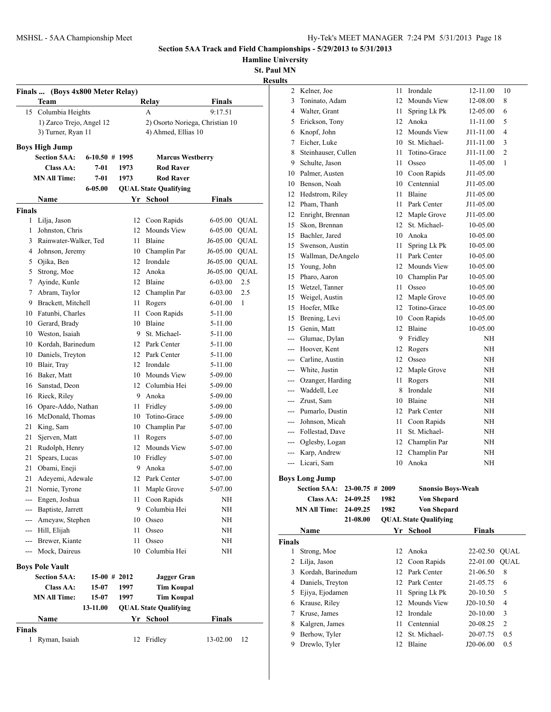**Hamline University**

**St. Paul MN**

|                   |                          |                  |                     | Relay                           | <b>Finals</b> |             |  |  |
|-------------------|--------------------------|------------------|---------------------|---------------------------------|---------------|-------------|--|--|
|                   | 15 Columbia Heights      |                  |                     | A                               | 9:17.51       |             |  |  |
|                   | 1) Zarco Trejo, Angel 12 |                  |                     | 2) Osorto Noriega, Christian 10 |               |             |  |  |
|                   | 3) Turner, Ryan 11       |                  | 4) Ahmed, Ellias 10 |                                 |               |             |  |  |
|                   | <b>Boys High Jump</b>    |                  |                     |                                 |               |             |  |  |
|                   | <b>Section 5AA:</b>      | $6-10.50$ # 1995 |                     | <b>Marcus Westberry</b>         |               |             |  |  |
|                   | Class AA:                | $7 - 01$         | 1973                | <b>Rod Raver</b>                |               |             |  |  |
|                   | <b>MN All Time:</b>      | $7 - 01$         | 1973                | <b>Rod Raver</b>                |               |             |  |  |
|                   |                          | 6-05.00          |                     | <b>QUAL State Qualifying</b>    |               |             |  |  |
|                   | <b>Name</b>              |                  |                     | Yr School                       | <b>Finals</b> |             |  |  |
| <b>Finals</b>     |                          |                  |                     |                                 |               |             |  |  |
| 1                 | Lilja, Jason             |                  |                     | 12 Coon Rapids                  | 6-05.00       | <b>QUAL</b> |  |  |
| 1                 | Johnston, Chris          |                  |                     | 12 Mounds View                  | 6-05.00       | <b>QUAL</b> |  |  |
| 3                 | Rainwater-Walker, Ted    |                  | 11                  | Blaine                          | J6-05.00      | <b>QUAL</b> |  |  |
| 4                 | Johnson, Jeremy          |                  |                     | 10 Champlin Par                 | J6-05.00      | <b>QUAL</b> |  |  |
| 5                 | Ojika, Ben               |                  |                     | 12 Irondale                     | J6-05.00      | <b>QUAL</b> |  |  |
| 5                 | Strong, Moe              |                  | 12                  | Anoka                           | J6-05.00      | <b>QUAL</b> |  |  |
| 7                 | Ayinde, Kunle            |                  |                     | 12 Blaine                       | 6-03.00       | 2.5         |  |  |
| 7                 | Abram, Taylor            |                  |                     | 12 Champlin Par                 | $6 - 03.00$   | 2.5         |  |  |
|                   | 9 Brackett, Mitchell     |                  | 11 -                | Rogers                          | 6-01.00       | 1           |  |  |
|                   | 10 Fatunbi, Charles      |                  | 11                  | Coon Rapids                     | 5-11.00       |             |  |  |
|                   | 10 Gerard, Brady         |                  |                     | 10 Blaine                       | 5-11.00       |             |  |  |
|                   | 10 Weston, Isaiah        |                  |                     | 9 St. Michael-                  | 5-11.00       |             |  |  |
|                   | 10 Kordah, Barinedum     |                  |                     | 12 Park Center                  | 5-11.00       |             |  |  |
|                   | 10 Daniels, Treyton      |                  |                     | 12 Park Center                  | 5-11.00       |             |  |  |
|                   | 10 Blair, Tray           |                  |                     | 12 Irondale                     | 5-11.00       |             |  |  |
|                   | 16 Baker, Matt           |                  |                     | 10 Mounds View                  | 5-09.00       |             |  |  |
| 16                | Sanstad, Deon            |                  |                     | 12 Columbia Hei                 | 5-09.00       |             |  |  |
|                   | 16 Rieck, Riley          |                  |                     | 9 Anoka                         | 5-09.00       |             |  |  |
| 16                | Opare-Addo, Nathan       |                  | 11 -                | Fridley                         | 5-09.00       |             |  |  |
| 16                | McDonald, Thomas         |                  |                     | 10 Totino-Grace                 | 5-09.00       |             |  |  |
| 21                | King, Sam                |                  |                     | 10 Champlin Par                 | 5-07.00       |             |  |  |
| 21                | Sjerven, Matt            |                  | 11 -                | Rogers                          | 5-07.00       |             |  |  |
| 21                | Rudolph, Henry           |                  |                     | 12 Mounds View                  | 5-07.00       |             |  |  |
| 21                | Spears, Lucas            |                  |                     | 10 Fridley                      | 5-07.00       |             |  |  |
| 21                | Obami, Eneji             |                  | 9                   | Anoka                           | 5-07.00       |             |  |  |
|                   | 21 Adeyemi, Adewale      |                  |                     | 12 Park Center                  | 5-07.00       |             |  |  |
|                   | 21 Nornie, Tyrone        |                  | 11.                 | Maple Grove                     | 5-07.00       |             |  |  |
| $---$             | Engen, Joshua            |                  | 11                  | Coon Rapids                     | NΗ            |             |  |  |
| ---               | Baptiste, Jarrett        |                  | 9                   | Columbia Hei                    | NΗ            |             |  |  |
| $\qquad \qquad -$ | Ameyaw, Stephen          |                  | 10                  | Osseo                           | NΗ            |             |  |  |
|                   | --- Hill, Elijah         |                  | 11                  | Osseo                           | NΗ            |             |  |  |
|                   | --- Brewer, Kiante       |                  | 11                  | Osseo                           | NΗ            |             |  |  |
|                   | --- Mock, Daireus        |                  | 10                  | Columbia Hei                    | NΗ            |             |  |  |
|                   | <b>Boys Pole Vault</b>   |                  |                     |                                 |               |             |  |  |
|                   | <b>Section 5AA:</b>      | $15-00$ # 2012   |                     | <b>Jagger Gran</b>              |               |             |  |  |
|                   | <b>Class AA:</b>         | 15-07            | 1997                | <b>Tim Koupal</b>               |               |             |  |  |
|                   | <b>MN All Time:</b>      | 15-07            | 1997                | <b>Tim Koupal</b>               |               |             |  |  |
|                   |                          | 13-11.00         |                     | <b>QUAL State Qualifying</b>    |               |             |  |  |
|                   | Name                     |                  |                     | Yr School                       | <b>Finals</b> |             |  |  |
|                   |                          |                  |                     |                                 |               |             |  |  |
| Finals            |                          |                  |                     |                                 |               |             |  |  |

| uns            |                       |                   |          |                              |           |                         |
|----------------|-----------------------|-------------------|----------|------------------------------|-----------|-------------------------|
|                | 2 Kelner, Joe         |                   | 11       | Irondale                     | 12-11.00  | 10                      |
| 3              | Toninato, Adam        |                   | 12       | Mounds View                  | 12-08.00  | 8                       |
| $\overline{4}$ | Walter, Grant         |                   | 11       | Spring Lk Pk                 | 12-05.00  | 6                       |
|                | 5 Erickson, Tony      |                   | 12       | Anoka                        | 11-11.00  | 5                       |
| 6              | Knopf, John           |                   | 12       | <b>Mounds View</b>           | J11-11.00 | 4                       |
| 7              | Eicher, Luke          |                   | 10       | St. Michael-                 | J11-11.00 | 3                       |
| 8              | Steinhauser, Cullen   |                   | 11       | Totino-Grace                 | J11-11.00 | 2                       |
|                | 9 Schulte, Jason      |                   | 11       | Osseo                        | 11-05.00  | 1                       |
|                | 10 Palmer, Austen     |                   | 10       | Coon Rapids                  | J11-05.00 |                         |
|                | 10 Benson, Noah       |                   | 10       | Centennial                   | J11-05.00 |                         |
|                | 12 Hedstrom, Riley    |                   | 11       | Blaine                       | J11-05.00 |                         |
|                | 12 Pham, Thanh        |                   | 11       | Park Center                  | J11-05.00 |                         |
|                | 12 Enright, Brennan   |                   | 12       | Maple Grove                  | J11-05.00 |                         |
|                | 15 Skon, Brennan      |                   | 12       | St. Michael-                 | 10-05.00  |                         |
|                | 15 Bachler, Jared     |                   | 10       | Anoka                        | 10-05.00  |                         |
| 15             | Swenson, Austin       |                   | 11       | Spring Lk Pk                 | 10-05.00  |                         |
|                | 15 Wallman, DeAngelo  |                   | 11       | Park Center                  | 10-05.00  |                         |
|                | 15 Young, John        |                   | 12       | Mounds View                  | 10-05.00  |                         |
|                | 15 Pharo, Aaron       |                   | 10       | Champlin Par                 | 10-05.00  |                         |
|                | 15 Wetzel, Tanner     |                   | 11       | Osseo                        | 10-05.00  |                         |
|                |                       |                   |          |                              |           |                         |
|                | 15 Weigel, Austin     |                   | 12<br>12 | Maple Grove                  | 10-05.00  |                         |
|                | 15 Hoefer, MIke       |                   |          | Totino-Grace                 | 10-05.00  |                         |
|                | 15 Brening, Levi      |                   | 10       | Coon Rapids                  | 10-05.00  |                         |
|                | 15 Genin, Matt        |                   | 12       | Blaine                       | 10-05.00  |                         |
|                | --- Glumac, Dylan     |                   | 9        | Fridley                      | NΗ        |                         |
|                | --- Hoover, Kent      |                   | 12       | Rogers                       | NH        |                         |
|                | --- Carline, Austin   |                   | 12       | Osseo                        | NH        |                         |
|                | --- White, Justin     |                   | 12       | Maple Grove                  | NH        |                         |
|                | --- Ozanger, Harding  |                   | 11       | Rogers                       | NH        |                         |
|                | --- Waddell, Lee      |                   | 8        | Irondale                     | NH        |                         |
|                | --- Zrust, Sam        |                   | 10       | Blaine                       | ΝH        |                         |
|                | --- Pumarlo, Dustin   |                   | 12       | Park Center                  | NH        |                         |
|                | --- Johnson, Micah    |                   | 11       | Coon Rapids                  | NH        |                         |
|                | --- Follestad, Dave   |                   | 11       | St. Michael-                 | NH        |                         |
|                | --- Oglesby, Logan    |                   | 12       | Champlin Par                 | NH        |                         |
|                | --- Karp, Andrew      |                   | 12       | Champlin Par                 | NH        |                         |
|                | --- Licari, Sam       |                   | 10       | Anoka                        | NH        |                         |
|                | <b>Boys Long Jump</b> |                   |          |                              |           |                         |
|                | <b>Section 5AA:</b>   | $23-00.75$ # 2009 |          | <b>Snonsio Boys-Weah</b>     |           |                         |
|                | <b>Class AA:</b>      | 24-09.25          | 1982     | Von Shepard                  |           |                         |
|                | <b>MN All Time:</b>   | 24-09.25          | 1982     | Von Shepard                  |           |                         |
|                |                       | 21-08.00          |          | <b>QUAL State Qualifying</b> |           |                         |
|                | Name                  |                   |          | Yr School                    | Finals    |                         |
| <b>Finals</b>  |                       |                   |          |                              |           |                         |
| 1              | Strong, Moe           |                   | 12       | Anoka                        | 22-02.50  | <b>QUAL</b>             |
| 2              | Lilja, Jason          |                   | 12       | Coon Rapids                  | 22-01.00  | <b>QUAL</b>             |
| 3              | Kordah, Barinedum     |                   | 12       | Park Center                  | 21-06.50  | 8                       |
| 4              | Daniels, Treyton      |                   | 12       | Park Center                  | 21-05.75  | 6                       |
|                |                       |                   |          |                              |           |                         |
| 5              | Ejiya, Ejodamen       |                   | 11<br>12 | Spring Lk Pk<br>Mounds View  | 20-10.50  | 5<br>4                  |
| 6              | Krause, Riley         |                   |          |                              | J20-10.50 |                         |
| 7              | Kruse, James          |                   | 12       | Irondale                     | 20-10.00  | 3                       |
| 8              | Kalgren, James        |                   | 11       | Centennial                   | 20-08.25  | $\overline{\mathbf{c}}$ |
| 9              | Berhow, Tyler         |                   | 12       | St. Michael-                 | 20-07.75  | 0.5                     |
| 9              | Drewlo, Tyler         |                   | 12       | Blaine                       | J20-06.00 | 0.5                     |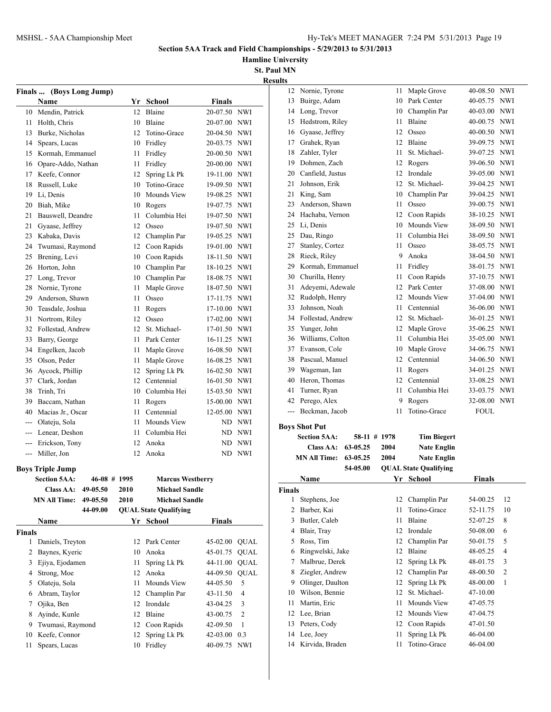**Hamline University**

|                     |                                       |      |                              |               |                | <b>Results</b> |                              |          |              |                              |               |            |
|---------------------|---------------------------------------|------|------------------------------|---------------|----------------|----------------|------------------------------|----------|--------------|------------------------------|---------------|------------|
|                     | Finals  (Boys Long Jump)              |      |                              |               |                |                | 12 Nornie, Tyrone            |          |              | 11 Maple Grove               | 40-08.50 NWI  |            |
|                     | Name                                  |      | Yr School                    | Finals        |                |                | 13 Buirge, Adam              |          |              | 10 Park Center               | 40-05.75 NWI  |            |
|                     | 10 Mendin, Patrick                    | 12   | Blaine                       | 20-07.50 NWI  |                |                | 14 Long, Trevor              |          |              | 10 Champlin Par              | 40-03.00      | NWI        |
|                     | 11 Holth, Chris                       | 10   | Blaine                       | 20-07.00 NWI  |                |                | 15 Hedstrom, Riley           |          | 11           | Blaine                       | 40-00.75      | NWI        |
| 13                  | Burke, Nicholas                       | 12   | Totino-Grace                 | 20-04.50 NWI  |                |                | 16 Gyaase, Jeffrey           |          |              | 12 Osseo                     | 40-00.50 NWI  |            |
| 14                  | Spears, Lucas                         | 10   | Fridley                      | 20-03.75 NWI  |                |                | 17 Grahek, Ryan              |          |              | 12 Blaine                    | 39-09.75 NWI  |            |
|                     | 15 Kormah, Emmanuel                   | 11   | Fridley                      | 20-00.50 NWI  |                |                | 18 Zahler, Tyler             |          | 11           | St. Michael-                 | 39-07.25 NWI  |            |
| 16                  | Opare-Addo, Nathan                    |      | 11 Fridley                   | 20-00.00 NWI  |                |                | 19 Dohmen, Zach              |          |              | 12 Rogers                    | 39-06.50 NWI  |            |
| 17                  | Keefe, Connor                         | 12   | Spring Lk Pk                 | 19-11.00 NWI  |                | 20             | Canfield, Justus             |          | 12           | Irondale                     | 39-05.00      | NWI        |
| 18                  | Russell, Luke                         | 10   | Totino-Grace                 | 19-09.50 NWI  |                | 21             | Johnson, Erik                |          |              | 12 St. Michael-              | 39-04.25      | NWI        |
| 19                  | Li, Denis                             | 10   | Mounds View                  | 19-08.25 NWI  |                |                | 21 King, Sam                 |          |              | 10 Champlin Par              | 39-04.25      | NWI        |
| 20                  | Biah, Mike                            | 10   | Rogers                       | 19-07.75 NWI  |                | 23             | Anderson, Shawn              |          | 11           | Osseo                        | 39-00.75 NWI  |            |
| 21                  | Bauswell, Deandre                     | 11   | Columbia Hei                 | 19-07.50 NWI  |                | 24             | Hachaba, Vernon              |          |              | 12 Coon Rapids               | 38-10.25      | NWI        |
| 21                  | Gyaase, Jeffrey                       | 12   | Osseo                        | 19-07.50 NWI  |                |                | 25 Li, Denis                 |          |              | 10 Mounds View               | 38-09.50      | <b>NWI</b> |
| 23                  | Kabaka, Davis                         | 12   | Champlin Par                 | 19-05.25 NWI  |                | 25             | Dau, Ringo                   |          | 11           | Columbia Hei                 | 38-09.50      | <b>NWI</b> |
| 24                  | Twumasi, Raymond                      | 12   | Coon Rapids                  | 19-01.00 NWI  |                | 27             | Stanley, Cortez              |          | 11           | Osseo                        | 38-05.75      | NWI        |
| 25                  | Brening, Levi                         | 10   | Coon Rapids                  | 18-11.50 NWI  |                | 28             | Rieck, Riley                 |          | 9            | Anoka                        | 38-04.50 NWI  |            |
| 26                  | Horton, John                          | 10   | Champlin Par                 | 18-10.25 NWI  |                | 29             | Kormah, Emmanuel             |          |              | 11 Fridley                   | 38-01.75 NWI  |            |
| 27                  | Long, Trevor                          | 10   | Champlin Par                 | 18-08.75 NWI  |                |                | 30 Churilla, Henry           |          |              | 11 Coon Rapids               | 37-10.75 NWI  |            |
|                     | 28 Nornie, Tyrone                     | 11   | Maple Grove                  | 18-07.50 NWI  |                | 31             | Adeyemi, Adewale             |          |              | 12 Park Center               | 37-08.00      | NWI        |
| 29                  | Anderson, Shawn                       | 11   | Osseo                        | 17-11.75 NWI  |                | 32             | Rudolph, Henry               |          |              | 12 Mounds View               | 37-04.00      | NWI        |
| 30                  | Teasdale, Joshua                      | 11   | Rogers                       | 17-10.00 NWI  |                | 33             | Johnson, Noah                |          | 11           | Centennial                   | 36-06.00      | NWI        |
| 31                  | Nortrom, Riley                        | 12   | Osseo                        | 17-02.00 NWI  |                |                | 34 Follestad, Andrew         |          |              | 12 St. Michael-              | 36-01.25      | NWI        |
| 32                  | Follestad, Andrew                     | 12   | St. Michael-                 | 17-01.50 NWI  |                |                | 35 Yunger, John              |          |              | 12 Maple Grove               | 35-06.25 NWI  |            |
| 33                  | Barry, George                         | 11   | Park Center                  | 16-11.25 NWI  |                |                | 36 Williams, Colton          |          |              | 11 Columbia Hei              | 35-05.00      | <b>NWI</b> |
| 34                  | Engelken, Jacob                       | 11   | Maple Grove                  | 16-08.50 NWI  |                | 37             | Evanson, Cole                |          |              | 10 Maple Grove               | 34-06.75      | NWI        |
| 35                  | Olson, Peder                          | 11   | Maple Grove                  | 16-08.25 NWI  |                | 38             | Pascual, Manuel              |          | 12           | Centennial                   | 34-06.50      | NWI        |
| 36                  | Aycock, Phillip                       | 12   | Spring Lk Pk                 | 16-02.50 NWI  |                | 39             | Wageman, Ian                 |          | 11           | Rogers                       | 34-01.25      | NWI        |
| 37                  | Clark, Jordan                         | 12   | Centennial                   | 16-01.50 NWI  |                | 40             | Heron, Thomas                |          |              | 12 Centennial                | 33-08.25 NWI  |            |
| 38                  | Trinh, Tri                            | 10   | Columbia Hei                 | 15-03.50 NWI  |                | 41             | Turner, Ryan                 |          |              | 11 Columbia Hei              | 33-03.75 NWI  |            |
| 39                  | Baccam, Nathan                        | 11   | Rogers                       | 15-00.00 NWI  |                | 42             | Perego, Alex                 |          |              | 9 Rogers                     | 32-08.00 NWI  |            |
| 40                  | Macias Jr., Oscar                     | 11   | Centennial                   | 12-05.00 NWI  |                |                | --- Beckman, Jacob           |          |              | 11 Totino-Grace              | <b>FOUL</b>   |            |
| ---                 | Olateju, Sola                         | 11   | Mounds View                  |               | ND NWI         |                |                              |          |              |                              |               |            |
| ---                 | Lenear, Deshon                        | 11   | Columbia Hei                 |               | ND NWI         |                | <b>Boys Shot Put</b>         |          |              |                              |               |            |
| ---                 | Erickson, Tony                        | 12   | Anoka                        |               | ND NWI         |                | <b>Section 5AA:</b>          |          | 58-11 # 1978 | <b>Tim Biegert</b>           |               |            |
|                     | --- Miller, Jon                       |      | 12 Anoka                     |               | ND NWI         |                | <b>Class AA:</b>             | 63-05.25 | 2004         | <b>Nate Englin</b>           |               |            |
|                     |                                       |      |                              |               |                |                | <b>MN All Time: 63-05.25</b> |          | 2004         | <b>Nate Englin</b>           |               |            |
|                     | <b>Boys Triple Jump</b>               |      |                              |               |                |                |                              | 54-05.00 |              | <b>QUAL State Qualifying</b> |               |            |
|                     | <b>Section 5AA:</b><br>$46-08$ # 1995 |      | <b>Marcus Westberry</b>      |               |                |                | <b>Name</b>                  |          |              | Yr School                    | <b>Finals</b> |            |
|                     | Class AA: 49-05.50                    | 2010 | <b>Michael Sandle</b>        |               |                | <b>Finals</b>  |                              |          |              |                              |               |            |
|                     | <b>MN All Time:</b><br>49-05.50       | 2010 | <b>Michael Sandle</b>        |               |                |                | 1 Stephens, Joe              |          |              | 12 Champlin Par              | 54-00.25      | 12         |
|                     | 44-09.00                              |      | <b>QUAL State Qualifying</b> |               |                |                | 2 Barber, Kai                |          |              | 11 Totino-Grace              | 52-11.75      | 10         |
|                     | <b>Name</b>                           |      | Yr School                    | <b>Finals</b> |                |                | 3 Butler, Caleb              |          |              | 11 Blaine                    | 52-07.25      | 8          |
|                     |                                       |      |                              |               |                |                | 4 Blair, Tray                |          |              | 12 Irondale                  | 50-08.00      | 6          |
|                     |                                       |      |                              |               |                |                |                              |          |              |                              |               |            |
|                     | 1 Daniels, Treyton                    |      | 12 Park Center               | 45-02.00 QUAL |                |                | 5 Ross, Tim                  |          |              | 12 Champlin Par              | 50-01.75      | 5          |
|                     | 2 Baynes, Kyeric                      |      | 10 Anoka                     | 45-01.75 QUAL |                |                | 6 Ringwelski, Jake           |          |              | 12 Blaine                    | 48-05.25      | 4          |
|                     | 3 Ejiya, Ejodamen                     |      | 11 Spring Lk Pk              | 44-11.00 QUAL |                |                | 7 Malbrue, Derek             |          |              | 12 Spring Lk Pk              | 48-01.75      | 3          |
|                     | 4 Strong, Moe                         |      | 12 Anoka                     | 44-09.50 QUAL |                |                | 8 Ziegler, Andrew            |          |              | 12 Champlin Par              | 48-00.50      | 2          |
|                     | 5 Olateju, Sola                       | 11   | Mounds View                  | 44-05.50      | 5              |                | 9 Olinger, Daulton           |          |              | 12 Spring Lk Pk              | 48-00.00      | 1          |
| 6                   | Abram, Taylor                         | 12   | Champlin Par                 | 43-11.50      | $\overline{4}$ |                | 10 Wilson, Bennie            |          |              | 12 St. Michael-              | 47-10.00      |            |
| 7                   | Ojika, Ben                            | 12   | Irondale                     | 43-04.25      | 3              |                | 11 Martin, Eric              |          | 11           | Mounds View                  | 47-05.75      |            |
| 8                   | Ayinde, Kunle                         | 12   | Blaine                       | 43-00.75      | $\overline{2}$ |                | 12 Lee, Brian                |          |              | 12 Mounds View               | 47-04.75      |            |
| 9                   | Twumasi, Raymond                      | 12   | Coon Rapids                  | 42-09.50      | -1             |                | 13 Peters, Cody              |          |              | 12 Coon Rapids               | 47-01.50      |            |
| <b>Finals</b><br>10 | Keefe, Connor                         | 12   | Spring Lk Pk                 | 42-03.00 0.3  |                |                | 14 Lee, Joey                 |          | 11           | Spring Lk Pk                 | 46-04.00      |            |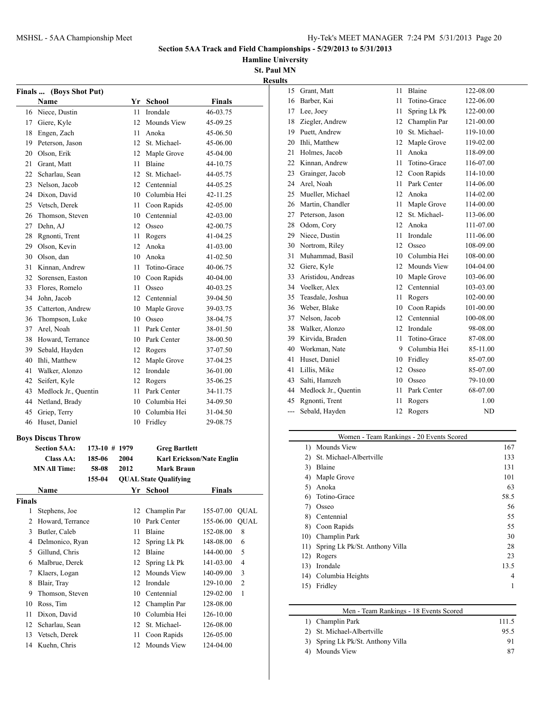**Hamline University**

**St. Paul MN Results**

| <b>Finals</b>  | (Boys Shot Put)          |               |      |                              |                           |                  |
|----------------|--------------------------|---------------|------|------------------------------|---------------------------|------------------|
|                | Name                     |               |      | Yr School                    | Finals                    |                  |
|                | 16 Niece, Dustin         |               | 11   | Irondale                     | 46-03.75                  |                  |
| 17             | Giere, Kyle              |               | 12   | <b>Mounds View</b>           | 45-09.25                  |                  |
| 18             | Engen, Zach              |               | 11   | Anoka                        | 45-06.50                  |                  |
| 19             | Peterson, Jason          |               |      | 12 St. Michael-              | 45-06.00                  |                  |
|                | 20 Olson, Erik           |               |      | 12 Maple Grove               | 45-04.00                  |                  |
| 21             | Grant, Matt              |               | 11 - | Blaine                       | 44-10.75                  |                  |
|                | 22 Scharlau, Sean        |               |      | 12 St. Michael-              | 44-05.75                  |                  |
| 23             | Nelson, Jacob            |               |      | 12 Centennial                | 44-05.25                  |                  |
| 24             | Dixon, David             |               |      | 10 Columbia Hei              | 42-11.25                  |                  |
|                | 25 Vetsch, Derek         |               | 11   | Coon Rapids                  | 42-05.00                  |                  |
| 26             | Thomson, Steven          |               |      | 10 Centennial                | 42-03.00                  |                  |
| 27             | Dehn, AJ                 |               |      | 12 Osseo                     | 42-00.75                  |                  |
|                | 28 Rgnonti, Trent        |               | 11   | Rogers                       | 41-04.25                  |                  |
|                | 29 Olson, Kevin          |               | 12   | Anoka                        | 41-03.00                  |                  |
| 30             | Olson, dan               |               |      | 10 Anoka                     | 41-02.50                  |                  |
| 31             | Kinnan, Andrew           |               | 11   | Totino-Grace                 | 40-06.75                  |                  |
|                | 32 Sorensen, Easton      |               |      | 10 Coon Rapids               | 40-04.00                  |                  |
|                | 33 Flores, Romelo        |               | 11   | Osseo                        | 40-03.25                  |                  |
| 34             | John, Jacob              |               |      | 12 Centennial                | 39-04.50                  |                  |
| 35             | Catterton, Andrew        |               |      | 10 Maple Grove               | 39-03.75                  |                  |
| 36             | Thompson, Luke           |               |      | 10 Osseo                     | 38-04.75                  |                  |
| 37             | Arel, Noah               |               | 11 - | Park Center                  | 38-01.50                  |                  |
|                | 38 Howard, Terrance      |               |      | 10 Park Center               | 38-00.50                  |                  |
|                | 39 Sebald, Hayden        |               |      | 12 Rogers                    | 37-07.50                  |                  |
| 40             | Ihli, Matthew            |               | 12   | Maple Grove                  | 37-04.25                  |                  |
| 41             | Walker, Alonzo           |               |      | 12 Irondale                  | 36-01.00                  |                  |
|                | 42 Seifert, Kyle         |               |      | 12 Rogers                    | 35-06.25                  |                  |
| 43             | Medlock Jr., Quentin     |               |      | 11 Park Center               | 34-11.75                  |                  |
|                | 44 Netland, Brady        |               |      | 10 Columbia Hei              | 34-09.50                  |                  |
| 45             | Griep, Terry             |               |      | 10 Columbia Hei              | 31-04.50                  |                  |
| 46             | Huset, Daniel            |               | 10   | Fridley                      | 29-08.75                  |                  |
|                |                          |               |      |                              |                           |                  |
|                | <b>Boys Discus Throw</b> |               |      |                              |                           |                  |
|                | <b>Section 5AA:</b>      | 173-10 # 1979 |      | <b>Greg Bartlett</b>         |                           |                  |
|                | Class AA:                | 185-06        | 2004 |                              | Karl Erickson/Nate Englin |                  |
|                | <b>MN All Time:</b>      | 58-08         | 2012 | Mark Braun                   |                           |                  |
|                |                          | 155-04        |      | <b>QUAL State Qualifying</b> |                           |                  |
|                | Name                     |               | Yr   | <b>School</b>                | <b>Finals</b>             |                  |
| <b>Finals</b>  |                          |               |      |                              |                           |                  |
| 1              | Stephens, Joe            |               | 12   | Champlin Par                 | 155-07.00                 | <b>QUAL</b>      |
| $\overline{2}$ | Howard, Terrance         |               | 10   | Park Center                  | 155-06.00                 | <b>QUAL</b>      |
| 3              | Butler, Caleb            |               | 11   | Blaine                       | 152-08.00                 | 8                |
| 4              | Delmonico, Ryan          |               | 12   | Spring Lk Pk                 | 148-08.00                 | $\boldsymbol{6}$ |
| 5              | Gillund, Chris           |               | 12   | Blaine                       | 144-00.00                 | 5                |
| 6              | Malbrue, Derek           |               | 12   | Spring Lk Pk                 | 141-03.00                 | $\overline{4}$   |
| 7              | Klaers, Logan            |               | 12   | Mounds View                  | 140-09.00                 | 3                |
| 8              | Blair, Tray              |               | 12   | Irondale                     | 129-10.00                 | 2                |
| 9              | Thomson, Steven          |               | 10   | Centennial                   | 129-02.00                 | 1                |
| 10             | Ross, Tim                |               | 12   | Champlin Par                 | 128-08.00                 |                  |
| 11             | Dixon, David             |               | 10   | Columbia Hei                 | 126-10.00                 |                  |
| 12             | Scharlau, Sean           |               | 12   | St. Michael-                 | 126-08.00                 |                  |
| 13             | Vetsch, Derek            |               | 11   | Coon Rapids                  | 126-05.00                 |                  |
| 14             | Kuehn, Chris             |               | 12   | Mounds View                  | 124-04.00                 |                  |
|                |                          |               |      |                              |                           |                  |

| 15  | Grant, Matt          | 11 | Blaine       | 122-08.00 |
|-----|----------------------|----|--------------|-----------|
| 16  | Barber, Kai          | 11 | Totino-Grace | 122-06.00 |
| 17  | Lee, Joey            | 11 | Spring Lk Pk | 122-00.00 |
| 18  | Ziegler, Andrew      | 12 | Champlin Par | 121-00.00 |
| 19  | Puett, Andrew        | 10 | St. Michael- | 119-10.00 |
| 20  | Ihli, Matthew        | 12 | Maple Grove  | 119-02.00 |
| 21  | Holmes, Jacob        | 11 | Anoka        | 118-09.00 |
| 22  | Kinnan, Andrew       | 11 | Totino-Grace | 116-07.00 |
| 23  | Grainger, Jacob      | 12 | Coon Rapids  | 114-10.00 |
| 24  | Arel, Noah           | 11 | Park Center  | 114-06.00 |
| 25  | Mueller, Michael     | 12 | Anoka        | 114-02.00 |
| 26  | Martin, Chandler     | 11 | Maple Grove  | 114-00.00 |
| 27  | Peterson, Jason      | 12 | St. Michael- | 113-06.00 |
| 28  | Odom, Cory           | 12 | Anoka        | 111-07.00 |
| 29  | Niece, Dustin        | 11 | Irondale     | 111-06.00 |
| 30  | Nortrom, Riley       | 12 | Osseo        | 108-09.00 |
| 31  | Muhammad, Basil      | 10 | Columbia Hei | 108-00.00 |
| 32  | Giere, Kyle          | 12 | Mounds View  | 104-04.00 |
| 33  | Aristidou, Andreas   | 10 | Maple Grove  | 103-06.00 |
| 34  | Voelker, Alex        | 12 | Centennial   | 103-03.00 |
| 35  | Teasdale, Joshua     | 11 | Rogers       | 102-00.00 |
| 36  | Weber, Blake         | 10 | Coon Rapids  | 101-00.00 |
| 37  | Nelson, Jacob        | 12 | Centennial   | 100-08.00 |
| 38  | Walker, Alonzo       | 12 | Irondale     | 98-08.00  |
| 39  | Kirvida, Braden      | 11 | Totino-Grace | 87-08.00  |
| 40  | Workman, Nate        | 9  | Columbia Hei | 85-11.00  |
| 41  | Huset, Daniel        | 10 | Fridley      | 85-07.00  |
| 41  | Lillis, Mike         | 12 | Osseo        | 85-07.00  |
| 43  | Salti, Hamzeh        | 10 | Osseo        | 79-10.00  |
| 44  | Medlock Jr., Quentin | 11 | Park Center  | 68-07.00  |
| 45  | Rgnonti, Trent       | 11 | Rogers       | 1.00      |
| --- | Sebald, Hayden       | 12 | Rogers       | ND        |
|     |                      |    |              |           |

#### Women - Team Rankings - 20 Events Scored 1) Mounds View 167 2) St. Michael-Albertville 133 3) Blaine 131 4) Maple Grove 101 5) Anoka 63 6) Totino-Grace 58.5 7) Osseo 56 8) Centennial 55 8) Coon Rapids 55 10) Champlin Park 30 11) Spring Lk Pk/St. Anthony Villa 28 12) Rogers 23 13.5 Irondale 13.5 14) Columbia Heights 4 15) Fridley 1

| Men - Team Rankings - 18 Events Scored |       |
|----------------------------------------|-------|
| 1) Champlin Park                       | 111.5 |
| 2) St. Michael-Albertville             | 95.5  |
| 3) Spring Lk Pk/St. Anthony Villa      | 91    |
| Mounds View                            | 87    |